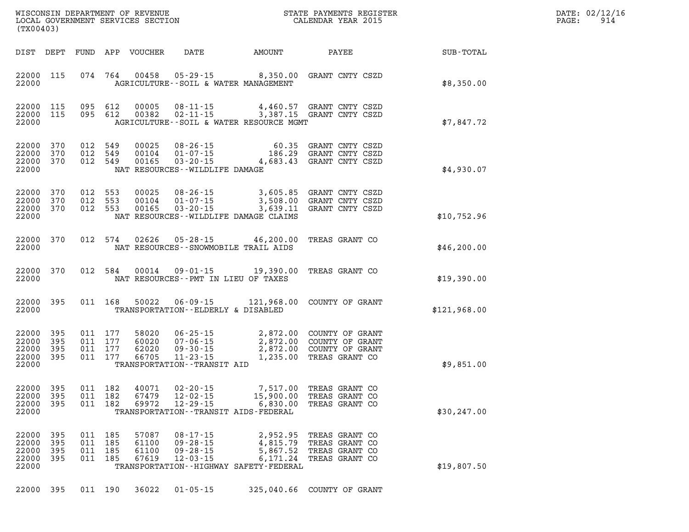| DATE: | 02/12/16 |
|-------|----------|
| PAGE: | 914      |

| WISCONSIN DEPARTMENT OF REVENUE<br>LOCAL GOVERNMENT SERVICES SECTION THE STATE PAYMENTS REGISTER<br>CALENDAR YEAR 2015<br>(TX00403) |                                           |                          |  |                                          |                                  |                                                                      |                                                                                             |                                                                                                                                                 | $\mathbb{R}^n$ | DATE: 02/12/1<br>$\mathtt{PAGE}$ :<br>914 |
|-------------------------------------------------------------------------------------------------------------------------------------|-------------------------------------------|--------------------------|--|------------------------------------------|----------------------------------|----------------------------------------------------------------------|---------------------------------------------------------------------------------------------|-------------------------------------------------------------------------------------------------------------------------------------------------|----------------|-------------------------------------------|
|                                                                                                                                     | DIST DEPT                                 |                          |  |                                          | FUND APP VOUCHER                 | <b>DATE</b>                                                          | AMOUNT PAYEE                                                                                |                                                                                                                                                 | SUB-TOTAL      |                                           |
|                                                                                                                                     | 22000 115<br>22000                        |                          |  |                                          |                                  |                                                                      | AGRICULTURE--SOIL & WATER MANAGEMENT                                                        | 074 764 00458 05-29-15 8,350.00 GRANT CNTY CSZD                                                                                                 | \$8,350.00     |                                           |
|                                                                                                                                     | 22000 115<br>22000 115<br>22000           |                          |  | 095 612<br>095 612                       | 00005<br>00382                   |                                                                      | AGRICULTURE--SOIL & WATER RESOURCE MGMT                                                     | 08-11-15   4,460.57   GRANT CNTY CSZD<br>02-11-15   3,387.15   GRANT CNTY CSZD                                                                  | \$7,847.72     |                                           |
|                                                                                                                                     | 22000 370<br>22000<br>22000<br>22000      | 370<br>370               |  | 012 549<br>012 549<br>012 549            | 00025<br>00104<br>00165          | NAT RESOURCES - WILDLIFE DAMAGE                                      |                                                                                             | 08-26-15 60.35 GRANT CNTY CSZD<br>01-07-15 186.29 GRANT CNTY CSZD<br>03-20-15 4,683.43 GRANT CNTY CSZD                                          | \$4,930.07     |                                           |
|                                                                                                                                     | 22000 370<br>22000 370<br>22000<br>22000  | 370                      |  | 012 553<br>012 553<br>012 553            | 00025<br>00104<br>00165          |                                                                      | NAT RESOURCES--WILDLIFE DAMAGE CLAIMS                                                       | 08-26-15 3,605.85 GRANT CNTY CSZD<br>01-07-15 3,508.00 GRANT CNTY CSZD<br>03-20-15 3,639.11 GRANT CNTY CSZD                                     | \$10,752.96    |                                           |
|                                                                                                                                     | 22000 370<br>22000                        |                          |  |                                          |                                  |                                                                      | 012 574 02626 05-28-15 46,200.00 TREAS GRANT CO<br>NAT RESOURCES - - SNOWMOBILE TRAIL AIDS  |                                                                                                                                                 | \$46,200.00    |                                           |
|                                                                                                                                     | 22000 370<br>22000                        |                          |  |                                          |                                  |                                                                      | 012 584 00014 09-01-15 19,390.00<br>NAT RESOURCES--PMT IN LIEU OF TAXES                     | TREAS GRANT CO                                                                                                                                  | \$19,390.00    |                                           |
|                                                                                                                                     | 22000 395<br>22000                        |                          |  | 011 168                                  |                                  |                                                                      | TRANSPORTATION--ELDERLY & DISABLED                                                          | 50022  06-09-15  121,968.00  COUNTY OF GRANT                                                                                                    | \$121,968.00   |                                           |
|                                                                                                                                     | 22000<br>22000<br>22000<br>22000<br>22000 | 395<br>395<br>395<br>395 |  | 011 177<br>011 177<br>011 177<br>011 177 | 58020<br>60020<br>62020<br>66705 | TRANSPORTATION - - TRANSIT AID                                       |                                                                                             | 06-25-15 2,872.00 COUNTY OF GRANT<br>07-06-15 2,872.00 COUNTY OF GRANT<br>09-30-15 2,872.00 COUNTY OF GRANT<br>11-23-15 1,235.00 TREAS GRANT CO | \$9,851.00     |                                           |
|                                                                                                                                     | 22000 395<br>22000 395<br>22000<br>22000  | 395                      |  | 011 182<br>011 182<br>011 182            | 40071<br>67479<br>69972          | 02-20-15<br>$12 - 02 - 15$<br>$12 - 29 - 15$                         | 7,517.00 TREAS GRANT CO<br>6,830.00<br>TRANSPORTATION - - TRANSIT AIDS - FEDERAL            | 15,900.00 TREAS GRANT CO<br>TREAS GRANT CO                                                                                                      | \$30, 247.00   |                                           |
|                                                                                                                                     | 22000<br>22000<br>22000<br>22000<br>22000 | 395<br>395<br>395<br>395 |  | 011 185<br>011 185<br>011 185<br>011 185 | 57087<br>61100<br>61100<br>67619 | $08 - 17 - 15$<br>$09 - 28 - 15$<br>$09 - 28 - 15$<br>$12 - 03 - 15$ | 2,952.95<br>4,815.79<br>5,867.52<br>6,171.24<br>TRANSPORTATION - - HIGHWAY SAFETY - FEDERAL | TREAS GRANT CO<br>TREAS GRANT CO<br>TREAS GRANT CO<br>TREAS GRANT CO                                                                            | \$19,807.50    |                                           |
|                                                                                                                                     | 22000 395                                 |                          |  |                                          | 011 190 36022                    | $01 - 05 - 15$                                                       |                                                                                             | 325,040.66 COUNTY OF GRANT                                                                                                                      |                |                                           |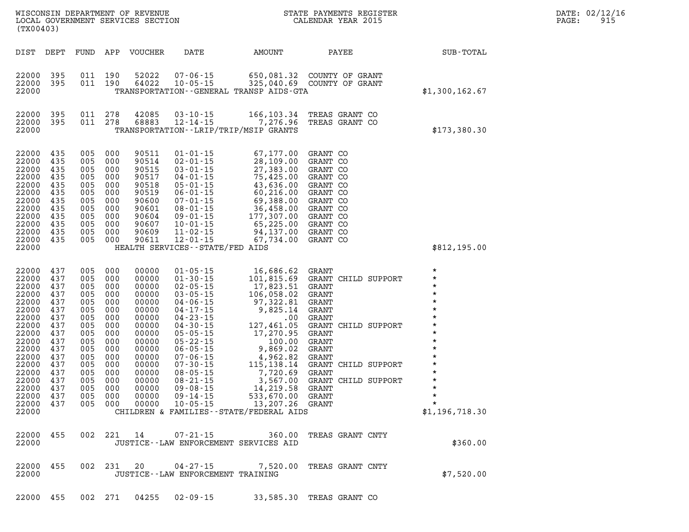| (TX00403)                                                                                                                                                                       |                                                                                                              |                                                                                                                     |                                                                                                                     |                                                                                                                                                       | WISCONSIN DEPARTMENT OF REVENUE<br>LOCAL GOVERNMENT SERVICES SECTION<br>(TWOO403)                                                                                                                                                                                                                                                                                                              | STATE PAYMENTS REGISTER<br>CALENDAR YEAR 2015                                                                                                                                                                                                                                                                                          |                                                                                                                                                                                               |                                                                                                                                                                                                                       |  |
|---------------------------------------------------------------------------------------------------------------------------------------------------------------------------------|--------------------------------------------------------------------------------------------------------------|---------------------------------------------------------------------------------------------------------------------|---------------------------------------------------------------------------------------------------------------------|-------------------------------------------------------------------------------------------------------------------------------------------------------|------------------------------------------------------------------------------------------------------------------------------------------------------------------------------------------------------------------------------------------------------------------------------------------------------------------------------------------------------------------------------------------------|----------------------------------------------------------------------------------------------------------------------------------------------------------------------------------------------------------------------------------------------------------------------------------------------------------------------------------------|-----------------------------------------------------------------------------------------------------------------------------------------------------------------------------------------------|-----------------------------------------------------------------------------------------------------------------------------------------------------------------------------------------------------------------------|--|
| DIST                                                                                                                                                                            | DEPT                                                                                                         | FUND                                                                                                                | APP                                                                                                                 | VOUCHER                                                                                                                                               | DATE                                                                                                                                                                                                                                                                                                                                                                                           | <b>AMOUNT</b>                                                                                                                                                                                                                                                                                                                          | PAYEE                                                                                                                                                                                         | SUB-TOTAL                                                                                                                                                                                                             |  |
| 22000<br>22000<br>22000                                                                                                                                                         | 395<br>395                                                                                                   | 011<br>011                                                                                                          | 190<br>190                                                                                                          | 52022<br>64022                                                                                                                                        | 07-06-15<br>$10 - 05 - 15$<br>TRANSPORTATION - - GENERAL TRANSP AIDS - GTA                                                                                                                                                                                                                                                                                                                     |                                                                                                                                                                                                                                                                                                                                        | 650,081.32 COUNTY OF GRANT<br>325,040.69 COUNTY OF GRANT                                                                                                                                      | \$1,300,162.67                                                                                                                                                                                                        |  |
| 22000<br>22000<br>22000                                                                                                                                                         | 395<br>395                                                                                                   | 011 278                                                                                                             | 011 278                                                                                                             | 42085<br>68883                                                                                                                                        | $03 - 10 - 15$<br>$12 - 14 - 15$<br>TRANSPORTATION - - LRIP/TRIP/MSIP GRANTS                                                                                                                                                                                                                                                                                                                   | 166,103.34<br>7,276.96                                                                                                                                                                                                                                                                                                                 | TREAS GRANT CO<br>TREAS GRANT CO                                                                                                                                                              | \$173,380.30                                                                                                                                                                                                          |  |
| 22000<br>22000<br>22000<br>22000<br>22000<br>22000<br>22000<br>22000<br>22000<br>22000<br>22000<br>22000<br>22000                                                               | 435<br>435<br>435<br>435<br>435<br>435<br>435<br>435<br>435<br>435<br>435<br>435                             | 005<br>005<br>005<br>005<br>005<br>005<br>005<br>005<br>005<br>005<br>005<br>005                                    | 000<br>000<br>000<br>000<br>000<br>000<br>000<br>000<br>000<br>000<br>000<br>000                                    | 90511<br>90514<br>90515<br>90517<br>90518<br>90519<br>90600<br>90601<br>90604<br>90607<br>90609<br>90611                                              | $01 - 01 - 15$<br>$02 - 01 - 15$<br>HEALTH SERVICES -- STATE/FED AIDS                                                                                                                                                                                                                                                                                                                          | 67,177.00<br>28,109.00<br>$02-01-15$<br>$03-01-15$<br>$04-01-15$<br>$05-01-15$<br>$06-01-15$<br>$07-01-15$<br>$08-01-15$<br>$09-01-15$<br>$09-01-15$<br>$09-01-15$<br>$09-01-15$<br>$09-01-15$<br>$177,307.00$<br>$09-01-15$<br>$05,225.00$<br>$09-01-15$<br>$05,225.00$<br>$09-01-15$<br><br>11-02-15 94,137.00<br>12-01-15 67,734.00 | GRANT CO<br>GRANT CO<br>GRANT CO<br>GRANT CO<br>GRANT CO<br>GRANT CO<br>GRANT CO<br>GRANT CO<br>GRANT CO<br>GRANT CO<br>GRANT CO<br>GRANT CO                                                  | \$812,195.00                                                                                                                                                                                                          |  |
| 22000<br>22000<br>22000<br>22000<br>22000<br>22000<br>22000<br>22000<br>22000<br>22000<br>22000<br>22000<br>22000<br>22000<br>22000<br>22000<br>22000 437<br>22000 437<br>22000 | 437<br>437<br>437<br>437<br>437<br>437<br>437<br>437<br>437<br>437<br>437<br>437<br>437<br>437<br>437<br>437 | 005<br>005<br>005<br>005<br>005<br>005<br>005<br>005<br>005<br>005<br>005<br>005<br>005<br>005<br>005<br>005<br>005 | 000<br>000<br>000<br>000<br>000<br>000<br>000<br>000<br>000<br>000<br>000<br>000<br>000<br>000<br>000<br>000<br>000 | 00000<br>00000<br>00000<br>00000<br>00000<br>00000<br>00000<br>00000<br>00000<br>00000<br>00000<br>00000<br>00000<br>00000<br>00000<br>00000<br>00000 | $01 - 05 - 15$<br>$01 - 30 - 15$<br>$02 - 05 - 15$<br>$03 - 05 - 15$<br>04 - 06 - 15<br>04 - 17 - 15<br>04 - 23 - 15<br>04 - 23 - 15<br>04 - 30 - 15<br>05 - 05 - 15<br>05 - 22 - 15<br>06 - 05 - 15<br>07 - 30 - 15<br>08 - 05 - 15<br>08 - 21 - 15<br>09 - 08 - 15<br>$09 - 08 - 15$<br>09 - 14 - 15<br>005 000 00000 10-05-15 13,207.26 GRANT<br>CHILDREN & FAMILIES - - STATE/FEDERAL AIDS | 16,686.62 GRANT<br>17,823.51 GRANT<br>106,058.02<br>97,322.81<br>9,825.14<br>.00<br>127,461.05<br>17,270.95<br>100.00<br>9,869.02<br>4,962.82<br>115, 138. 14<br>7,720.69<br>3,567.00<br>14,219.58<br>533,670.00 GRANT                                                                                                                 | 101,815.69 GRANT CHILD SUPPORT<br>GRANT<br>GRANT<br>GRANT<br>GRANT<br>GRANT CHILD SUPPORT<br>GRANT<br>GRANT<br>GRANT<br>GRANT<br>GRANT CHILD SUPPORT<br>GRANT<br>GRANT CHILD SUPPORT<br>GRANT | $\star$<br>$\star$<br>$\star$<br>$\star$<br>$\star$<br>$\star$<br>$\star$<br>$\star$<br>$\star$<br>$\star$<br>$\star$<br>$\star$<br>$\star$<br>$\star$<br>$\star$<br>$\star$<br>$^\star$<br>$\star$<br>\$1,196,718.30 |  |
| 22000<br>22000                                                                                                                                                                  | 455                                                                                                          |                                                                                                                     |                                                                                                                     |                                                                                                                                                       | 002 221 14 07-21-15<br>JUSTICE--LAW ENFORCEMENT SERVICES AID                                                                                                                                                                                                                                                                                                                                   | 360.00                                                                                                                                                                                                                                                                                                                                 | TREAS GRANT CNTY                                                                                                                                                                              | \$360.00                                                                                                                                                                                                              |  |
| 22000<br>22000                                                                                                                                                                  | 455                                                                                                          |                                                                                                                     |                                                                                                                     |                                                                                                                                                       | JUSTICE--LAW ENFORCEMENT TRAINING                                                                                                                                                                                                                                                                                                                                                              |                                                                                                                                                                                                                                                                                                                                        | 002 231 20 04-27-15 7,520.00 TREAS GRANT CNTY                                                                                                                                                 | \$7,520.00                                                                                                                                                                                                            |  |

**22000 455 002 271 04255 02-09-15 33,585.30 TREAS GRANT CO** 

**DATE: 02/12/16<br>PAGE: 915**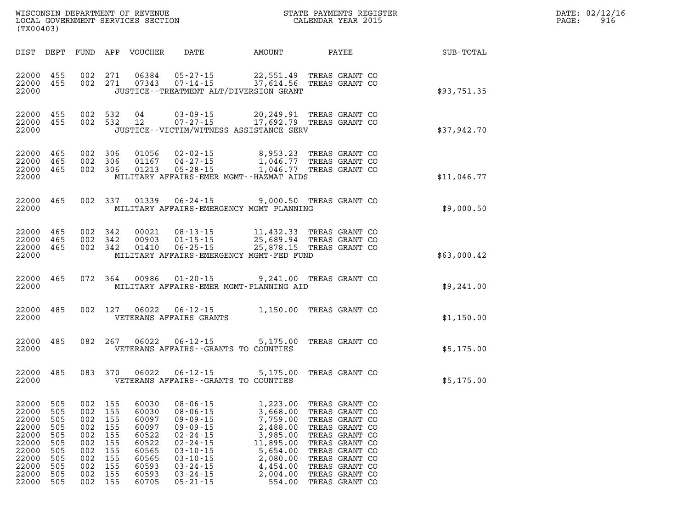| DATE: | 02/12/16 |
|-------|----------|
| PAGE: | 916      |

| (TX00403)                                                                              |                                                                    |                                                                    |                                                                    | WISCONSIN DEPARTMENT OF REVENUE<br>LOCAL GOVERNMENT SERVICES SECTION                   |                                                                                                                                                                                  | STATE PAYMENTS REGISTER<br>CALENDAR YEAR 2015                                                                         |                                                                                                                                                                                  |                  |  |
|----------------------------------------------------------------------------------------|--------------------------------------------------------------------|--------------------------------------------------------------------|--------------------------------------------------------------------|----------------------------------------------------------------------------------------|----------------------------------------------------------------------------------------------------------------------------------------------------------------------------------|-----------------------------------------------------------------------------------------------------------------------|----------------------------------------------------------------------------------------------------------------------------------------------------------------------------------|------------------|--|
| DIST                                                                                   | DEPT                                                               | FUND                                                               | APP                                                                | VOUCHER                                                                                | DATE                                                                                                                                                                             | AMOUNT                                                                                                                | PAYEE                                                                                                                                                                            | <b>SUB-TOTAL</b> |  |
| 22000<br>22000<br>22000                                                                | 455<br>455                                                         | 002<br>002                                                         | 271<br>271                                                         | 06384<br>07343                                                                         |                                                                                                                                                                                  | JUSTICE - - TREATMENT ALT/DIVERSION GRANT                                                                             | 05-27-15 22,551.49 TREAS GRANT CO<br>07-14-15 37,614.56 TREAS GRANT CO                                                                                                           | \$93,751.35      |  |
| 22000<br>22000<br>22000                                                                | 455<br>455                                                         | 002<br>002                                                         | 532<br>532                                                         | 04<br>12                                                                               | $03 - 09 - 15$<br>$07 - 27 - 15$                                                                                                                                                 | 20,249.91<br>17,692.79<br>JUSTICE - - VICTIM/WITNESS ASSISTANCE SERV                                                  | TREAS GRANT CO<br>TREAS GRANT CO                                                                                                                                                 | \$37,942.70      |  |
| 22000<br>22000<br>22000<br>22000                                                       | 465<br>465<br>465                                                  | 002<br>002<br>002                                                  | 306<br>306<br>306                                                  | 01056<br>01167<br>01213                                                                | $02 - 02 - 15$<br>$04 - 27 - 15$<br>$05 - 28 - 15$                                                                                                                               | 8,953.23<br>1,046.77<br>1,046.77<br>MILITARY AFFAIRS-EMER MGMT--HAZMAT AIDS                                           | TREAS GRANT CO<br>TREAS GRANT CO<br>TREAS GRANT CO                                                                                                                               | \$11,046.77      |  |
| 22000<br>22000                                                                         | 465                                                                | 002                                                                | 337                                                                | 01339                                                                                  |                                                                                                                                                                                  | MILITARY AFFAIRS-EMERGENCY MGMT PLANNING                                                                              | 06-24-15 9,000.50 TREAS GRANT CO                                                                                                                                                 | \$9,000.50       |  |
| 22000<br>22000<br>22000<br>22000                                                       | 465<br>465<br>465                                                  | 002<br>002<br>002                                                  | 342<br>342<br>342                                                  | 00021<br>00903<br>01410                                                                | $08 - 13 - 15$<br>$01 - 15 - 15$<br>$06 - 25 - 15$                                                                                                                               | 11,432.33<br>25,878.15<br>MILITARY AFFAIRS-EMERGENCY MGMT-FED FUND                                                    | TREAS GRANT CO<br>25,689.94 TREAS GRANT CO<br>TREAS GRANT CO                                                                                                                     | \$63,000.42      |  |
| 22000<br>22000                                                                         | 465                                                                | 072                                                                | 364                                                                | 00986                                                                                  |                                                                                                                                                                                  | MILITARY AFFAIRS-EMER MGMT-PLANNING AID                                                                               | 01-20-15 9,241.00 TREAS GRANT CO                                                                                                                                                 | \$9,241.00       |  |
| 22000<br>22000                                                                         | 485                                                                | 002                                                                | 127                                                                | 06022                                                                                  | $06 - 12 - 15$<br>VETERANS AFFAIRS GRANTS                                                                                                                                        | 1,150.00                                                                                                              | TREAS GRANT CO                                                                                                                                                                   | \$1,150.00       |  |
| 22000<br>22000                                                                         | 485                                                                | 082                                                                | 267                                                                | 06022                                                                                  |                                                                                                                                                                                  | $06 - 12 - 15$ 5, 175.00<br>VETERANS AFFAIRS -- GRANTS TO COUNTIES                                                    | TREAS GRANT CO                                                                                                                                                                   | \$5,175.00       |  |
| 22000<br>22000                                                                         | 485                                                                | 083                                                                | 370                                                                | 06022                                                                                  | $06 - 12 - 15$                                                                                                                                                                   | 5,175.00<br>VETERANS AFFAIRS - - GRANTS TO COUNTIES                                                                   | TREAS GRANT CO                                                                                                                                                                   | \$5,175.00       |  |
| 22000<br>22000<br>22000<br>22000<br>22000<br>22000<br>22000<br>22000<br>22000<br>22000 | 505<br>505<br>505<br>505<br>505<br>505<br>505<br>505<br>505<br>505 | 002<br>002<br>002<br>002<br>002<br>002<br>002<br>002<br>002<br>002 | 155<br>155<br>155<br>155<br>155<br>155<br>155<br>155<br>155<br>155 | 60030<br>60030<br>60097<br>60097<br>60522<br>60522<br>60565<br>60565<br>60593<br>60593 | $08 - 06 - 15$<br>$08 - 06 - 15$<br>$09 - 09 - 15$<br>$09 - 09 - 15$<br>$02 - 24 - 15$<br>$02 - 24 - 15$<br>$03 - 10 - 15$<br>$03 - 10 - 15$<br>$03 - 24 - 15$<br>$03 - 24 - 15$ | 1,223.00<br>3,668.00<br>7,759.00<br>2,488.00<br>3,985.00<br>11,895.00<br>5,654.00<br>2,080.00<br>4,454.00<br>2,004.00 | TREAS GRANT CO<br>TREAS GRANT CO<br>TREAS GRANT CO<br>TREAS GRANT CO<br>TREAS GRANT CO<br>TREAS GRANT CO<br>TREAS GRANT CO<br>TREAS GRANT CO<br>TREAS GRANT CO<br>TREAS GRANT CO |                  |  |

**22000 505 002 155 60705 05-21-15 554.00 TREAS GRANT CO**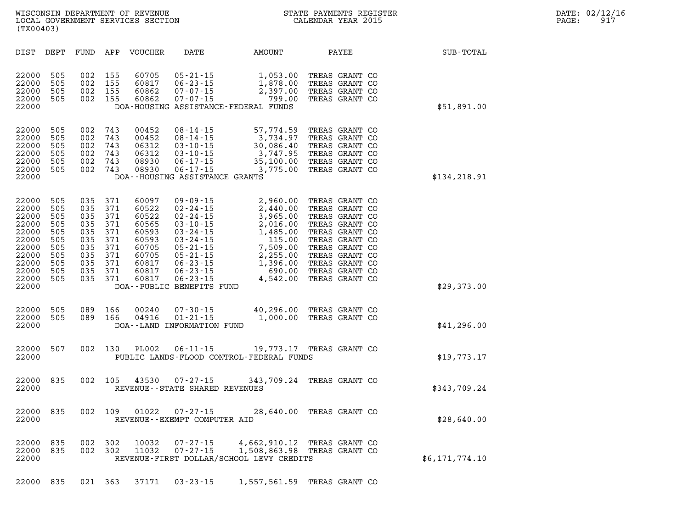| WISCONSIN DEPARTMENT OF REVENUE<br>LOCAL GOVERNMENT SERVICES SECTION<br>(TX00403) | STATE PAYMENTS REGISTER<br>CALENDAR YEAR 2015 | PAGE: | DATE: 02/12/16<br>917 |
|-----------------------------------------------------------------------------------|-----------------------------------------------|-------|-----------------------|
|                                                                                   |                                               |       |                       |

| STATE PAYMENTS REGISTER |                    |  |  |
|-------------------------|--------------------|--|--|
|                         | CALENDAR YEAR 2015 |  |  |

| DIST<br>DEPT                                                                                                                                                                          | FUND                                                                      | APP                                                                       | <b>VOUCHER</b>                                                                                  | DATE                                                                                                                                                                                                                            | AMOUNT                                                                                                                       | PAYEE                                                                                                                                                                                              | SUB-TOTAL      |
|---------------------------------------------------------------------------------------------------------------------------------------------------------------------------------------|---------------------------------------------------------------------------|---------------------------------------------------------------------------|-------------------------------------------------------------------------------------------------|---------------------------------------------------------------------------------------------------------------------------------------------------------------------------------------------------------------------------------|------------------------------------------------------------------------------------------------------------------------------|----------------------------------------------------------------------------------------------------------------------------------------------------------------------------------------------------|----------------|
| 22000<br>505<br>22000<br>505<br>22000<br>505<br>505<br>22000<br>22000                                                                                                                 | 002<br>002<br>002<br>002                                                  | 155<br>155<br>155<br>155                                                  | 60705<br>60817<br>60862<br>60862                                                                | $05 - 21 - 15$<br>$06 - 23 - 15$<br>$07 - 07 - 15$<br>$07 - 07 - 15$                                                                                                                                                            | 1,053.00<br>1,878.00<br>2,397.00<br>799.00<br>DOA-HOUSING ASSISTANCE-FEDERAL FUNDS                                           | TREAS GRANT CO<br>TREAS GRANT CO<br>TREAS GRANT CO<br>TREAS GRANT CO                                                                                                                               | \$51,891.00    |
| 22000<br>505<br>22000<br>505<br>22000<br>505<br>22000<br>505<br>22000<br>505<br>22000<br>505<br>22000                                                                                 | 002<br>002<br>002<br>002<br>002<br>002                                    | 743<br>743<br>743<br>743<br>743<br>743                                    | 00452<br>00452<br>06312<br>06312<br>08930<br>08930                                              | $08 - 14 - 15$<br>$08 - 14 - 15$<br>$03 - 10 - 15$<br>$03 - 10 - 15$<br>$06 - 17 - 15$<br>$06 - 17 - 15$<br>DOA--HOUSING ASSISTANCE GRANTS                                                                                      | 57,774.59<br>3,734.97<br>30,086.40<br>3,747.95<br>35,100.00<br>3,775.00                                                      | TREAS GRANT CO<br>TREAS GRANT CO<br>TREAS GRANT CO<br>TREAS GRANT CO<br>TREAS GRANT CO<br>TREAS GRANT CO                                                                                           | \$134,218.91   |
| 22000<br>505<br>505<br>22000<br>22000<br>505<br>505<br>22000<br>22000<br>505<br>22000<br>505<br>22000<br>505<br>22000<br>505<br>22000<br>505<br>22000<br>505<br>22000<br>505<br>22000 | 035<br>035<br>035<br>035<br>035<br>035<br>035<br>035<br>035<br>035<br>035 | 371<br>371<br>371<br>371<br>371<br>371<br>371<br>371<br>371<br>371<br>371 | 60097<br>60522<br>60522<br>60565<br>60593<br>60593<br>60705<br>60705<br>60817<br>60817<br>60817 | $09 - 09 - 15$<br>$02 - 24 - 15$<br>$02 - 24 - 15$<br>$03 - 10 - 15$<br>$03 - 24 - 15$<br>$03 - 24 - 15$<br>$05 - 21 - 15$<br>$05 - 21 - 15$<br>$06 - 23 - 15$<br>$06 - 23 - 15$<br>$06 - 23 - 15$<br>DOA--PUBLIC BENEFITS FUND | 2,960.00<br>2,440.00<br>3,965.00<br>2,016.00<br>1,485.00<br>115.00<br>7,509.00<br>2,255.00<br>1,396.00<br>690.00<br>4,542.00 | TREAS GRANT CO<br>TREAS GRANT CO<br>TREAS GRANT CO<br>TREAS GRANT CO<br>TREAS GRANT CO<br>TREAS GRANT CO<br>TREAS GRANT CO<br>TREAS GRANT CO<br>TREAS GRANT CO<br>TREAS GRANT CO<br>TREAS GRANT CO | \$29,373.00    |
| 22000<br>505<br>22000<br>505<br>22000                                                                                                                                                 | 089<br>089                                                                | 166<br>166                                                                | 00240<br>04916                                                                                  | $07 - 30 - 15$<br>$01 - 21 - 15$<br>DOA--LAND INFORMATION FUND                                                                                                                                                                  | 40,296.00<br>1,000.00                                                                                                        | TREAS GRANT CO<br>TREAS GRANT CO                                                                                                                                                                   | \$41,296.00    |
| 22000<br>507<br>22000                                                                                                                                                                 | 002                                                                       | 130                                                                       | <b>PL002</b>                                                                                    | $06 - 11 - 15$                                                                                                                                                                                                                  | 19,773.17 TREAS GRANT CO<br>PUBLIC LANDS-FLOOD CONTROL-FEDERAL FUNDS                                                         |                                                                                                                                                                                                    | \$19,773.17    |
| 835<br>22000<br>22000                                                                                                                                                                 | 002                                                                       | 105                                                                       | 43530                                                                                           | $07 - 27 - 15$<br>REVENUE - - STATE SHARED REVENUES                                                                                                                                                                             | 343,709.24                                                                                                                   | TREAS GRANT CO                                                                                                                                                                                     | \$343,709.24   |
| 22000<br>835<br>22000                                                                                                                                                                 | 002                                                                       | 109                                                                       | 01022                                                                                           | $07 - 27 - 15$<br>REVENUE - - EXEMPT COMPUTER AID                                                                                                                                                                               | 28,640.00                                                                                                                    | TREAS GRANT CO                                                                                                                                                                                     | \$28,640.00    |
| 22000<br>835<br>22000<br>835<br>22000                                                                                                                                                 | 002<br>002                                                                | 302<br>302                                                                | 10032<br>11032                                                                                  | $07 - 27 - 15$<br>$07 - 27 - 15$                                                                                                                                                                                                | 4,662,910.12<br>1,508,863.98<br>REVENUE-FIRST DOLLAR/SCHOOL LEVY CREDITS                                                     | TREAS GRANT CO<br>TREAS GRANT CO                                                                                                                                                                   | \$6,171,774.10 |

**22000 835 021 363 37171 03-23-15 1,557,561.59 TREAS GRANT CO**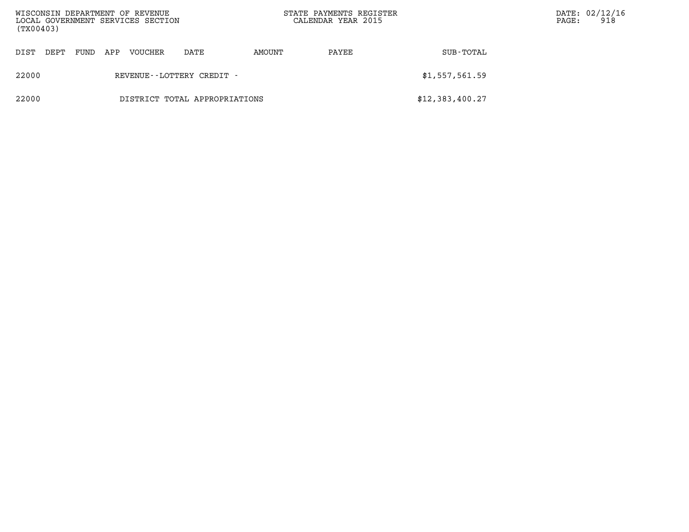| (TX00403)                              |              |     | WISCONSIN DEPARTMENT OF REVENUE<br>LOCAL GOVERNMENT SERVICES SECTION |      |        | STATE PAYMENTS REGISTER<br>CALENDAR YEAR 2015 | DATE: 02/12/16<br>918<br>PAGE: |  |
|----------------------------------------|--------------|-----|----------------------------------------------------------------------|------|--------|-----------------------------------------------|--------------------------------|--|
| DIST                                   | FUND<br>DEPT | APP | VOUCHER                                                              | DATE | AMOUNT | PAYEE                                         | SUB-TOTAL                      |  |
| 22000<br>REVENUE--LOTTERY CREDIT -     |              |     |                                                                      |      |        |                                               | \$1,557,561.59                 |  |
| 22000<br>DISTRICT TOTAL APPROPRIATIONS |              |     |                                                                      |      |        |                                               | \$12,383,400.27                |  |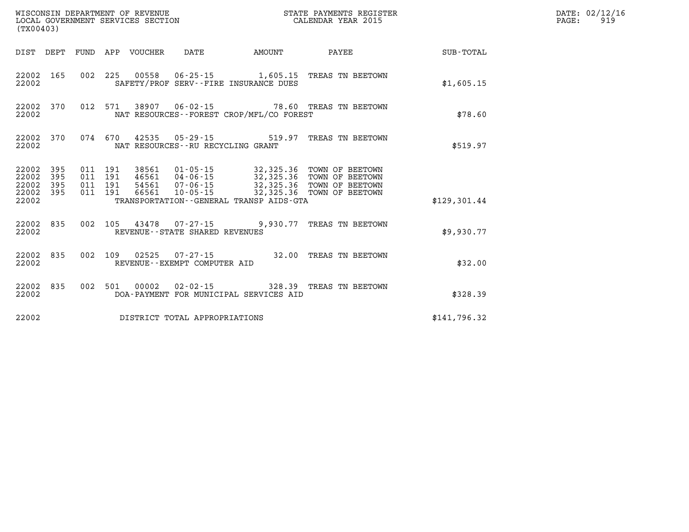| (TX00403)                                             |           |                                          |                            | WISCONSIN DEPARTMENT OF REVENUE<br>LOCAL GOVERNMENT SERVICES SECTION |                                              | STATE PAYMENTS REGISTER<br>CALENDAR YEAR 2015                                                                                                                                   |              | DATE: 02/12/16<br>$\mathtt{PAGE:}$<br>919 |
|-------------------------------------------------------|-----------|------------------------------------------|----------------------------|----------------------------------------------------------------------|----------------------------------------------|---------------------------------------------------------------------------------------------------------------------------------------------------------------------------------|--------------|-------------------------------------------|
|                                                       |           |                                          | DIST DEPT FUND APP VOUCHER | DATE                                                                 | <b>AMOUNT</b>                                | PAYEE                                                                                                                                                                           | SUB-TOTAL    |                                           |
| 22002 165<br>22002                                    |           |                                          |                            |                                                                      | SAFETY/PROF SERV--FIRE INSURANCE DUES        | 002 225 00558 06-25-15 1,605.15 TREAS TN BEETOWN                                                                                                                                | \$1,605.15   |                                           |
| 22002                                                 | 22002 370 |                                          |                            |                                                                      | NAT RESOURCES - - FOREST CROP/MFL/CO FOREST  | 012 571 38907 06-02-15 78.60 TREAS TN BEETOWN                                                                                                                                   | \$78.60      |                                           |
| 22002                                                 | 22002 370 |                                          |                            |                                                                      | NAT RESOURCES - - RU RECYCLING GRANT         | 074 670 42535 05-29-15 519.97 TREAS TN BEETOWN                                                                                                                                  | \$519.97     |                                           |
| 22002 395<br>22002<br>22002 395<br>22002 395<br>22002 | 395       | 011 191<br>011 191<br>011 191<br>011 191 | 38561                      |                                                                      | TRANSPORTATION - - GENERAL TRANSP AIDS - GTA | 01-05-15 32,325.36 TOWN OF BEETOWN<br>46561  04-06-15  32,325.36  TOWN OF BEETOWN<br>54561  07-06-15  32,325.36  TOWN OF BEETOWN<br>66561  10-05-15  32,325.36  TOWN OF BEETOWN | \$129,301.44 |                                           |
| 22002                                                 | 22002 835 |                                          |                            | REVENUE--STATE SHARED REVENUES                                       |                                              | 002 105 43478 07-27-15 9,930.77 TREAS TN BEETOWN                                                                                                                                | \$9,930.77   |                                           |
| 22002                                                 | 22002 835 |                                          |                            | REVENUE--EXEMPT COMPUTER AID                                         |                                              | 002 109 02525 07-27-15 32.00 TREAS TN BEETOWN                                                                                                                                   | \$32.00      |                                           |
| 22002 835<br>22002                                    |           |                                          |                            |                                                                      | DOA-PAYMENT FOR MUNICIPAL SERVICES AID       | 002 501 00002 02-02-15 328.39 TREAS TN BEETOWN                                                                                                                                  | \$328.39     |                                           |
| 22002                                                 |           |                                          |                            | DISTRICT TOTAL APPROPRIATIONS                                        |                                              |                                                                                                                                                                                 | \$141,796.32 |                                           |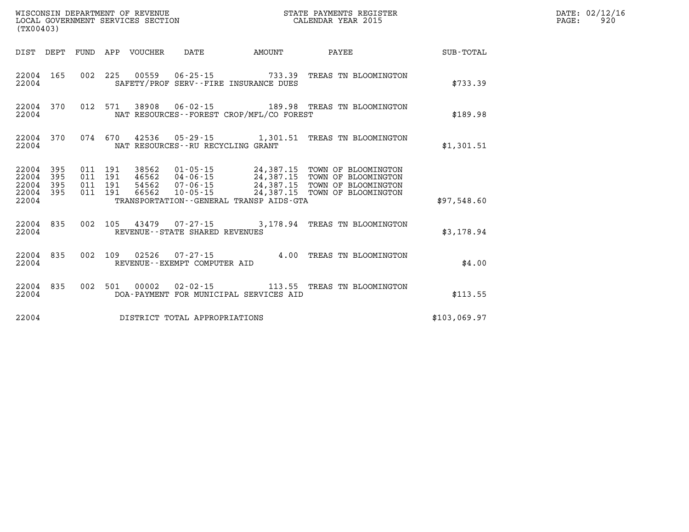| (TX00403)                                         |            |  |                                   |                                             |                                                                                                                                                                                                                                                                                                                                                  |              | DATE: 02/12/16<br>PAGE:<br>920 |
|---------------------------------------------------|------------|--|-----------------------------------|---------------------------------------------|--------------------------------------------------------------------------------------------------------------------------------------------------------------------------------------------------------------------------------------------------------------------------------------------------------------------------------------------------|--------------|--------------------------------|
|                                                   |            |  |                                   | DIST DEPT FUND APP VOUCHER DATE AMOUNT      |                                                                                                                                                                                                                                                                                                                                                  |              |                                |
| 22004                                             | 22004 165  |  |                                   | SAFETY/PROF SERV--FIRE INSURANCE DUES       | 002 225 00559 06-25-15 733.39 TREAS TN BLOOMINGTON                                                                                                                                                                                                                                                                                               | \$733.39     |                                |
| 22004                                             | 22004 370  |  |                                   | NAT RESOURCES - - FOREST CROP/MFL/CO FOREST | 012 571 38908 06-02-15 189.98 TREAS TN BLOOMINGTON                                                                                                                                                                                                                                                                                               | \$189.98     |                                |
| 22004                                             | 22004 370  |  | NAT RESOURCES--RU RECYCLING GRANT |                                             | 074 670 42536 05-29-15 1,301.51 TREAS TN BLOOMINGTON                                                                                                                                                                                                                                                                                             | \$1,301.51   |                                |
| 22004<br>22004<br>22004 395<br>22004 395<br>22004 | 395<br>395 |  |                                   | TRANSPORTATION--GENERAL TRANSP AIDS-GTA     | $\begin{array}{cccc} 011 & 191 & 38562 & 01\cdot 05\cdot 15 & 24\,, 387\,.15 & \textrm{TOWN OF BLOOMINGTON} \\ 011 & 191 & 46562 & 04\cdot 06\cdot 15 & 24\,, 387\,.15 & \textrm{TOWN OF BLOOMINGTON} \\ 011 & 191 & 54562 & 07\cdot 06\cdot 15 & 24\,, 387\,.15 & \textrm{TOWN OF BLOOMINGTON} \\ 011 & 191 & 66562 & 10\cdot 05\cdot 15 & 24\$ | \$97,548.60  |                                |
| 22004                                             | 22004 835  |  | REVENUE--STATE SHARED REVENUES    |                                             | 002 105 43479 07-27-15 3,178.94 TREAS TN BLOOMINGTON                                                                                                                                                                                                                                                                                             | \$3,178.94   |                                |
| 22004 835<br>22004                                |            |  | REVENUE--EXEMPT COMPUTER AID      |                                             | 002 109 02526 07-27-15 4.00 TREAS TN BLOOMINGTON                                                                                                                                                                                                                                                                                                 | \$4.00       |                                |
| 22004 835<br>22004                                |            |  |                                   | DOA-PAYMENT FOR MUNICIPAL SERVICES AID      | 002 501 00002 02-02-15 113.55 TREAS TN BLOOMINGTON                                                                                                                                                                                                                                                                                               | \$113.55     |                                |
| 22004                                             |            |  | DISTRICT TOTAL APPROPRIATIONS     |                                             |                                                                                                                                                                                                                                                                                                                                                  | \$103,069.97 |                                |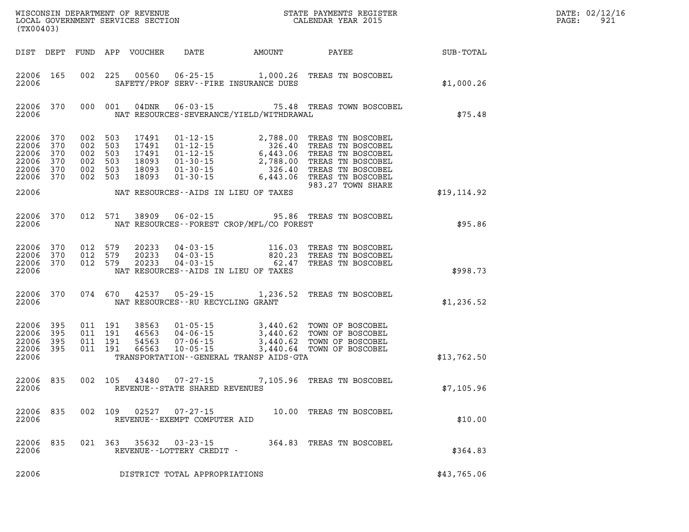| (TX00403)                                                               |                   |                                                                |     |                                 |                                                   |                                             | WISCONSIN DEPARTMENT OF REVENUE<br>LOCAL GOVERNMENT SERVICES SECTION<br>(TYOO403)<br>(TYOO403)                                                                                           |                        | DATE: 02/12/16<br>$\mathtt{PAGE:}$<br>921 |
|-------------------------------------------------------------------------|-------------------|----------------------------------------------------------------|-----|---------------------------------|---------------------------------------------------|---------------------------------------------|------------------------------------------------------------------------------------------------------------------------------------------------------------------------------------------|------------------------|-------------------------------------------|
|                                                                         |                   |                                                                |     | DIST DEPT FUND APP VOUCHER DATE |                                                   |                                             |                                                                                                                                                                                          | AMOUNT PAYEE SUB-TOTAL |                                           |
| 22006 165<br>22006                                                      |                   | 002 225                                                        |     |                                 |                                                   | SAFETY/PROF SERV--FIRE INSURANCE DUES       | 00560  06-25-15   1,000.26  TREAS TN BOSCOBEL                                                                                                                                            | \$1,000.26             |                                           |
| 22006                                                                   | 22006 370         | 000 001                                                        |     |                                 |                                                   | NAT RESOURCES-SEVERANCE/YIELD/WITHDRAWAL    | 04DNR  06-03-15  75.48 TREAS TOWN BOSCOBEL                                                                                                                                               | \$75.48                |                                           |
| 22006 370<br>22006 370<br>22006<br>22006<br>22006<br>22006 370<br>22006 | 370<br>370<br>370 | 002 503<br>002 503<br>002 503<br>002 503<br>002 503<br>002 503 |     |                                 |                                                   | NAT RESOURCES--AIDS IN LIEU OF TAXES        | 983.27 TOWN SHARE                                                                                                                                                                        | \$19, 114.92           |                                           |
| 22006                                                                   | 22006 370         |                                                                |     |                                 |                                                   | NAT RESOURCES - - FOREST CROP/MFL/CO FOREST | 012 571 38909 06-02-15 95.86 TREAS TN BOSCOBEL                                                                                                                                           | \$95.86                |                                           |
| 22006 370<br>22006 370<br>22006                                         | 22006 370         | 012 579<br>012 579<br>012 579                                  |     | 20233<br>20233<br>20233         |                                                   | NAT RESOURCES -- AIDS IN LIEU OF TAXES      | 04-03-15 116.03 TREAS TN BOSCOBEL<br>04-03-15 820.23 TREAS TN BOSCOBEL<br>04-03-15 62.47 TREAS TN BOSCOBEL                                                                               | \$998.73               |                                           |
| 22006                                                                   | 22006 370         | 074 670                                                        |     |                                 | NAT RESOURCES - - RU RECYCLING GRANT              |                                             | 42537 05-29-15 1,236.52 TREAS TN BOSCOBEL                                                                                                                                                | \$1,236.52             |                                           |
| 22006 395<br>22006 395<br>22006<br>22006 395<br>22006                   | 395               | 011 191<br>011 191<br>011 191<br>011 191                       |     |                                 |                                                   | TRANSPORTATION--GENERAL TRANSP AIDS-GTA     | 38563  01-05-15  3,440.62  TOWN OF BOSCOBEL<br>46563  04-06-15  3,440.62  TOWN OF BOSCOBEL<br>54563  07-06-15  3,440.62  TOWN OF BOSCOBEL<br>66563  10-05-15  3,440.64  TOWN OF BOSCOBEL | \$13,762.50            |                                           |
| 22006                                                                   | 22006 835         |                                                                |     |                                 | REVENUE--STATE SHARED REVENUES                    |                                             | 002 105 43480 07-27-15 7,105.96 TREAS TN BOSCOBEL                                                                                                                                        | \$7,105.96             |                                           |
| 22006<br>22006                                                          | 835               | 002                                                            | 109 | 02527                           | $07 - 27 - 15$<br>REVENUE - - EXEMPT COMPUTER AID |                                             | 10.00 TREAS TN BOSCOBEL                                                                                                                                                                  | \$10.00                |                                           |
| 22006<br>22006                                                          | 835               | 021                                                            | 363 | 35632                           | $03 - 23 - 15$<br>REVENUE--LOTTERY CREDIT -       | 364.83                                      | TREAS TN BOSCOBEL                                                                                                                                                                        | \$364.83               |                                           |
| 22006                                                                   |                   |                                                                |     |                                 | DISTRICT TOTAL APPROPRIATIONS                     |                                             |                                                                                                                                                                                          | \$43,765.06            |                                           |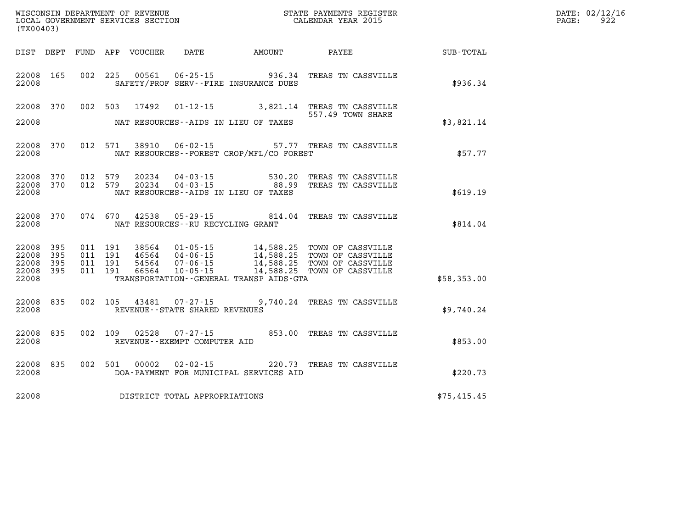| DATE: | 02/12/16 |
|-------|----------|
| PAGE: | 922      |

| (TX00403)                                 |                          |                          |                          | WISCONSIN DEPARTMENT OF REVENUE<br>LOCAL GOVERNMENT SERVICES SECTION |                                                                      |                                                                                             | STATE PAYMENTS REGISTER<br>CALENDAR YEAR 2015                                    |             |  |  |
|-------------------------------------------|--------------------------|--------------------------|--------------------------|----------------------------------------------------------------------|----------------------------------------------------------------------|---------------------------------------------------------------------------------------------|----------------------------------------------------------------------------------|-------------|--|--|
| DIST                                      | DEPT                     | FUND                     | APP                      | VOUCHER                                                              | DATE                                                                 | AMOUNT                                                                                      | PAYEE                                                                            | SUB-TOTAL   |  |  |
| 22008<br>22008                            | 165                      | 002                      | 225                      | 00561                                                                | $06 - 25 - 15$                                                       | 936.34<br>SAFETY/PROF SERV--FIRE INSURANCE DUES                                             | TREAS TN CASSVILLE                                                               | \$936.34    |  |  |
| 22008                                     | 370                      | 002                      | 503                      | 17492                                                                | $01 - 12 - 15$                                                       | 3,821.14                                                                                    | TREAS TN CASSVILLE<br>557.49 TOWN SHARE                                          |             |  |  |
| 22008                                     |                          |                          |                          |                                                                      |                                                                      | NAT RESOURCES -- AIDS IN LIEU OF TAXES                                                      |                                                                                  | \$3,821.14  |  |  |
| 22008<br>22008                            | 370                      | 012                      | 571                      | 38910                                                                | $06 - 02 - 15$                                                       | NAT RESOURCES - - FOREST CROP/MFL/CO FOREST                                                 | 57.77 TREAS TN CASSVILLE                                                         | \$57.77     |  |  |
| 22008<br>22008<br>22008                   | 370<br>370               | 012<br>012               | 579<br>579               | 20234<br>20234                                                       | $04 - 03 - 15$<br>$04 - 03 - 15$                                     | 530.20<br>88.99<br>NAT RESOURCES -- AIDS IN LIEU OF TAXES                                   | TREAS TN CASSVILLE<br>TREAS TN CASSVILLE                                         | \$619.19    |  |  |
| 22008<br>22008                            | 370                      | 074                      | 670                      | 42538                                                                | $05 - 29 - 15$<br>NAT RESOURCES - - RU RECYCLING GRANT               | 814.04                                                                                      | TREAS TN CASSVILLE                                                               | \$814.04    |  |  |
| 22008<br>22008<br>22008<br>22008<br>22008 | 395<br>395<br>395<br>395 | 011<br>011<br>011<br>011 | 191<br>191<br>191<br>191 | 38564<br>46564<br>54564<br>66564                                     | $01 - 05 - 15$<br>$04 - 06 - 15$<br>$07 - 06 - 15$<br>$10 - 05 - 15$ | 14,588.25<br>14,588.25<br>14,588.25<br>14,588.25<br>TRANSPORTATION--GENERAL TRANSP AIDS-GTA | TOWN OF CASSVILLE<br>TOWN OF CASSVILLE<br>TOWN OF CASSVILLE<br>TOWN OF CASSVILLE | \$58,353.00 |  |  |
| 22008<br>22008                            | 835                      | 002                      | 105                      | 43481                                                                | $07 - 27 - 15$<br>REVENUE - - STATE SHARED REVENUES                  | 9,740.24                                                                                    | TREAS TN CASSVILLE                                                               | \$9,740.24  |  |  |
| 22008<br>22008                            | 835                      | 002                      | 109                      | 02528                                                                | $07 - 27 - 15$<br>REVENUE--EXEMPT COMPUTER AID                       | 853.00                                                                                      | TREAS TN CASSVILLE                                                               | \$853.00    |  |  |
| 22008<br>22008                            | 835                      | 002                      | 501                      | 00002                                                                | $02 - 02 - 15$                                                       | 220.73<br>DOA-PAYMENT FOR MUNICIPAL SERVICES AID                                            | TREAS TN CASSVILLE                                                               | \$220.73    |  |  |
| 22008                                     |                          |                          |                          |                                                                      | DISTRICT TOTAL APPROPRIATIONS                                        |                                                                                             |                                                                                  | \$75,415.45 |  |  |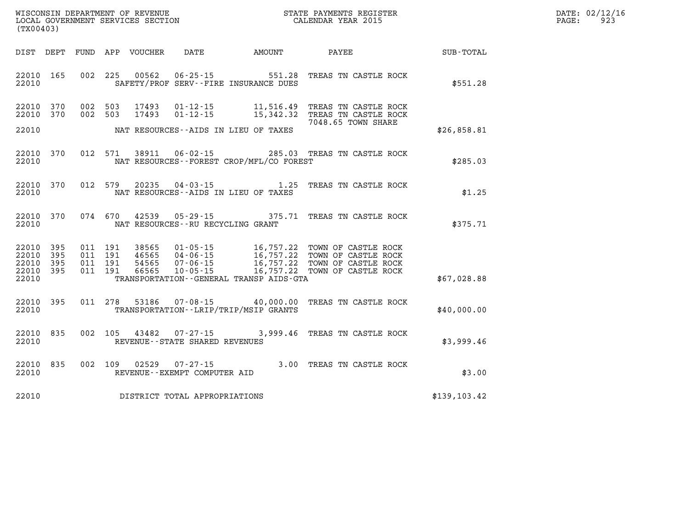| WISCONSIN DEPARTMENT OF REVENUE | PAYMENTS REGISTER :<br>3TATE | DATE: | 02/12/16 |
|---------------------------------|------------------------------|-------|----------|
| LOCAL                           |                              |       | ے و      |
| GOVERNMENT SERVICES SECTION     | CALENDAR YEAR 2015           | PAGE  |          |

|              |                                                                                          |                                                       |                                                                      |                                  |                          |                          |                          | (TX00403)                        |
|--------------|------------------------------------------------------------------------------------------|-------------------------------------------------------|----------------------------------------------------------------------|----------------------------------|--------------------------|--------------------------|--------------------------|----------------------------------|
| SUB-TOTAL    | PAYEE                                                                                    | AMOUNT                                                | DATE                                                                 | VOUCHER                          | APP                      | FUND                     | DEPT                     | DIST                             |
| \$551.28     | TREAS TN CASTLE ROCK                                                                     | 551.28<br>SAFETY/PROF SERV--FIRE INSURANCE DUES       | $06 - 25 - 15$                                                       | 00562                            | 225                      | 002                      | 165                      | 22010<br>22010                   |
|              | TREAS TN CASTLE ROCK<br>TREAS TN CASTLE ROCK<br>7048.65 TOWN SHARE                       | 11,516.49<br>15,342.32                                | $01 - 12 - 15$<br>$01 - 12 - 15$                                     | 17493<br>17493                   | 503<br>503               | 002<br>002               | 370<br>370               | 22010<br>22010                   |
| \$26,858.81  |                                                                                          | NAT RESOURCES--AIDS IN LIEU OF TAXES                  |                                                                      |                                  |                          |                          |                          | 22010                            |
| \$285.03     | 285.03 TREAS TN CASTLE ROCK                                                              | NAT RESOURCES - - FOREST CROP/MFL/CO FOREST           | $06 - 02 - 15$                                                       | 38911                            | 571                      | 012                      | 370                      | 22010<br>22010                   |
| \$1.25       | TREAS TN CASTLE ROCK                                                                     | 1.25<br>NAT RESOURCES--AIDS IN LIEU OF TAXES          | $04 - 03 - 15$                                                       | 20235                            | 579                      | 012                      | 370                      | 22010<br>22010                   |
| \$375.71     | TREAS TN CASTLE ROCK                                                                     | 375.71                                                | $05 - 29 - 15$<br>NAT RESOURCES - - RU RECYCLING GRANT               | 42539                            | 074 670                  |                          | 370                      | 22010<br>22010                   |
|              | TOWN OF CASTLE ROCK<br>TOWN OF CASTLE ROCK<br>TOWN OF CASTLE ROCK<br>TOWN OF CASTLE ROCK | 16,757.22<br>16,757.22<br>16,757.22<br>16,757.22      | $01 - 05 - 15$<br>$04 - 06 - 15$<br>$07 - 06 - 15$<br>$10 - 05 - 15$ | 38565<br>46565<br>54565<br>66565 | 191<br>191<br>191<br>191 | 011<br>011<br>011<br>011 | 395<br>395<br>395<br>395 | 22010<br>22010<br>22010<br>22010 |
| \$67,028.88  |                                                                                          | TRANSPORTATION--GENERAL TRANSP AIDS-GTA               |                                                                      |                                  |                          |                          |                          | 22010                            |
| \$40,000.00  | TREAS TN CASTLE ROCK                                                                     | 40,000.00<br>TRANSPORTATION - - LRIP/TRIP/MSIP GRANTS | 07-08-15                                                             | 53186                            | 278                      | 011                      | 395                      | 22010<br>22010                   |
| \$3,999.46   | TREAS TN CASTLE ROCK                                                                     | 3,999.46                                              | $07 - 27 - 15$<br>REVENUE - - STATE SHARED REVENUES                  | 43482                            | 105                      | 002                      | 835                      | 22010<br>22010                   |
| \$3.00       | TREAS TN CASTLE ROCK                                                                     | 3.00                                                  | $07 - 27 - 15$<br>REVENUE--EXEMPT COMPUTER AID                       | 02529                            | 109                      | 002                      | 835                      | 22010<br>22010                   |
| \$139,103.42 |                                                                                          |                                                       | DISTRICT TOTAL APPROPRIATIONS                                        |                                  |                          |                          |                          | 22010                            |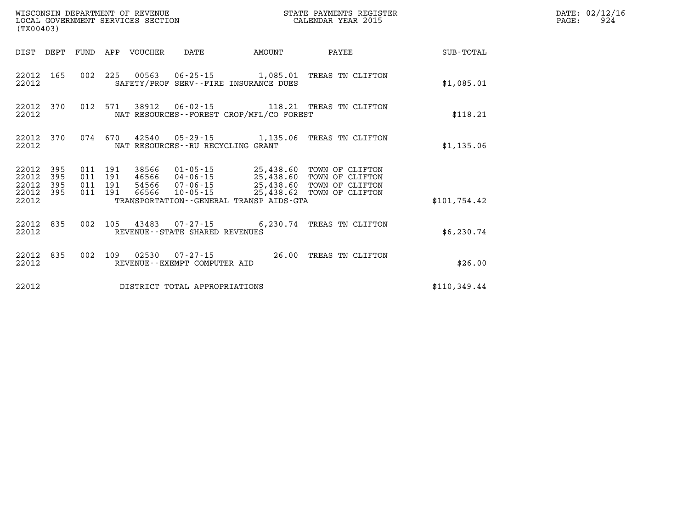| (TX00403)               |                   |  |                  |                                   |                                             | STATE PAYMENTS REGISTER                                                                                                                                                                                                                     |              | DATE: 02/12/16<br>$\mathtt{PAGE:}$<br>924 |
|-------------------------|-------------------|--|------------------|-----------------------------------|---------------------------------------------|---------------------------------------------------------------------------------------------------------------------------------------------------------------------------------------------------------------------------------------------|--------------|-------------------------------------------|
| DIST DEPT               |                   |  | FUND APP VOUCHER | DATE                              | <b>AMOUNT</b>                               | <b>PAYEE</b>                                                                                                                                                                                                                                | SUB-TOTAL    |                                           |
| 22012 165<br>22012      |                   |  |                  |                                   | SAFETY/PROF SERV--FIRE INSURANCE DUES       | 002 225 00563 06-25-15 1,085.01 TREAS TN CLIFTON                                                                                                                                                                                            | \$1,085.01   |                                           |
| 22012<br>22012          | 370               |  |                  |                                   | NAT RESOURCES - - FOREST CROP/MFL/CO FOREST | 012 571 38912 06-02-15 118.21 TREAS TN CLIFTON                                                                                                                                                                                              | \$118.21     |                                           |
| 22012<br>22012          | 370               |  |                  | NAT RESOURCES--RU RECYCLING GRANT |                                             | 074 670 42540 05-29-15 1,135.06 TREAS TN CLIFTON                                                                                                                                                                                            | \$1,135.06   |                                           |
| 22012<br>22012<br>22012 | 395<br>395<br>395 |  |                  |                                   |                                             | 011  191  38566  01-05-15  25,438.60  TOWN OF CLIFTON<br>011 191 46566 04-06-15<br>011 191 54566 07-06-15 25,438.60 TOWN OF CLIFTON<br>011 191 66566 10-05-15 25,438.60 TOWN OF CLIFTON<br>011 191 66566 10-05-15 25,438.62 TOWN OF CLIFTON |              |                                           |
| 22012 395<br>22012      |                   |  |                  |                                   | TRANSPORTATION--GENERAL TRANSP AIDS-GTA     |                                                                                                                                                                                                                                             | \$101,754.42 |                                           |
| 22012 835<br>22012      |                   |  |                  | REVENUE--STATE SHARED REVENUES    |                                             | 002 105 43483 07-27-15 6,230.74 TREAS TN CLIFTON                                                                                                                                                                                            | \$6,230.74   |                                           |
| 22012<br>22012          | 835               |  |                  | REVENUE--EXEMPT COMPUTER AID      |                                             | 002 109 02530 07-27-15 26.00 TREAS TN CLIFTON                                                                                                                                                                                               | \$26.00      |                                           |
| 22012                   |                   |  |                  | DISTRICT TOTAL APPROPRIATIONS     |                                             |                                                                                                                                                                                                                                             | \$110,349.44 |                                           |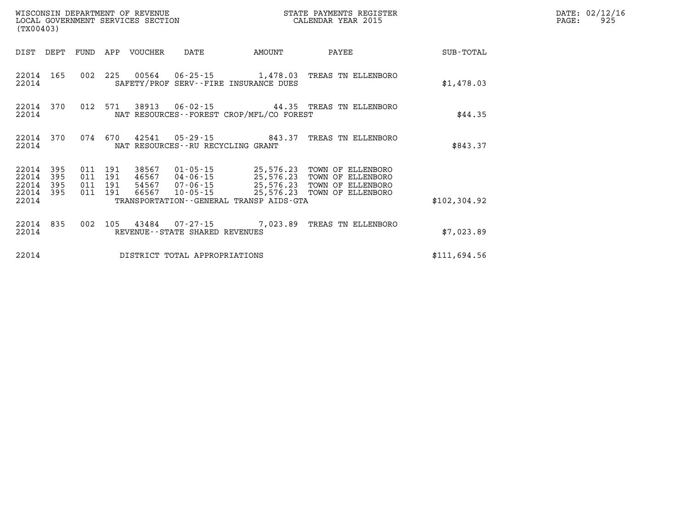| (TX00403)                                 |                          |                           |                | WISCONSIN DEPARTMENT OF REVENUE<br>LOCAL GOVERNMENT SERVICES SECTION |                                     |                                             | STATE PAYMENTS REGISTER<br>CALENDAR YEAR 2015                                                                                                                                                    |              | DATE: 02/12/16<br>PAGE:<br>925 |
|-------------------------------------------|--------------------------|---------------------------|----------------|----------------------------------------------------------------------|-------------------------------------|---------------------------------------------|--------------------------------------------------------------------------------------------------------------------------------------------------------------------------------------------------|--------------|--------------------------------|
| DIST DEPT                                 |                          |                           |                | FUND APP VOUCHER                                                     | DATE                                | AMOUNT                                      | PAYEE                                                                                                                                                                                            | SUB-TOTAL    |                                |
| 22014 165<br>22014                        |                          |                           |                |                                                                      |                                     | SAFETY/PROF SERV--FIRE INSURANCE DUES       | 002 225 00564 06-25-15 1,478.03 TREAS TN ELLENBORO                                                                                                                                               | \$1,478.03   |                                |
| 22014 370<br>22014                        |                          | 012                       |                | 571 38913                                                            |                                     | NAT RESOURCES - - FOREST CROP/MFL/CO FOREST | 06-02-15 44.35 TREAS TN ELLENBORO                                                                                                                                                                | \$44.35      |                                |
| 22014 370<br>22014                        |                          |                           |                | 074 670 42541                                                        | NAT RESOURCES -- RU RECYCLING GRANT |                                             |                                                                                                                                                                                                  | \$843.37     |                                |
| 22014<br>22014<br>22014<br>22014<br>22014 | 395<br>395<br>395<br>395 | 011<br>011 191<br>011 191 | 191<br>011 191 |                                                                      |                                     | TRANSPORTATION--GENERAL TRANSP AIDS-GTA     | 38567  01-05-15  25,576.23  TOWN OF ELLENBORO<br>46567  04-06-15  25,576.23  TOWN OF ELLENBORO<br>54567  07-06-15  25,576.23  TOWN OF ELLENBORO<br>66567  10-05-15  25,576.23  TOWN OF ELLENBORO | \$102,304.92 |                                |
| 22014 835<br>22014                        |                          | 002                       |                |                                                                      | REVENUE--STATE SHARED REVENUES      |                                             | 105 43484 07-27-15 7,023.89 TREAS TN ELLENBORO                                                                                                                                                   | \$7,023.89   |                                |
| 22014                                     |                          |                           |                |                                                                      | DISTRICT TOTAL APPROPRIATIONS       |                                             |                                                                                                                                                                                                  | \$111,694.56 |                                |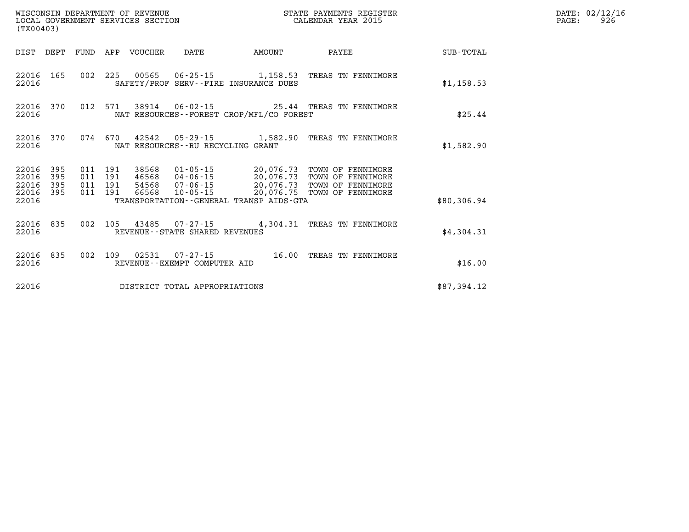| WISCONSIN DEPARTMENT OF REVENUE<br>LOCAL GOVERNMENT SERVICES SECTION<br>(TX00403) |                   |                               |         |                  |                                   |                                             | STATE PAYMENTS REGISTER<br>CALENDAR YEAR 2015                                                                                                                    |             | DATE: 02/12/16<br>926<br>PAGE: |
|-----------------------------------------------------------------------------------|-------------------|-------------------------------|---------|------------------|-----------------------------------|---------------------------------------------|------------------------------------------------------------------------------------------------------------------------------------------------------------------|-------------|--------------------------------|
| DIST DEPT                                                                         |                   |                               |         | FUND APP VOUCHER | DATE                              | AMOUNT                                      | PAYEE                                                                                                                                                            | SUB-TOTAL   |                                |
| 22016 165<br>22016                                                                |                   |                               |         |                  |                                   | SAFETY/PROF SERV--FIRE INSURANCE DUES       | 002 225 00565 06-25-15 1,158.53 TREAS TN FENNIMORE                                                                                                               | \$1,158.53  |                                |
| 22016 370<br>22016                                                                |                   |                               |         |                  |                                   | NAT RESOURCES - - FOREST CROP/MFL/CO FOREST | 012 571 38914 06-02-15 25.44 TREAS TN FENNIMORE                                                                                                                  | \$25.44     |                                |
| 22016 370<br>22016                                                                |                   |                               |         |                  | NAT RESOURCES--RU RECYCLING GRANT |                                             | 074 670 42542 05-29-15 1,582.90 TREAS TN FENNIMORE                                                                                                               | \$1,582.90  |                                |
| 22016<br>22016<br>22016                                                           | 395<br>395<br>395 | 011 191<br>011 191<br>011 191 |         | 38568            |                                   |                                             | 01-05-15 20,076.73 TOWN OF FENNIMORE<br>46568   04-06-15<br>54568   07-06-15   20,076.73   TOWN OF FENNIMORE<br>66568   10-05-15   20,076.73   TOWN OF FENNIMORE |             |                                |
| 22016 395<br>22016                                                                |                   |                               | 011 191 |                  |                                   | TRANSPORTATION--GENERAL TRANSP AIDS-GTA     |                                                                                                                                                                  | \$80,306.94 |                                |
| 22016 835<br>22016                                                                |                   |                               |         |                  | REVENUE - - STATE SHARED REVENUES |                                             | 002 105 43485 07-27-15 4,304.31 TREAS TN FENNIMORE                                                                                                               | \$4,304.31  |                                |
| 22016 835<br>22016                                                                |                   |                               |         |                  | REVENUE--EXEMPT COMPUTER AID      |                                             | 002 109 02531 07-27-15 16.00 TREAS TN FENNIMORE                                                                                                                  | \$16.00     |                                |
| 22016                                                                             |                   |                               |         |                  | DISTRICT TOTAL APPROPRIATIONS     |                                             |                                                                                                                                                                  | \$87,394.12 |                                |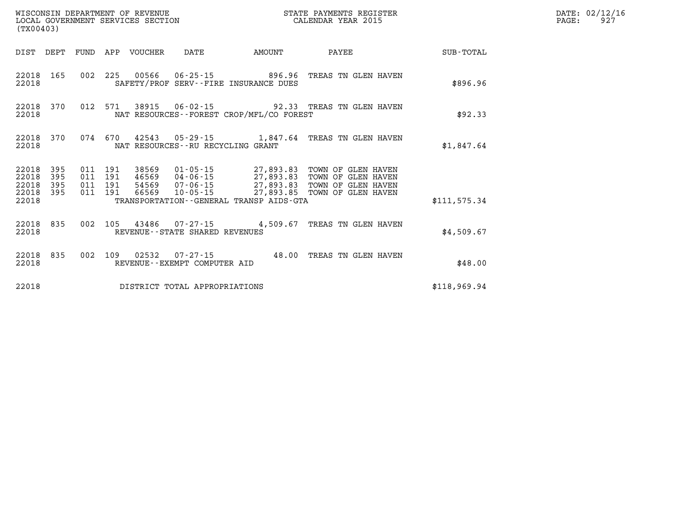| (TX00403)                   |                               |         |                    |                                 | WISCONSIN DEPARTMENT OF REVENUE<br>LOCAL GOVERNMENT SERVICES SECTION |                                             | STATE PAYMENTS REGISTER<br>CALENDAR YEAR 2015                                                                                                                                                  |              | DATE: 02/12/16<br>PAGE:<br>927 |
|-----------------------------|-------------------------------|---------|--------------------|---------------------------------|----------------------------------------------------------------------|---------------------------------------------|------------------------------------------------------------------------------------------------------------------------------------------------------------------------------------------------|--------------|--------------------------------|
|                             |                               |         |                    | DIST DEPT FUND APP VOUCHER DATE |                                                                      | AMOUNT                                      | PAYEE                                                                                                                                                                                          | SUB-TOTAL    |                                |
| 22018                       | 22018 165                     |         |                    |                                 |                                                                      | SAFETY/PROF SERV--FIRE INSURANCE DUES       | 002 225 00566 06-25-15 896.96 TREAS TN GLEN HAVEN                                                                                                                                              | \$896.96     |                                |
| 22018                       | 22018 370                     |         |                    |                                 |                                                                      | NAT RESOURCES - - FOREST CROP/MFL/CO FOREST | 012 571 38915 06-02-15 92.33 TREAS TN GLEN HAVEN                                                                                                                                               | \$92.33      |                                |
| 22018                       | 22018 370                     |         |                    |                                 | NAT RESOURCES - - RU RECYCLING GRANT                                 |                                             | 074 670 42543 05-29-15 1,847.64 TREAS TN GLEN HAVEN                                                                                                                                            | \$1,847.64   |                                |
| 22018 395<br>22018<br>22018 | 395<br>395                    | 011 191 | 011 191<br>011 191 |                                 |                                                                      |                                             | 38569  01-05-15  27,893.83  TOWN OF GLEN HAVEN<br>46569 04-06-15 27,893.83 TOWN OF GLEN HAVEN<br>54569 07-06-15 27,893.83 TOWN OF GLEN HAVEN<br>66569  10-05-15  27,893.85  TOWN OF GLEN HAVEN |              |                                |
| 22018 395<br>22018          |                               |         | 011 191            |                                 |                                                                      | TRANSPORTATION--GENERAL TRANSP AIDS-GTA     |                                                                                                                                                                                                | \$111.575.34 |                                |
| 22018                       | 22018 835                     |         |                    |                                 | REVENUE - - STATE SHARED REVENUES                                    |                                             | 002 105 43486 07-27-15 4,509.67 TREAS TN GLEN HAVEN                                                                                                                                            | \$4.509.67   |                                |
| 22018                       | 22018 835                     |         |                    |                                 | REVENUE--EXEMPT COMPUTER AID                                         |                                             | 002 109 02532 07-27-15 48.00 TREAS TN GLEN HAVEN                                                                                                                                               | \$48.00      |                                |
| 22018                       | DISTRICT TOTAL APPROPRIATIONS |         |                    |                                 |                                                                      |                                             |                                                                                                                                                                                                | \$118,969.94 |                                |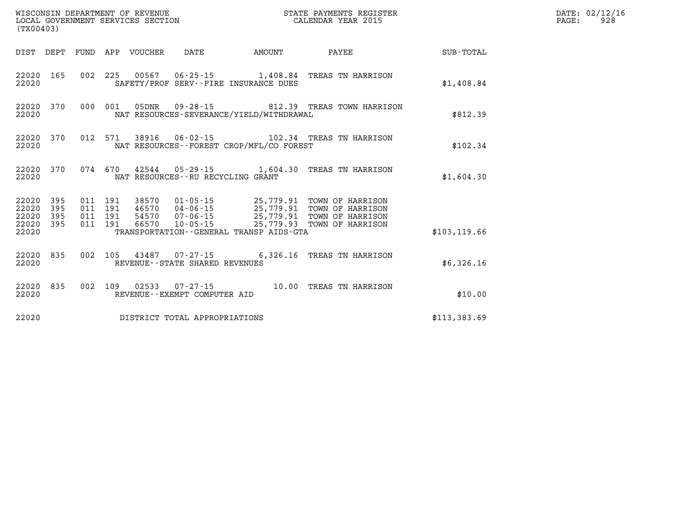| (TX00403)                                    |           |                               |         |                                 |                                                             |                                          |                                                                                                                                                                                          |               | DATE: 02/12/16<br>PAGE:<br>928 |
|----------------------------------------------|-----------|-------------------------------|---------|---------------------------------|-------------------------------------------------------------|------------------------------------------|------------------------------------------------------------------------------------------------------------------------------------------------------------------------------------------|---------------|--------------------------------|
|                                              |           |                               |         | DIST DEPT FUND APP VOUCHER DATE |                                                             | <b>EXAMPLE THE AMOUNT</b>                | <b>PAYEE</b>                                                                                                                                                                             | SUB-TOTAL     |                                |
| 22020 165<br>22020                           |           |                               |         |                                 |                                                             | SAFETY/PROF SERV--FIRE INSURANCE DUES    | 002 225 00567 06-25-15 1,408.84 TREAS TN HARRISON                                                                                                                                        | \$1,408.84    |                                |
| 22020                                        | 22020 370 |                               |         |                                 |                                                             | NAT RESOURCES-SEVERANCE/YIELD/WITHDRAWAL | 000 001 05DNR  09-28-15  812.39 TREAS TOWN HARRISON                                                                                                                                      | \$812.39      |                                |
| 22020                                        |           |                               |         |                                 |                                                             | NAT RESOURCES--FOREST CROP/MFL/CO FOREST | 22020 370 012 571 38916 06-02-15 102.34 TREAS TN HARRISON                                                                                                                                | \$102.34      |                                |
| 22020                                        | 22020 370 |                               |         |                                 | NAT RESOURCES--RU RECYCLING GRANT                           |                                          | 074  670  42544  05-29-15   1,604.30  TREAS TN HARRISON                                                                                                                                  | \$1,604.30    |                                |
| 22020 395<br>22020 395<br>22020<br>22020 395 | 395       | 011 191<br>011 191<br>011 191 | 011 191 |                                 |                                                             |                                          | 38570  01-05-15  25,779.91 TOWN OF HARRISON<br>46570  04-06-15  25,779.91 TOWN OF HARRISON<br>54570  07-06-15  25,779.91 TOWN OF HARRISON<br>66570  10-05-15  25,779.93 TOWN OF HARRISON |               |                                |
| 22020                                        |           |                               |         |                                 |                                                             | TRANSPORTATION--GENERAL TRANSP AIDS-GTA  |                                                                                                                                                                                          | \$103, 119.66 |                                |
| 22020 835<br>22020                           |           |                               |         |                                 | 002 105 43487 07-27-15<br>REVENUE - - STATE SHARED REVENUES |                                          | 6,326.16 TREAS TN HARRISON                                                                                                                                                               | \$6,326.16    |                                |
| 22020 835<br>22020                           |           |                               | 002 109 |                                 | REVENUE--EXEMPT COMPUTER AID                                |                                          | 02533  07-27-15  10.00 TREAS TN HARRISON                                                                                                                                                 | \$10.00       |                                |
| 22020                                        |           |                               |         |                                 | DISTRICT TOTAL APPROPRIATIONS                               |                                          |                                                                                                                                                                                          | \$113,383.69  |                                |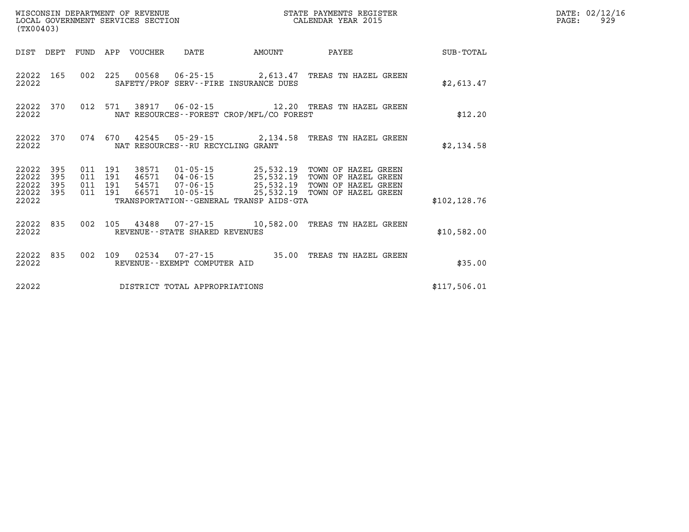| (TX00403)                            |                   |                    |                    |                            | WISCONSIN DEPARTMENT OF REVENUE<br>LOCAL GOVERNMENT SERVICES SECTION |                                          | STATE PAYMENTS REGISTER<br>CALENDAR YEAR 2015        |               | DATE: 02/12/16<br>PAGE:<br>929 |
|--------------------------------------|-------------------|--------------------|--------------------|----------------------------|----------------------------------------------------------------------|------------------------------------------|------------------------------------------------------|---------------|--------------------------------|
|                                      |                   |                    |                    | DIST DEPT FUND APP VOUCHER | DATE                                                                 | AMOUNT                                   | PAYEE                                                | SUB-TOTAL     |                                |
| 22022                                | 22022 165         |                    |                    |                            |                                                                      | SAFETY/PROF SERV--FIRE INSURANCE DUES    | 002 225 00568 06-25-15 2,613.47 TREAS TN HAZEL GREEN | \$2,613.47    |                                |
| 22022 370<br>22022                   |                   |                    | 012 571            |                            |                                                                      | NAT RESOURCES--FOREST CROP/MFL/CO FOREST | 38917  06-02-15  12.20  TREAS TN HAZEL GREEN         | \$12.20       |                                |
| 22022 370<br>22022                   |                   |                    | 074 670            |                            | NAT RESOURCES--RU RECYCLING GRANT                                    |                                          | 42545  05-29-15  2,134.58  TREAS TN HAZEL GREEN      | \$2,134.58    |                                |
| 22022<br>22022<br>22022<br>22022 395 | 395<br>395<br>395 | 011 191<br>011 191 | 011 191<br>011 191 |                            |                                                                      |                                          | 38571  01-05-15  25,532.19  TOWN OF HAZEL GREEN      |               |                                |
| 22022                                |                   |                    |                    |                            |                                                                      | TRANSPORTATION--GENERAL TRANSP AIDS-GTA  |                                                      | \$102, 128.76 |                                |
| 22022                                | 22022 835         |                    | 002 105            |                            | REVENUE--STATE SHARED REVENUES                                       |                                          | 43488  07-27-15   10,582.00   TREAS TN HAZEL GREEN   | \$10,582.00   |                                |
| 22022                                | 22022 835         | 002 109            |                    |                            | REVENUE--EXEMPT COMPUTER AID                                         |                                          |                                                      | \$35.00       |                                |
| 22022                                |                   |                    |                    |                            | DISTRICT TOTAL APPROPRIATIONS                                        |                                          |                                                      | \$117.506.01  |                                |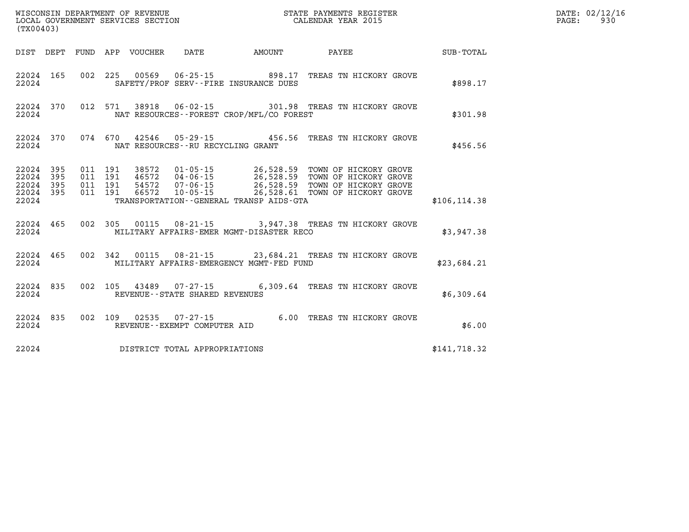| (TX00403) |            |  |                                     |                                                | WISCONSIN DEPARTMENT OF REVENUE<br>LOCAL GOVERNMENT SERVICES SECTION<br>CALENDAR YEAR 2015                                                                                                                                                                                                                                                         |               | DATE: 02/12/16<br>PAGE: 930 |
|-----------|------------|--|-------------------------------------|------------------------------------------------|----------------------------------------------------------------------------------------------------------------------------------------------------------------------------------------------------------------------------------------------------------------------------------------------------------------------------------------------------|---------------|-----------------------------|
|           |            |  |                                     |                                                | DIST DEPT FUND APP VOUCHER DATE AMOUNT PAYEE                                                                                                                                                                                                                                                                                                       | SUB-TOTAL     |                             |
|           | 22024      |  |                                     | SAFETY/PROF SERV--FIRE INSURANCE DUES          | 22024 165 002 225 00569 06-25-15 898.17 TREAS TN HICKORY GROVE                                                                                                                                                                                                                                                                                     | \$898.17      |                             |
| 22024     |            |  |                                     | NAT RESOURCES -- FOREST CROP/MFL/CO FOREST     | 22024 370 012 571 38918 06-02-15 301.98 TREAS TN HICKORY GROVE                                                                                                                                                                                                                                                                                     | \$301.98      |                             |
|           |            |  |                                     | 22024 NAT RESOURCES--RU RECYCLING GRANT        | 22024 370 074 670 42546 05-29-15 456.56 TREAS TN HICKORY GROVE                                                                                                                                                                                                                                                                                     | \$456.56      |                             |
| 22024     |            |  |                                     | TRANSPORTATION - GENERAL TRANSP AIDS-GTA       | $\begin{array}{cccccccc} 22024 & 395 & 011 & 191 & 38572 & 01\text{-}05\text{-}15 & 26,528.59 & \text{TOWN OF HICKORY GROVE} \\ 22024 & 395 & 011 & 191 & 46572 & 04\text{-}06\text{-}15 & 26,528.59 & \text{TOWN OF HICKORY GROVE} \\ 22024 & 395 & 011 & 191 & 54572 & 07\text{-}06\text{-}15 & 26,528.59 & \text{TOWN OF HICKORY GROVE} \\ 220$ | \$106, 114.38 |                             |
|           |            |  |                                     |                                                | 22024 465 002 305 00115 08-21-15 3,947.38 TREAS TN HICKORY GROVE<br>22024 MILITARY AFFAIRS-EMER MGMT-DISASTER RECO                                                                                                                                                                                                                                 | \$3,947.38    |                             |
|           |            |  |                                     | 22024 MILITARY AFFAIRS-EMERGENCY MGMT-FED FUND | 22024 465 002 342 00115 08-21-15 23,684.21 TREAS TN HICKORY GROVE                                                                                                                                                                                                                                                                                  | \$23,684.21   |                             |
|           |            |  |                                     | 22024 REVENUE - STATE SHARED REVENUES          | 22024 835 002 105 43489 07-27-15 6,309.64 TREAS TN HICKORY GROVE                                                                                                                                                                                                                                                                                   | \$6,309.64    |                             |
|           | 22024 2002 |  | REVENUE--EXEMPT COMPUTER AID        |                                                | 22024 835 002 109 02535 07-27-15 6.00 TREAS TN HICKORY GROVE                                                                                                                                                                                                                                                                                       | \$6.00        |                             |
|           |            |  | 22024 DISTRICT TOTAL APPROPRIATIONS |                                                |                                                                                                                                                                                                                                                                                                                                                    | \$141,718.32  |                             |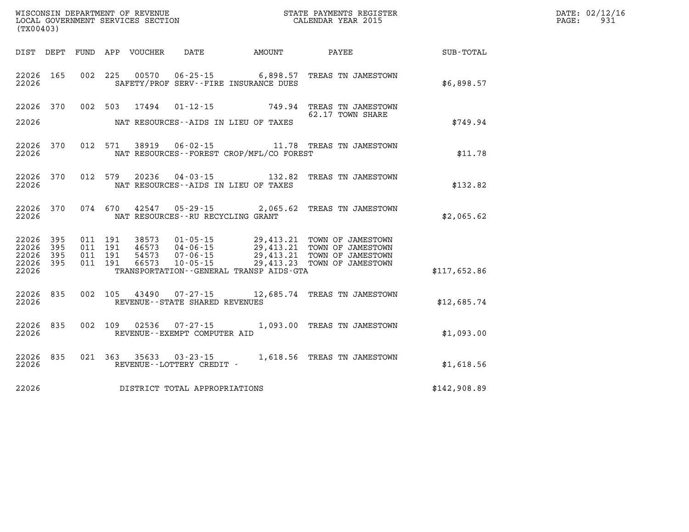| (TX00403)                                             |           |                                          |         |                                     |                                              | WISCONSIN DEPARTMENT OF REVENUE<br>LOCAL GOVERNMENT SERVICES SECTION THE STATE PAYMENTS REGIST<br>(TYOO402)<br>STATE PAYMENTS REGISTER                                                           |              | DATE: 02/12/16<br>PAGE:<br>931 |
|-------------------------------------------------------|-----------|------------------------------------------|---------|-------------------------------------|----------------------------------------------|--------------------------------------------------------------------------------------------------------------------------------------------------------------------------------------------------|--------------|--------------------------------|
|                                                       |           |                                          |         |                                     |                                              | DIST DEPT FUND APP VOUCHER DATE AMOUNT PAYEE                                                                                                                                                     | SUB-TOTAL    |                                |
| 22026                                                 | 22026 165 |                                          |         |                                     | SAFETY/PROF SERV--FIRE INSURANCE DUES        | 002 225 00570 06-25-15 6,898.57 TREAS TN JAMESTOWN                                                                                                                                               | \$6,898.57   |                                |
| 22026                                                 |           |                                          |         |                                     | NAT RESOURCES--AIDS IN LIEU OF TAXES         | 22026 370 002 503 17494 01-12-15 749.94 TREAS TN JAMESTOWN<br>62.17 TOWN SHARE                                                                                                                   | \$749.94     |                                |
| 22026                                                 | 22026 370 |                                          | 012 571 |                                     | NAT RESOURCES - - FOREST CROP/MFL/CO FOREST  | 38919  06-02-15   11.78   TREAS TN JAMESTOWN                                                                                                                                                     | \$11.78      |                                |
| 22026                                                 |           | 22026 370 012 579                        |         |                                     | NAT RESOURCES--AIDS IN LIEU OF TAXES         | 20236  04-03-15  132.82  TREAS TN JAMESTOWN                                                                                                                                                      | \$132.82     |                                |
| 22026                                                 |           | 22026 370 074 670                        |         | NAT RESOURCES -- RU RECYCLING GRANT |                                              | 42547 05-29-15 2,065.62 TREAS TN JAMESTOWN                                                                                                                                                       | \$2,065.62   |                                |
| 22026 395<br>22026<br>22026 395<br>22026 395<br>22026 | 395       | 011 191<br>011 191<br>011 191<br>011 191 |         |                                     | TRANSPORTATION - - GENERAL TRANSP AIDS - GTA | 38573  01-05-15  29,413.21  TOWN OF JAMESTOWN<br>46573  04-06-15  29,413.21  TOWN OF JAMESTOWN<br>54573  07-06-15  29,413.21  TOWN OF JAMESTOWN<br>66573  10-05-15  29,413.23  TOWN OF JAMESTOWN | \$117,652.86 |                                |
| 22026                                                 | 22026 835 |                                          |         | REVENUE--STATE SHARED REVENUES      |                                              | 002 105 43490 07-27-15 12,685.74 TREAS TN JAMESTOWN                                                                                                                                              | \$12,685.74  |                                |
| 22026                                                 | 22026 835 |                                          |         | REVENUE--EXEMPT COMPUTER AID        |                                              | 002 109 02536 07-27-15 1,093.00 TREAS TN JAMESTOWN                                                                                                                                               | \$1,093.00   |                                |
| 22026                                                 | 22026 835 |                                          |         | REVENUE--LOTTERY CREDIT -           |                                              | 021 363 35633 03-23-15 1,618.56 TREAS TN JAMESTOWN                                                                                                                                               | \$1,618.56   |                                |
| 22026                                                 |           |                                          |         | DISTRICT TOTAL APPROPRIATIONS       | \$142,908.89                                 |                                                                                                                                                                                                  |              |                                |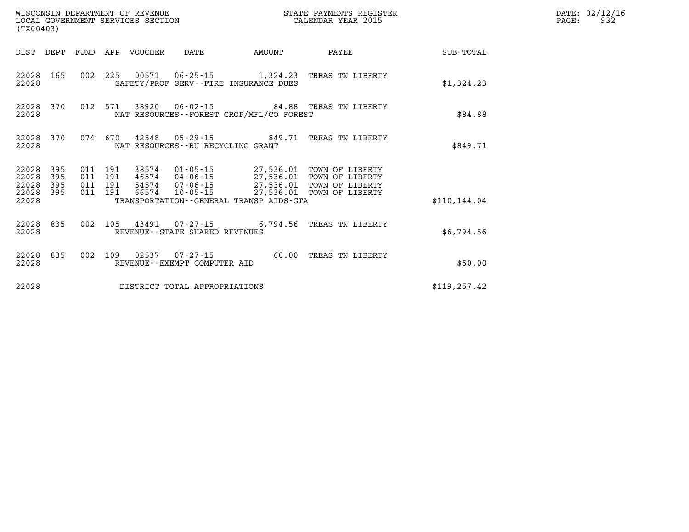| WISCONSIN DEPARTMENT OF REVENUE<br>LOCAL GOVERNMENT SERVICES SECTION<br>(TX00403) |                   |                               |         |                            |                                             |        | STATE PAYMENTS REGISTER<br>CALENDAR YEAR 2015                                                                                    |               | DATE: 02/12/16<br>PAGE:<br>932 |
|-----------------------------------------------------------------------------------|-------------------|-------------------------------|---------|----------------------------|---------------------------------------------|--------|----------------------------------------------------------------------------------------------------------------------------------|---------------|--------------------------------|
|                                                                                   |                   |                               |         | DIST DEPT FUND APP VOUCHER | DATE                                        | AMOUNT | PAYEE                                                                                                                            | SUB-TOTAL     |                                |
| 22028                                                                             | 22028 165         |                               |         |                            | SAFETY/PROF SERV--FIRE INSURANCE DUES       |        | 002 225 00571 06-25-15 1,324.23 TREAS TN LIBERTY                                                                                 | \$1,324.23    |                                |
| 22028 370<br>22028                                                                |                   |                               |         |                            | NAT RESOURCES - - FOREST CROP/MFL/CO FOREST |        | 012 571 38920 06-02-15 84.88 TREAS TN LIBERTY                                                                                    | \$84.88       |                                |
| 22028 370<br>22028                                                                |                   | 074 670                       |         |                            | NAT RESOURCES--RU RECYCLING GRANT           |        |                                                                                                                                  | \$849.71      |                                |
| 22028<br>22028<br>22028<br>22028 395                                              | 395<br>395<br>395 | 011 191<br>011 191<br>011 191 | 011 191 | 66574                      |                                             |        | 46574  04-06-15  27,536.01  TOWN OF LIBERTY<br>54574  07-06-15  27,536.01  TOWN OF LIBERTY<br>10-05-15 27,536.01 TOWN OF LIBERTY |               |                                |
| 22028                                                                             |                   |                               |         |                            | TRANSPORTATION--GENERAL TRANSP AIDS-GTA     |        |                                                                                                                                  | \$110.144.04  |                                |
| 22028 835<br>22028                                                                |                   |                               |         |                            | REVENUE - - STATE SHARED REVENUES           |        | 002 105 43491 07-27-15 6,794.56 TREAS TN LIBERTY                                                                                 | \$6,794.56    |                                |
| 22028                                                                             | 22028 835         | 002 109                       |         |                            | REVENUE--EXEMPT COMPUTER AID                |        | 60.00 TREAS TN LIBERTY                                                                                                           | \$60.00       |                                |
| 22028                                                                             |                   |                               |         |                            | DISTRICT TOTAL APPROPRIATIONS               |        |                                                                                                                                  | \$119, 257.42 |                                |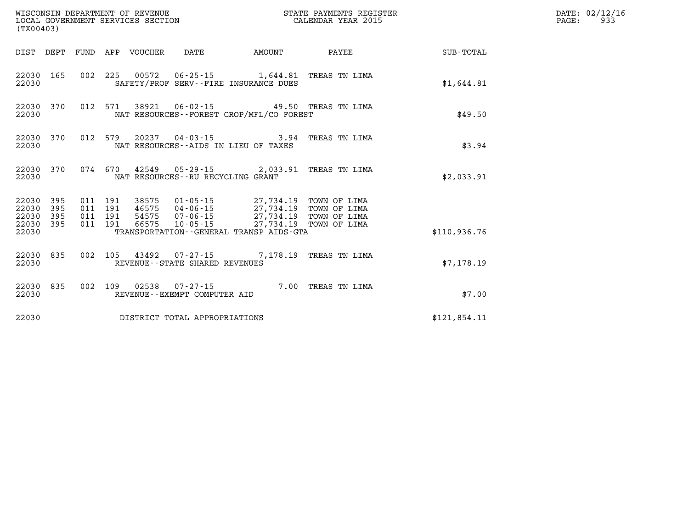| (TX00403)                                |            |                                          |  |                                 |                                   |                                                                                                                                                                        | STATE PAYMENTS REGISTER |              | DATE: 02/12/16<br>PAGE:<br>933 |
|------------------------------------------|------------|------------------------------------------|--|---------------------------------|-----------------------------------|------------------------------------------------------------------------------------------------------------------------------------------------------------------------|-------------------------|--------------|--------------------------------|
|                                          |            |                                          |  | DIST DEPT FUND APP VOUCHER DATE |                                   | <b>EXAMPLE THE PROPERTY OF AMOUNT</b>                                                                                                                                  | PAYEE                   | SUB-TOTAL    |                                |
| 22030 165<br>22030                       |            |                                          |  |                                 |                                   | 002 225 00572 06-25-15 1,644.81 TREAS TN LIMA<br>SAFETY/PROF SERV--FIRE INSURANCE DUES                                                                                 |                         | \$1,644.81   |                                |
| 22030                                    | 22030 370  |                                          |  |                                 |                                   | 012 571 38921 06-02-15 49.50 TREAS TN LIMA<br>NAT RESOURCES - - FOREST CROP/MFL/CO FOREST                                                                              |                         | \$49.50      |                                |
| 22030                                    | 22030 370  |                                          |  |                                 |                                   | 012 579 20237 04-03-15 3.94 TREAS TN LIMA<br>NAT RESOURCES--AIDS IN LIEU OF TAXES                                                                                      |                         | \$3.94       |                                |
| 22030 370<br>22030                       |            |                                          |  |                                 | NAT RESOURCES--RU RECYCLING GRANT | 074 670 42549 05-29-15 2,033.91 TREAS TN LIMA                                                                                                                          |                         | \$2,033.91   |                                |
| 22030 395<br>22030<br>22030<br>22030 395 | 395<br>395 | 011 191<br>011 191<br>011 191<br>011 191 |  |                                 |                                   | 38575 01-05-15 27,734.19 TOWN OF LIMA<br>46575 04-06-15 27,734.19 TOWN OF LIMA<br>54575  07-06-15  27,734.19  TOWN OF LIMA<br>66575  10-05-15  27,734.19  TOWN OF LIMA |                         |              |                                |
| 22030                                    |            |                                          |  |                                 |                                   | TRANSPORTATION - - GENERAL TRANSP AIDS - GTA                                                                                                                           |                         | \$110,936.76 |                                |
| 22030 835<br>22030                       |            |                                          |  |                                 | REVENUE - - STATE SHARED REVENUES | 002 105 43492 07-27-15 7,178.19 TREAS TN LIMA                                                                                                                          |                         | \$7,178.19   |                                |
| 22030 835<br>22030                       |            |                                          |  |                                 | REVENUE--EXEMPT COMPUTER AID      | 002 109 02538 07-27-15 7.00 TREAS TN LIMA                                                                                                                              |                         | \$7.00       |                                |
| 22030                                    |            |                                          |  |                                 | DISTRICT TOTAL APPROPRIATIONS     |                                                                                                                                                                        |                         | \$121,854.11 |                                |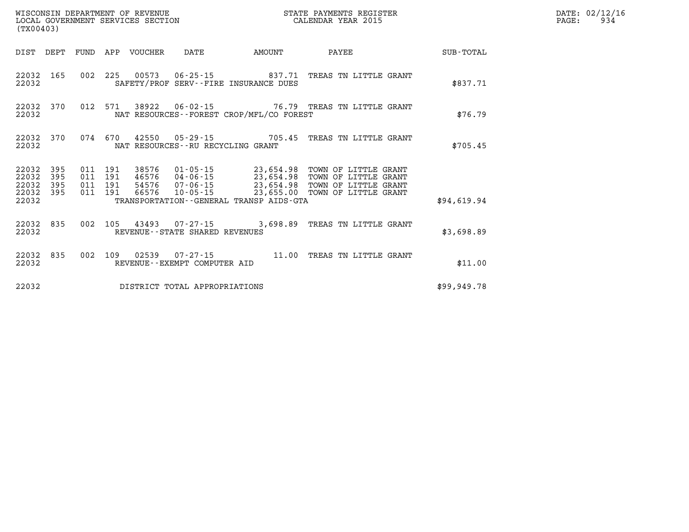| WISCONSIN DEPARTMENT OF REVENUE<br>LOCAL GOVERNMENT SERVICES SECTION<br>(TX00403) |                          |  |                                          |                                 |                                |                                          | STATE PAYMENTS REGISTER<br>CALENDAR YEAR 2015                                                                                                                                                                                      |             | DATE: 02/12/16<br>$\mathtt{PAGE:}$<br>934 |
|-----------------------------------------------------------------------------------|--------------------------|--|------------------------------------------|---------------------------------|--------------------------------|------------------------------------------|------------------------------------------------------------------------------------------------------------------------------------------------------------------------------------------------------------------------------------|-------------|-------------------------------------------|
|                                                                                   |                          |  |                                          | DIST DEPT FUND APP VOUCHER DATE |                                | <b>AMOUNT</b>                            | PAYEE                                                                                                                                                                                                                              | SUB-TOTAL   |                                           |
| 22032                                                                             | 22032 165                |  |                                          |                                 |                                | SAFETY/PROF SERV--FIRE INSURANCE DUES    | 002 225 00573 06-25-15 837.71 TREAS TN LITTLE GRANT                                                                                                                                                                                | \$837.71    |                                           |
| 22032                                                                             | 22032 370                |  | 012 571                                  |                                 |                                | NAT RESOURCES--FOREST CROP/MFL/CO FOREST | 38922   06-02-15   76.79   TREAS TN LITTLE GRANT                                                                                                                                                                                   | \$76.79     |                                           |
| 22032                                                                             | 22032 370                |  |                                          |                                 |                                | NAT RESOURCES - - RU RECYCLING GRANT     | 074  670  42550  05-29-15  705.45  TREAS TN LITTLE GRANT                                                                                                                                                                           | \$705.45    |                                           |
| 22032<br>22032<br>22032<br>22032                                                  | 395<br>395<br>395<br>395 |  | 011 191<br>011 191<br>011 191<br>011 191 |                                 |                                |                                          | 38576 01-05-15 23,654.98 TOWN OF LITTLE GRANT<br>23,054.58 TOWN OF LITTLE GRANT<br>46576 04-06-15 23,654.98 TOWN OF LITTLE GRANT<br>54576 07-06-15 23,654.98 TOWN OF LITTLE GRANT<br>66576 10-05-15 23,655.00 TOWN OF LITTLE GRANT |             |                                           |
| 22032                                                                             |                          |  |                                          |                                 |                                | TRANSPORTATION--GENERAL TRANSP AIDS-GTA  |                                                                                                                                                                                                                                    | \$94,619.94 |                                           |
| 22032                                                                             | 22032 835                |  |                                          |                                 | REVENUE--STATE SHARED REVENUES |                                          | 002 105 43493 07-27-15 3,698.89 TREAS TN LITTLE GRANT                                                                                                                                                                              | \$3,698.89  |                                           |
| 22032                                                                             | 22032 835                |  |                                          |                                 | REVENUE--EXEMPT COMPUTER AID   |                                          | 002 109 02539 07-27-15 11.00 TREAS TN LITTLE GRANT                                                                                                                                                                                 | \$11.00     |                                           |
| 22032                                                                             |                          |  |                                          |                                 | DISTRICT TOTAL APPROPRIATIONS  |                                          |                                                                                                                                                                                                                                    | \$99,949.78 |                                           |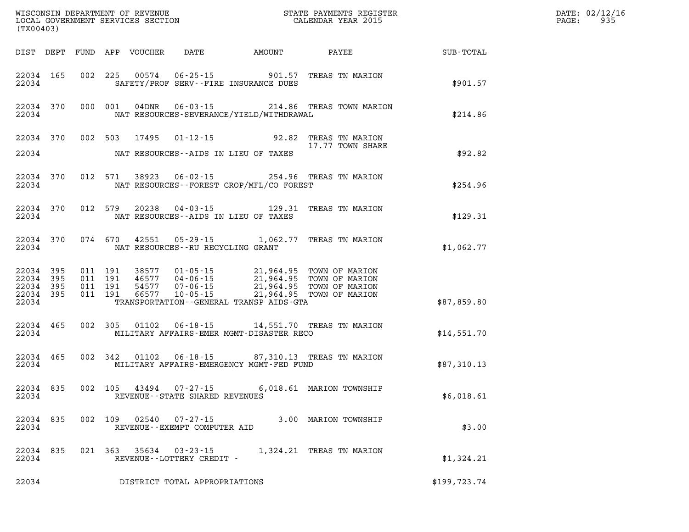| (TX00403) |                                                  |  |                            |                                   |                                          |                                                                                                                                                                                                          |              | DATE: 02/12/16<br>$\mathtt{PAGE:}$<br>935 |
|-----------|--------------------------------------------------|--|----------------------------|-----------------------------------|------------------------------------------|----------------------------------------------------------------------------------------------------------------------------------------------------------------------------------------------------------|--------------|-------------------------------------------|
|           |                                                  |  | DIST DEPT FUND APP VOUCHER |                                   |                                          | DATE AMOUNT PAYEE                                                                                                                                                                                        | SUB-TOTAL    |                                           |
| 22034     |                                                  |  |                            |                                   | SAFETY/PROF SERV--FIRE INSURANCE DUES    | 22034 165 002 225 00574 06-25-15 901.57 TREAS TN MARION                                                                                                                                                  | \$901.57     |                                           |
| 22034     |                                                  |  |                            |                                   | NAT RESOURCES-SEVERANCE/YIELD/WITHDRAWAL | 22034 370 000 001 04DNR 06-03-15 214.86 TREAS TOWN MARION                                                                                                                                                | \$214.86     |                                           |
|           |                                                  |  |                            |                                   |                                          | 22034 370 002 503 17495 01-12-15 92.82 TREAS TN MARION<br>17.77 TOWN SHARE                                                                                                                               |              |                                           |
| 22034     |                                                  |  |                            |                                   | NAT RESOURCES--AIDS IN LIEU OF TAXES     |                                                                                                                                                                                                          | \$92.82      |                                           |
|           | 22034                                            |  |                            |                                   | NAT RESOURCES--FOREST CROP/MFL/CO FOREST | 22034 370 012 571 38923 06-02-15 254.96 TREAS TN MARION                                                                                                                                                  | \$254.96     |                                           |
|           | 22034 370 012 579<br>22034                       |  |                            |                                   | NAT RESOURCES--AIDS IN LIEU OF TAXES     | 20238  04-03-15  129.31  TREAS TN MARION                                                                                                                                                                 | \$129.31     |                                           |
|           | 22034                                            |  |                            | NAT RESOURCES--RU RECYCLING GRANT |                                          | 22034 370 074 670 42551 05-29-15 1,062.77 TREAS TN MARION                                                                                                                                                | \$1,062.77   |                                           |
| 22034     | 22034 395<br>22034 395<br>22034 395<br>22034 395 |  |                            |                                   | TRANSPORTATION--GENERAL TRANSP AIDS-GTA  | 011 191 38577 01-05-15 21,964.95 TOWN OF MARION<br>011 191 46577 04-06-15 21,964.95 TOWN OF MARION<br>011 191 54577 07-06-15 21,964.95 TOWN OF MARION<br>011 191 66577 10-05-15 21,964.95 TOWN OF MARION | \$87,859.80  |                                           |
| 22034     | 22034 465                                        |  |                            |                                   | MILITARY AFFAIRS-EMER MGMT-DISASTER RECO | 002 305 01102 06-18-15 14,551.70 TREAS TN MARION                                                                                                                                                         | \$14,551.70  |                                           |
| 22034     |                                                  |  |                            |                                   | MILITARY AFFAIRS-EMERGENCY MGMT-FED FUND | 22034 465 002 342 01102 06-18-15 87,310.13 TREAS TN MARION                                                                                                                                               | \$87,310.13  |                                           |
| 22034     |                                                  |  |                            |                                   | REVENUE - - STATE SHARED REVENUES        | 22034 835 002 105 43494 07-27-15 6,018.61 MARION TOWNSHIP                                                                                                                                                | \$6,018.61   |                                           |
| 22034     |                                                  |  |                            | REVENUE--EXEMPT COMPUTER AID      |                                          | 22034 835 002 109 02540 07-27-15 3.00 MARION TOWNSHIP                                                                                                                                                    | \$3.00       |                                           |
| 22034     |                                                  |  |                            | REVENUE--LOTTERY CREDIT -         |                                          | 22034 835 021 363 35634 03-23-15 1,324.21 TREAS TN MARION                                                                                                                                                | \$1,324.21   |                                           |
| 22034     |                                                  |  |                            | DISTRICT TOTAL APPROPRIATIONS     |                                          |                                                                                                                                                                                                          | \$199,723.74 |                                           |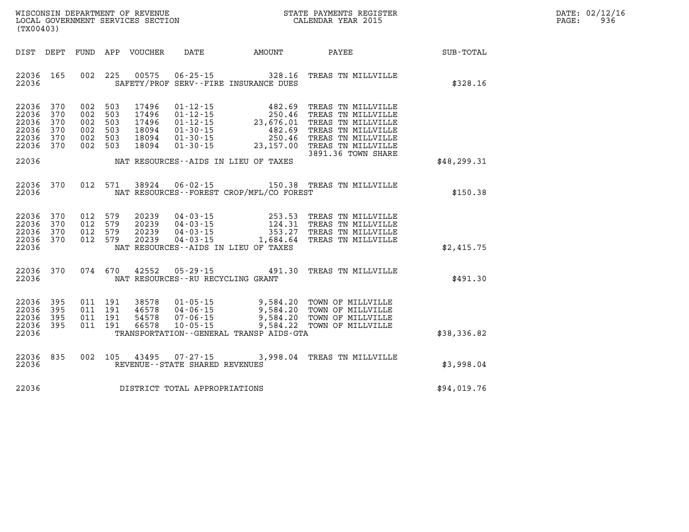| DATE: | 02/12/16 |
|-------|----------|
| PAGE: | 936      |

| (TX00403)                                                                  | WISCONSIN DEPARTMENT OF REVENUE<br>LOCAL GOVERNMENT SERVICES SECTION<br>(TYOO402)                                                                                                                                                                                                                                                                                                   |  |              | D<br>$\overline{P}$ |
|----------------------------------------------------------------------------|-------------------------------------------------------------------------------------------------------------------------------------------------------------------------------------------------------------------------------------------------------------------------------------------------------------------------------------------------------------------------------------|--|--------------|---------------------|
|                                                                            | DIST DEPT FUND APP VOUCHER DATE AMOUNT PAYEE TOTAL                                                                                                                                                                                                                                                                                                                                  |  |              |                     |
| 22036 165<br>22036                                                         | 002 225 00575 06-25-15 328.16 TREAS TN MILLVILLE<br>SAFETY/PROF SERV--FIRE INSURANCE DUES                                                                                                                                                                                                                                                                                           |  | \$328.16     |                     |
| 22036 370<br>22036 370<br>22036 370<br>22036 370<br>22036 370<br>22036 370 | 002 503 17496<br>002 503<br>17496<br>002 503<br>17496<br>002 503<br>18094<br>002 503<br>18094<br>002 503<br>18094                                                                                                                                                                                                                                                                   |  |              |                     |
| 22036                                                                      | 3891.36 TOWN SHARE<br>NAT RESOURCES--AIDS IN LIEU OF TAXES                                                                                                                                                                                                                                                                                                                          |  | \$48, 299.31 |                     |
|                                                                            | 22036 370 012 571 38924 06-02-15 150.38 TREAS TN MILLVILLE<br>22036 MAT RESOURCES--FOREST CROP/MFL/CO FOREST                                                                                                                                                                                                                                                                        |  | \$150.38     |                     |
| 22036                                                                      | $\begin{array}{cccc} 22036 & 370 & 012 & 579 & 20239 & 04\cdot03\cdot15 & 253.53 & \text{TREAS TN MILIVILLE} \\ 22036 & 370 & 012 & 579 & 20239 & 04\cdot03\cdot15 & 124.31 & \text{TREAS TN MILIVILLE} \\ 22036 & 370 & 012 & 579 & 20239 & 04\cdot03\cdot15 & 353.27 & \text{TREAS TN MILIVILLE} \\ 22036 & 370 & 012 & 579 & 20239 & 04$<br>NAT RESOURCES--AIDS IN LIEU OF TAXES |  | \$2,415.75   |                     |
| 22036 370                                                                  | 074 670 42552 05-29-15 491.30 TREAS TN MILLVILLE<br>22036 MAT RESOURCES--RU RECYCLING GRANT                                                                                                                                                                                                                                                                                         |  | \$491.30     |                     |
| 22036 395<br>22036 395<br>22036 395<br>22036 395<br>22036                  | 011 191 38578 01-05-15 9,584.20 TOWN OF MILLVILLE<br>011 191 46578 04-06-15 9,584.20 TOWN OF MILLVILLE<br>011 191 54578 07-06-15 9,584.20 TOWN OF MILLVILLE<br>011 191 66578 10-05-15 9,584.22 TOWN OF MILLVILLE<br>TRANSPORTATION - - GENERAL TRANSP AIDS - GTA                                                                                                                    |  | \$38,336.82  |                     |
| 22036 835<br>22036                                                         | 002 105 43495 07-27-15 3,998.04 TREAS TN MILLVILLE<br>REVENUE--STATE SHARED REVENUES                                                                                                                                                                                                                                                                                                |  | \$3,998.04   |                     |
|                                                                            | 22036 DISTRICT TOTAL APPROPRIATIONS                                                                                                                                                                                                                                                                                                                                                 |  | \$94,019.76  |                     |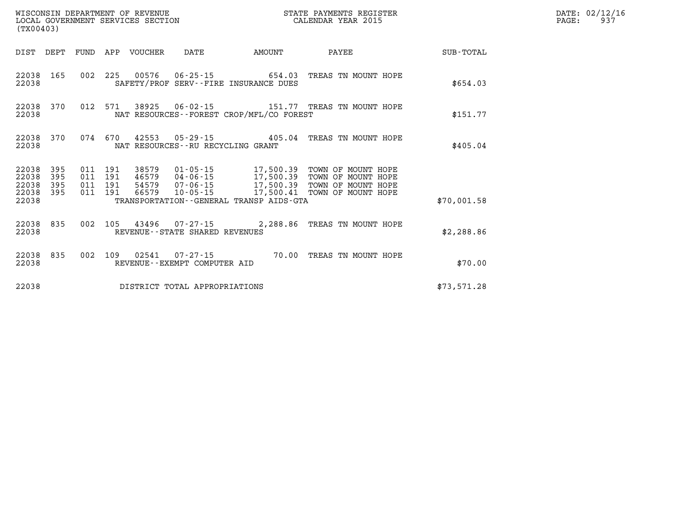| (TX00403)               |                   |  |                                 | WISCONSIN DEPARTMENT OF REVENUE<br>LOCAL GOVERNMENT SERVICES SECTION |                                             | STATE PAYMENTS REGISTER<br>CALENDAR YEAR 2015                                                                                                                                                                                 |             | DATE: 02/12/16<br>PAGE: 937 |
|-------------------------|-------------------|--|---------------------------------|----------------------------------------------------------------------|---------------------------------------------|-------------------------------------------------------------------------------------------------------------------------------------------------------------------------------------------------------------------------------|-------------|-----------------------------|
|                         |                   |  | DIST DEPT FUND APP VOUCHER DATE |                                                                      | <b>AMOUNT</b>                               | <b>PAYEE</b>                                                                                                                                                                                                                  | SUB-TOTAL   |                             |
| 22038                   |                   |  |                                 |                                                                      | SAFETY/PROF SERV--FIRE INSURANCE DUES       | 22038 165 002 225 00576 06-25-15 654.03 TREAS TN MOUNT HOPE                                                                                                                                                                   | \$654.03    |                             |
| 22038                   |                   |  |                                 |                                                                      | NAT RESOURCES - - FOREST CROP/MFL/CO FOREST | 22038 370 012 571 38925 06-02-15 151.77 TREAS TN MOUNT HOPE                                                                                                                                                                   | \$151.77    |                             |
| 22038                   |                   |  |                                 | NAT RESOURCES -- RU RECYCLING GRANT                                  |                                             | 22038 370 074 670 42553 05-29-15 405.04 TREAS TN MOUNT HOPE                                                                                                                                                                   | \$405.04    |                             |
| 22038<br>22038<br>22038 | 395<br>395<br>395 |  |                                 |                                                                      |                                             | 011  191  38579  01-05-15  17,500.39  TOWN OF MOUNT HOPE<br>011 191 46579 04-06-15 17,500.39 TOWN OF MOUNT HOPE<br>011 191 54579 07-06-15 17,500.39 TOWN OF MOUNT HOPE<br>011 191 66579 10-05-15 17,500.41 TOWN OF MOUNT HOPE |             |                             |
| 22038<br>22038          | 395               |  |                                 |                                                                      | TRANSPORTATION--GENERAL TRANSP AIDS-GTA     |                                                                                                                                                                                                                               | \$70.001.58 |                             |
| 22038                   |                   |  |                                 | REVENUE--STATE SHARED REVENUES                                       |                                             | 22038 835 002 105 43496 07-27-15 2,288.86 TREAS TN MOUNT HOPE                                                                                                                                                                 | \$2,288.86  |                             |
| 22038                   |                   |  |                                 | REVENUE--EXEMPT COMPUTER AID                                         |                                             | 22038 835 002 109 02541 07-27-15 70.00 TREAS TN MOUNT HOPE                                                                                                                                                                    | \$70.00     |                             |
| 22038                   |                   |  |                                 | DISTRICT TOTAL APPROPRIATIONS                                        |                                             |                                                                                                                                                                                                                               | \$73,571.28 |                             |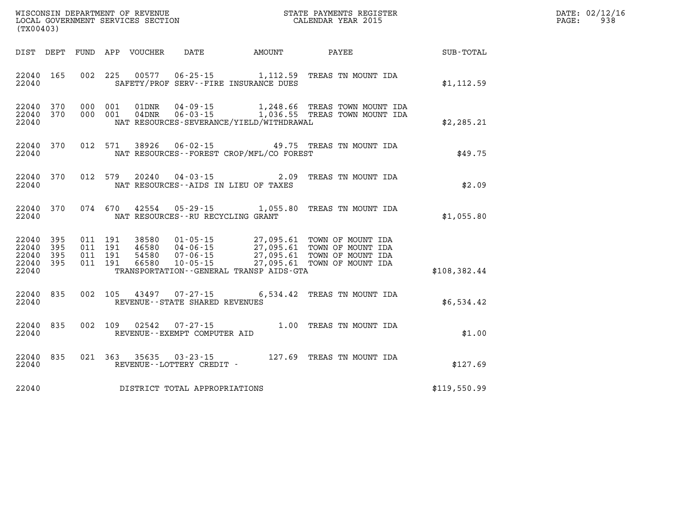| DATE: | 02/12/16 |
|-------|----------|
| PAGE: | 938      |

| (TX00403)                                 |                          |                          |                          | WISCONSIN DEPARTMENT OF REVENUE<br>LOCAL GOVERNMENT SERVICES SECTION |                                                                      | STATE PAYMENTS REGISTER<br>CALENDAR YEAR 2015                                               |                                                                                  |                  |  |
|-------------------------------------------|--------------------------|--------------------------|--------------------------|----------------------------------------------------------------------|----------------------------------------------------------------------|---------------------------------------------------------------------------------------------|----------------------------------------------------------------------------------|------------------|--|
| DIST                                      | DEPT                     | <b>FUND</b>              | APP                      | VOUCHER                                                              | <b>DATE</b>                                                          | AMOUNT                                                                                      | PAYEE                                                                            | <b>SUB-TOTAL</b> |  |
| 22040<br>22040                            | 165                      | 002                      | 225                      | 00577                                                                |                                                                      | $06 - 25 - 15$ 1, 112.59<br>SAFETY/PROF SERV--FIRE INSURANCE DUES                           | TREAS TN MOUNT IDA                                                               | \$1, 112.59      |  |
| 22040<br>22040<br>22040                   | 370<br>370               | 000<br>000               | 001<br>001               | 01DNR<br>$04$ DNR                                                    | 04-09-15                                                             | 1,248.66<br>NAT RESOURCES-SEVERANCE/YIELD/WITHDRAWAL                                        | TREAS TOWN MOUNT IDA<br>06-03-15 1,036.55 TREAS TOWN MOUNT IDA                   | \$2, 285.21      |  |
| 22040<br>22040                            | 370                      | 012                      | 571                      | 38926                                                                |                                                                      | NAT RESOURCES - - FOREST CROP/MFL/CO FOREST                                                 | 06-02-15 49.75 TREAS TN MOUNT IDA                                                | \$49.75          |  |
| 22040<br>22040                            | 370                      | 012                      | 579                      | 20240                                                                | $04 - 03 - 15$                                                       | 2.09<br>NAT RESOURCES -- AIDS IN LIEU OF TAXES                                              | TREAS TN MOUNT IDA                                                               | \$2.09           |  |
| 22040<br>22040                            | 370                      | 074                      | 670                      | 42554                                                                | $05 - 29 - 15$<br>NAT RESOURCES - - RU RECYCLING GRANT               | 1,055.80                                                                                    | TREAS TN MOUNT IDA                                                               | \$1,055.80       |  |
| 22040<br>22040<br>22040<br>22040<br>22040 | 395<br>395<br>395<br>395 | 011<br>011<br>011<br>011 | 191<br>191<br>191<br>191 | 38580<br>46580<br>54580<br>66580                                     | $01 - 05 - 15$<br>$04 - 06 - 15$<br>$07 - 06 - 15$<br>$10 - 05 - 15$ | 27,095.61<br>27,095.61<br>27,095.61<br>27,095.61<br>TRANSPORTATION--GENERAL TRANSP AIDS-GTA | TOWN OF MOUNT IDA<br>TOWN OF MOUNT IDA<br>TOWN OF MOUNT IDA<br>TOWN OF MOUNT IDA | \$108,382.44     |  |
| 22040<br>22040                            | 835                      | 002                      | 105                      | 43497                                                                | 07-27-15<br>REVENUE - - STATE SHARED REVENUES                        | 6,534.42                                                                                    | TREAS TN MOUNT IDA                                                               | \$6,534.42       |  |
| 22040<br>22040                            | 835                      | 002                      | 109                      | 02542                                                                | $07 - 27 - 15$<br>REVENUE - - EXEMPT COMPUTER AID                    | 1.00                                                                                        | TREAS TN MOUNT IDA                                                               | \$1.00           |  |
| 22040<br>22040                            | 835                      | 021                      | 363                      | 35635                                                                | $03 - 23 - 15$<br>REVENUE--LOTTERY CREDIT -                          | 127.69                                                                                      | TREAS TN MOUNT IDA                                                               | \$127.69         |  |
| 22040                                     |                          |                          |                          |                                                                      | DISTRICT TOTAL APPROPRIATIONS                                        |                                                                                             |                                                                                  | \$119,550.99     |  |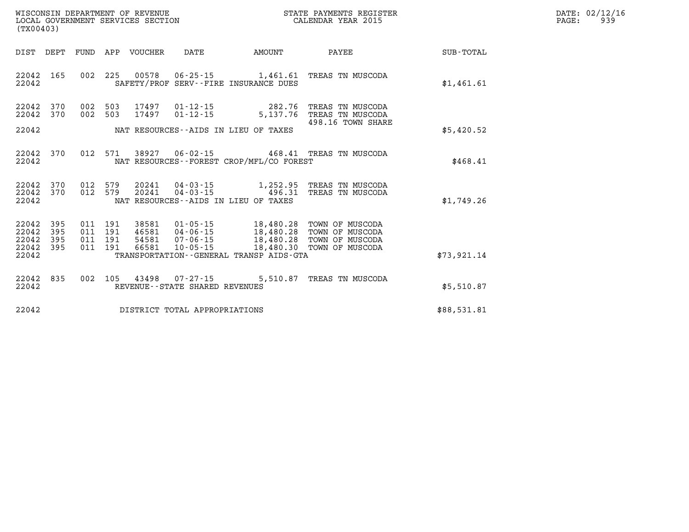| DATE: | 02/12/16 |
|-------|----------|
| PAGE: | 939      |

| (TX00403)                                                    | WISCONSIN DEPARTMENT OF REVENUE<br>LOCAL GOVERNMENT SERVICES SECTION                     |                                                                                                | STATE PAYMENTS REGISTER<br>CALENDAR YEAR 2015                                                |             |  |
|--------------------------------------------------------------|------------------------------------------------------------------------------------------|------------------------------------------------------------------------------------------------|----------------------------------------------------------------------------------------------|-------------|--|
| DIST<br>DEPT                                                 | FUND<br>APP<br><b>VOUCHER</b>                                                            | DATE<br>AMOUNT                                                                                 | PAYEE                                                                                        | SUB-TOTAL   |  |
| 165<br>22042<br>22042                                        | 002<br>225<br>00578<br>SAFETY/PROF                                                       | $06 - 25 - 15$ 1,461.61<br>SERV--FIRE INSURANCE DUES                                           | TREAS TN MUSCODA                                                                             | \$1,461.61  |  |
| 22042<br>370<br>370<br>22042                                 | 002<br>503<br>17497<br>002<br>503<br>17497                                               | 282.76<br>$01 - 12 - 15$<br>$01 - 12 - 15$<br>5,137.76                                         | TREAS TN MUSCODA<br>TREAS TN MUSCODA                                                         |             |  |
| 22042                                                        |                                                                                          | NAT RESOURCES--AIDS IN LIEU OF TAXES                                                           | 498.16 TOWN SHARE                                                                            | \$5,420.52  |  |
| 22042<br>370<br>22042                                        | 571<br>38927<br>012                                                                      | $06 - 02 - 15$<br>NAT RESOURCES - - FOREST CROP/MFL/CO FOREST                                  | 468.41 TREAS TN MUSCODA                                                                      | \$468.41    |  |
| 22042<br>370<br>22042<br>370<br>22042                        | 012<br>579<br>20241<br>579<br>20241<br>012                                               | 04-03-15<br>1,252.95<br>$04 - 03 - 15$<br>496.31<br>NAT RESOURCES - - AIDS IN LIEU OF TAXES    | TREAS TN MUSCODA<br>TREAS TN MUSCODA                                                         | \$1,749.26  |  |
| 395<br>22042<br>395<br>22042<br>22042<br>395<br>22042<br>395 | 011<br>191<br>38581<br>011<br>191<br>46581<br>191<br>54581<br>011<br>191<br>66581<br>011 | $01 - 05 - 15$<br>18,480.28<br>$04 - 06 - 15$<br>$07 - 06 - 15$<br>$10 - 05 - 15$<br>18,480.30 | TOWN OF MUSCODA<br>18,480.28 TOWN OF MUSCODA<br>18,480.28 TOWN OF MUSCODA<br>TOWN OF MUSCODA |             |  |
| 22042                                                        |                                                                                          | TRANSPORTATION--GENERAL TRANSP AIDS-GTA                                                        |                                                                                              | \$73,921.14 |  |
| 22042<br>835<br>22042                                        | 002<br>105<br>43498                                                                      | $07 - 27 - 15$<br>5,510.87<br>REVENUE - - STATE SHARED REVENUES                                | TREAS TN MUSCODA                                                                             | \$5,510.87  |  |
| 22042                                                        |                                                                                          | DISTRICT TOTAL APPROPRIATIONS                                                                  |                                                                                              | \$88,531.81 |  |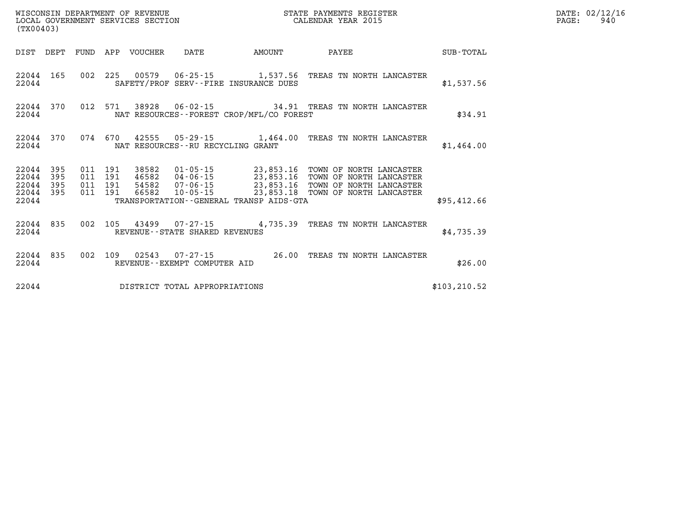| WISCONSIN DEPARTMENT OF REVENUE<br>LOCAL GOVERNMENT SERVICES SECTION<br>(TX00403) |                        |                                          |  |                                 |                                   |                                             | STATE PAYMENTS REGISTER<br>CALENDAR YEAR 2015                                                                                                                                                                                  |               | DATE: 02/12/16<br>PAGE:<br>940 |
|-----------------------------------------------------------------------------------|------------------------|------------------------------------------|--|---------------------------------|-----------------------------------|---------------------------------------------|--------------------------------------------------------------------------------------------------------------------------------------------------------------------------------------------------------------------------------|---------------|--------------------------------|
|                                                                                   |                        |                                          |  | DIST DEPT FUND APP VOUCHER DATE |                                   | <b>AMOUNT</b>                               | <b>PAYEE</b>                                                                                                                                                                                                                   | SUB-TOTAL     |                                |
| 22044                                                                             |                        |                                          |  |                                 |                                   | SAFETY/PROF SERV--FIRE INSURANCE DUES       | 22044 165 002 225 00579 06-25-15 1,537.56 TREAS TN NORTH LANCASTER                                                                                                                                                             | \$1,537.56    |                                |
| 22044                                                                             | 22044 370              |                                          |  |                                 |                                   | NAT RESOURCES - - FOREST CROP/MFL/CO FOREST | 012 571 38928 06-02-15 34.91 TREAS TN NORTH LANCASTER                                                                                                                                                                          | \$34.91       |                                |
| 22044                                                                             | 22044 370              |                                          |  |                                 | NAT RESOURCES--RU RECYCLING GRANT |                                             | 074 670 42555 05-29-15 1,464.00 TREAS TN NORTH LANCASTER                                                                                                                                                                       | \$1,464.00    |                                |
| 22044 395<br>22044 395                                                            | 22044 395<br>22044 395 | 011 191<br>011 191<br>011 191<br>011 191 |  |                                 |                                   |                                             | 38582  01-05-15  23,853.16  TOWN OF NORTH LANCASTER<br>46582   04-06-15   23,853.16   TOWN OF NORTH LANCASTER<br>54582   07-06-15   23,853.16   TOWN OF NORTH LANCASTER<br>66582  10-05-15  23,853.18  TOWN OF NORTH LANCASTER |               |                                |
| 22044                                                                             |                        |                                          |  |                                 |                                   | TRANSPORTATION--GENERAL TRANSP AIDS-GTA     |                                                                                                                                                                                                                                | \$95,412.66   |                                |
| 22044                                                                             | 22044 835              |                                          |  |                                 | REVENUE - - STATE SHARED REVENUES |                                             | 002 105 43499 07-27-15 4,735.39 TREAS TN NORTH LANCASTER                                                                                                                                                                       | \$4,735.39    |                                |
| 22044                                                                             | 22044 835              |                                          |  |                                 | REVENUE--EXEMPT COMPUTER AID      |                                             | 002 109 02543 07-27-15 26.00 TREAS TN NORTH LANCASTER                                                                                                                                                                          | \$26.00       |                                |
| 22044                                                                             |                        |                                          |  |                                 | DISTRICT TOTAL APPROPRIATIONS     |                                             |                                                                                                                                                                                                                                | \$103, 210.52 |                                |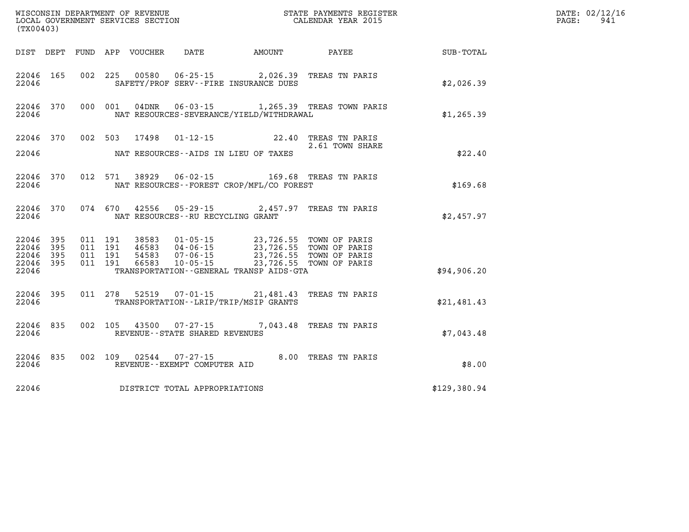| (TX00403)              |           |                               |                                 |                                |                                                                                                                                                                      |                                                                          | DATE: 02/12/16<br>941<br>PAGE: |  |
|------------------------|-----------|-------------------------------|---------------------------------|--------------------------------|----------------------------------------------------------------------------------------------------------------------------------------------------------------------|--------------------------------------------------------------------------|--------------------------------|--|
|                        |           |                               | DIST DEPT FUND APP VOUCHER DATE |                                | <b>AMOUNT</b>                                                                                                                                                        | <b>PAYEE</b>                                                             | SUB-TOTAL                      |  |
| 22046                  | 22046 165 |                               |                                 |                                | 002 225 00580 06-25-15 2,026.39 TREAS TN PARIS<br>SAFETY/PROF SERV--FIRE INSURANCE DUES                                                                              |                                                                          | \$2,026.39                     |  |
| 22046                  | 22046 370 |                               |                                 |                                | NAT RESOURCES-SEVERANCE/YIELD/WITHDRAWAL                                                                                                                             | 000 001 04DNR 06-03-15 1,265.39 TREAS TOWN PARIS                         | \$1,265.39                     |  |
|                        |           |                               |                                 |                                |                                                                                                                                                                      | 22046 370 002 503 17498 01-12-15 22.40 TREAS TN PARIS<br>2.61 TOWN SHARE |                                |  |
| 22046                  |           |                               |                                 |                                | NAT RESOURCES--AIDS IN LIEU OF TAXES                                                                                                                                 |                                                                          | \$22.40                        |  |
| 22046                  | 22046 370 |                               |                                 |                                | 012 571 38929 06-02-15 169.68 TREAS TN PARIS<br>NAT RESOURCES - - FOREST CROP/MFL/CO FOREST                                                                          |                                                                          | \$169.68                       |  |
| 22046                  | 22046 370 |                               |                                 |                                | 074 670 42556 05-29-15 2,457.97 TREAS TN PARIS<br>NAT RESOURCES--RU RECYCLING GRANT                                                                                  |                                                                          | \$2,457.97                     |  |
| 22046 395<br>22046 395 | 22046 395 | 011 191<br>011 191<br>011 191 |                                 |                                | 38583 01-05-15 23,726.55 TOWN OF PARIS<br>46583 04-06-15 23,726.55 TOWN OF PARIS<br>54583 07-06-15 23,726.55 TOWN OF PARIS<br>66583 10-05-15 23,726.55 TOWN OF PARIS |                                                                          |                                |  |
| 22046 395<br>22046     |           | 011 191                       |                                 |                                | TRANSPORTATION--GENERAL TRANSP AIDS-GTA                                                                                                                              |                                                                          | \$94,906.20                    |  |
| 22046                  | 22046 395 |                               |                                 |                                | 011 278 52519 07-01-15 21,481.43 TREAS TN PARIS<br>TRANSPORTATION--LRIP/TRIP/MSIP GRANTS                                                                             |                                                                          | \$21,481.43                    |  |
| 22046                  | 22046 835 |                               |                                 | REVENUE--STATE SHARED REVENUES | 002 105 43500 07-27-15 7,043.48 TREAS TN PARIS                                                                                                                       |                                                                          | \$7,043.48                     |  |
| 22046                  | 22046 835 |                               |                                 | REVENUE--EXEMPT COMPUTER AID   | 002 109 02544 07-27-15 8.00 TREAS TN PARIS                                                                                                                           |                                                                          | \$8.00                         |  |
| 22046                  |           |                               |                                 | DISTRICT TOTAL APPROPRIATIONS  |                                                                                                                                                                      |                                                                          | \$129,380.94                   |  |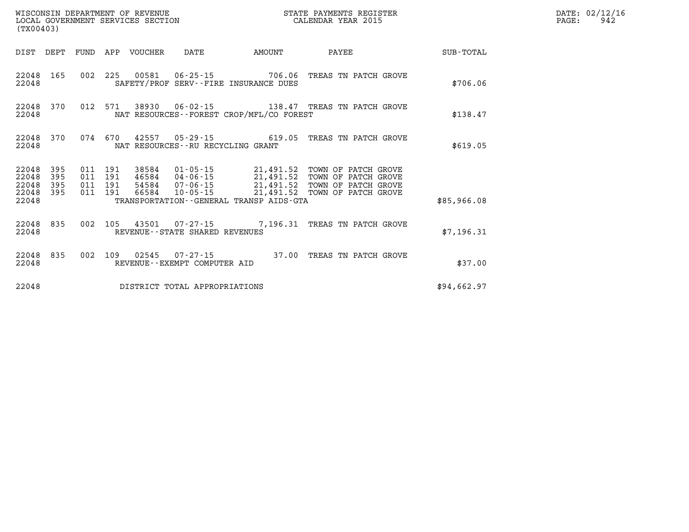| (TX00403)                                                                                                      |                                                                                                |                                                                                                                                                             |             | DATE: 02/12/16<br>942<br>$\mathtt{PAGE:}$ |
|----------------------------------------------------------------------------------------------------------------|------------------------------------------------------------------------------------------------|-------------------------------------------------------------------------------------------------------------------------------------------------------------|-------------|-------------------------------------------|
| DIST DEPT                                                                                                      |                                                                                                |                                                                                                                                                             | SUB-TOTAL   |                                           |
| 22048 165<br>22048                                                                                             | 002 225 00581 06-25-15 706.06 TREAS TN PATCH GROVE<br>SAFETY/PROF SERV--FIRE INSURANCE DUES    |                                                                                                                                                             | \$706.06    |                                           |
| 22048 370<br>22048                                                                                             | 012 571 38930 06-02-15 138.47 TREAS TN PATCH GROVE<br>NAT RESOURCES--FOREST CROP/MFL/CO FOREST |                                                                                                                                                             | \$138.47    |                                           |
| 22048 370<br>22048                                                                                             | 074 670 42557 05-29-15 619.05 TREAS TN PATCH GROVE<br>NAT RESOURCES--RU RECYCLING GRANT        |                                                                                                                                                             | \$619.05    |                                           |
| 22048 395<br>011 191<br>395<br>22048<br>011<br>191<br>395<br>011 191<br>22048<br>22048 395<br>011 191<br>22048 | 38584<br>46584<br>54584<br>10-05-15<br>66584<br>TRANSPORTATION - - GENERAL TRANSP AIDS - GTA   | 01-05-15 21,491.52 TOWN OF PATCH GROVE<br>04-06-15 21,491.52 TOWN OF PATCH GROVE<br>07-06-15 21,491.52 TOWN OF PATCH GROVE<br>21,491.52 TOWN OF PATCH GROVE | \$85,966.08 |                                           |
| 22048 835                                                                                                      | 002 105 43501 07-27-15 7,196.31 TREAS TN PATCH GROVE<br>22048 REVENUE - STATE SHARED REVENUES  |                                                                                                                                                             | \$7,196.31  |                                           |
| 22048                                                                                                          | 22048 835 002 109 02545 07-27-15 37.00 TREAS TN PATCH GROVE<br>REVENUE - - EXEMPT COMPUTER AID |                                                                                                                                                             | \$37.00     |                                           |
| 22048                                                                                                          | DISTRICT TOTAL APPROPRIATIONS                                                                  |                                                                                                                                                             | \$94,662.97 |                                           |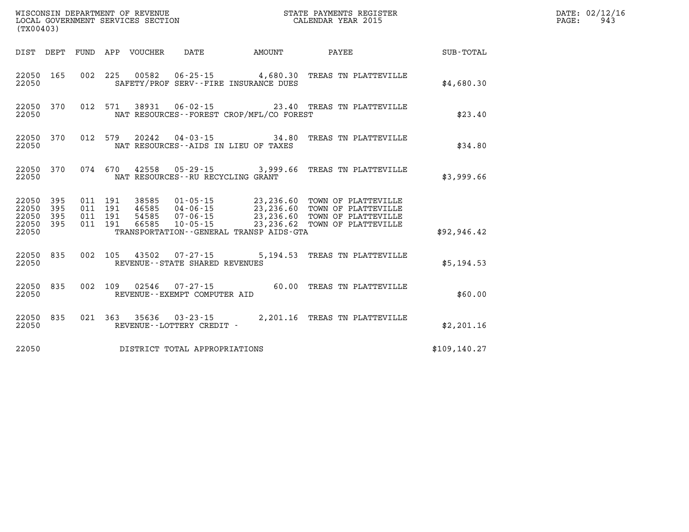| (TX00403)                       |            |         |                                             |  | WISCONSIN DEPARTMENT OF REVENUE<br>LOCAL GOVERNMENT SERVICES SECTION<br>CALENDAR YEAR 2015                                                                                                                                   |                                                    | DATE: 02/12/16<br>$\mathtt{PAGE:}$<br>943 |
|---------------------------------|------------|---------|---------------------------------------------|--|------------------------------------------------------------------------------------------------------------------------------------------------------------------------------------------------------------------------------|----------------------------------------------------|-------------------------------------------|
|                                 |            |         |                                             |  |                                                                                                                                                                                                                              | DIST DEPT FUND APP VOUCHER DATE AMOUNT PAYEE TOTAL |                                           |
| 22050 165<br>22050              |            |         | SAFETY/PROF SERV--FIRE INSURANCE DUES       |  | 002 225 00582 06-25-15 4,680.30 TREAS TN PLATTEVILLE                                                                                                                                                                         | \$4,680.30                                         |                                           |
| 22050 370<br>22050              |            | 012 571 | NAT RESOURCES - - FOREST CROP/MFL/CO FOREST |  | 38931  06-02-15  23.40 TREAS TN PLATTEVILLE                                                                                                                                                                                  | \$23.40                                            |                                           |
| 22050 370<br>22050              |            |         | NAT RESOURCES--AIDS IN LIEU OF TAXES        |  | 012 579 20242 04-03-15 34.80 TREAS TN PLATTEVILLE                                                                                                                                                                            | \$34.80                                            |                                           |
| 22050 370<br>22050              |            |         | NAT RESOURCES--RU RECYCLING GRANT           |  | 074 670 42558 05-29-15 3,999.66 TREAS TN PLATTEVILLE                                                                                                                                                                         | \$3,999.66                                         |                                           |
| 22050<br>22050                  | 395<br>395 |         |                                             |  | 011 191 38585 01-05-15 23,236.60 TOWN OF PLATTEVILLE<br>011 191 46585 04-06-15 23,236.60 TOWN OF PLATTEVILLE<br>011 191 54585 07-06-15 23,236.60 TOWN OF PLATTEVILLE<br>011 191 66585 10-05-15 23,236.62 TOWN OF PLATTEVILLE |                                                    |                                           |
| 22050 395<br>22050 395<br>22050 |            |         | TRANSPORTATION--GENERAL TRANSP AIDS-GTA     |  |                                                                                                                                                                                                                              | \$92,946.42                                        |                                           |
| 22050 835<br>22050              |            |         | REVENUE--STATE SHARED REVENUES              |  | 002 105 43502 07-27-15 5,194.53 TREAS TN PLATTEVILLE                                                                                                                                                                         | \$5,194.53                                         |                                           |
| 22050 835<br>22050              |            |         | REVENUE--EXEMPT COMPUTER AID                |  | 002 109 02546 07-27-15 60.00 TREAS TN PLATTEVILLE                                                                                                                                                                            | \$60.00                                            |                                           |
| 22050 835<br>22050              |            |         | REVENUE--LOTTERY CREDIT -                   |  | 021 363 35636 03-23-15 2,201.16 TREAS TN PLATTEVILLE                                                                                                                                                                         | \$2,201.16                                         |                                           |
|                                 |            |         | 22050 DISTRICT TOTAL APPROPRIATIONS         |  |                                                                                                                                                                                                                              | \$109, 140.27                                      |                                           |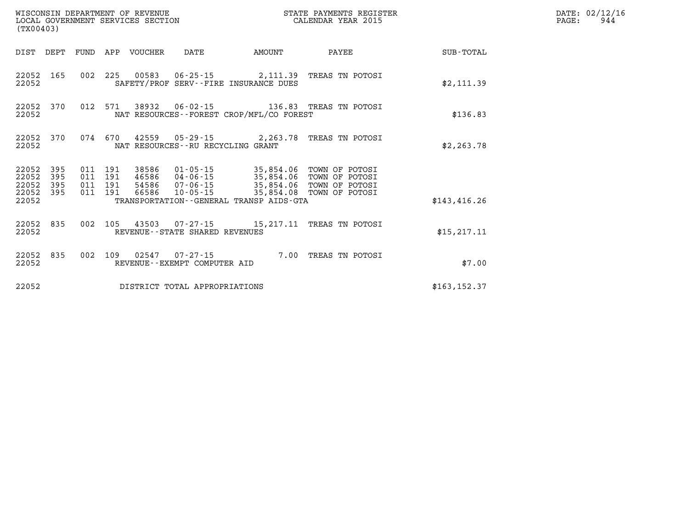| (TX00403)                            |                   |                                          | WISCONSIN DEPARTMENT OF REVENUE | LOCAL GOVERNMENT SERVICES SECTION        |                                                                                  | STATE PAYMENTS REGISTER<br>CALENDAR YEAR 2015                                  |               | DATE: 02/12/16<br>PAGE:<br>944 |
|--------------------------------------|-------------------|------------------------------------------|---------------------------------|------------------------------------------|----------------------------------------------------------------------------------|--------------------------------------------------------------------------------|---------------|--------------------------------|
|                                      |                   |                                          | DIST DEPT FUND APP VOUCHER      | DATE                                     | AMOUNT                                                                           | PAYEE                                                                          | SUB-TOTAL     |                                |
| 22052                                | 22052 165         | 002 225                                  |                                 |                                          | SAFETY/PROF SERV--FIRE INSURANCE DUES                                            |                                                                                | \$2,111.39    |                                |
| 22052 370<br>22052                   |                   | 012 571                                  | 38932                           |                                          | NAT RESOURCES--FOREST CROP/MFL/CO FOREST                                         | 06-02-15 136.83 TREAS TN POTOSI                                                | \$136.83      |                                |
| 22052 370<br>22052                   |                   | 074 670                                  |                                 | NAT RESOURCES--RU RECYCLING GRANT        |                                                                                  | 42559  05-29-15  2,263.78  TREAS TN POTOSI                                     | \$2,263.78    |                                |
| 22052<br>22052<br>22052<br>22052 395 | 395<br>395<br>395 | 011 191<br>011 191<br>011 191<br>011 191 | 38586<br>66586                  | 10-05-15                                 | $01 - 05 - 15$ 35,854.06<br>46586 04-06-15 35,854.06<br>54586 07-06-15 35,854.06 | TOWN OF POTOSI<br>TOWN OF POTOSI<br>TOWN OF POTOSI<br>35,854.08 TOWN OF POTOSI |               |                                |
| 22052                                |                   |                                          |                                 |                                          | TRANSPORTATION--GENERAL TRANSP AIDS-GTA                                          |                                                                                | \$143,416.26  |                                |
| 22052 835<br>22052                   |                   | 002 105                                  |                                 | REVENUE--STATE SHARED REVENUES           |                                                                                  | 43503  07-27-15  15,217.11 TREAS TN POTOSI                                     | \$15, 217.11  |                                |
| 22052                                | 22052 835         | 002 109                                  | 02547                           | 07-27-15<br>REVENUE--EXEMPT COMPUTER AID |                                                                                  | 7.00 TREAS TN POTOSI                                                           | \$7.00        |                                |
| 22052                                |                   |                                          |                                 | DISTRICT TOTAL APPROPRIATIONS            |                                                                                  |                                                                                | \$163, 152.37 |                                |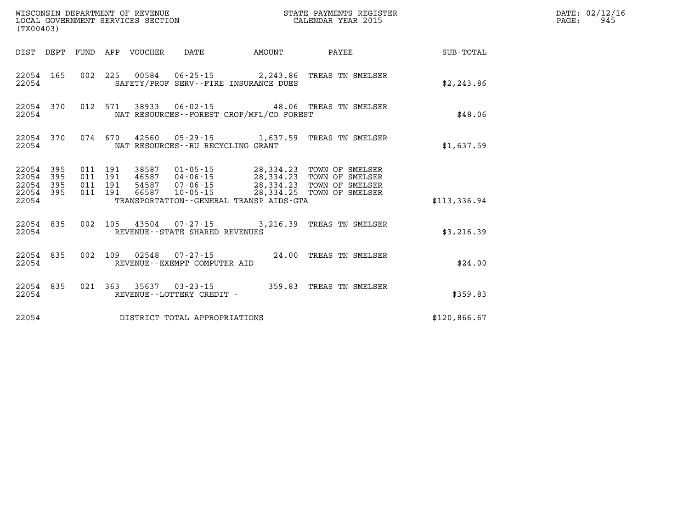| (TX00403)                                    |           |  |                                 |                                   |                                              | STATE PAYMENTS REGISTER                                                                                                                                                                                                                                                                                                                                       |              | DATE: 02/12/16<br>$\mathtt{PAGE:}$<br>945 |
|----------------------------------------------|-----------|--|---------------------------------|-----------------------------------|----------------------------------------------|---------------------------------------------------------------------------------------------------------------------------------------------------------------------------------------------------------------------------------------------------------------------------------------------------------------------------------------------------------------|--------------|-------------------------------------------|
|                                              |           |  | DIST DEPT FUND APP VOUCHER DATE |                                   | <b>EXAMPLE TO AMOUNT</b>                     | PAYEE                                                                                                                                                                                                                                                                                                                                                         | SUB-TOTAL    |                                           |
| 22054                                        | 22054 165 |  |                                 |                                   | SAFETY/PROF SERV--FIRE INSURANCE DUES        | 002 225 00584 06-25-15 2,243.86 TREAS TN SMELSER                                                                                                                                                                                                                                                                                                              | \$2, 243.86  |                                           |
| 22054                                        |           |  |                                 |                                   | NAT RESOURCES - - FOREST CROP/MFL/CO FOREST  | 22054 370 012 571 38933 06-02-15 48.06 TREAS TN SMELSER                                                                                                                                                                                                                                                                                                       | \$48.06      |                                           |
| 22054                                        | 22054 370 |  |                                 | NAT RESOURCES--RU RECYCLING GRANT |                                              | 074 670 42560 05-29-15 1,637.59 TREAS TN SMELSER                                                                                                                                                                                                                                                                                                              | \$1,637.59   |                                           |
| 22054 395<br>22054 395<br>22054 395<br>22054 | 22054 395 |  |                                 |                                   | TRANSPORTATION - - GENERAL TRANSP AIDS - GTA | $\begin{array}{cccc} 011 & 191 & 38587 & 01\cdot 05\cdot 15 & 28,334\cdot 23 & \text{TOWN OF SMELSER} \\ 011 & 191 & 46587 & 04\cdot 06\cdot 15 & 28,334\cdot 23 & \text{TOWN OF SMELSER} \\ 011 & 191 & 54587 & 07\cdot 06\cdot 15 & 28,334\cdot 23 & \text{TOWN OF SMELSER} \\ 011 & 191 & 66587 & 10\cdot 05\cdot 15 & 28,334\cdot 25 & \text{TOWN OF SME$ | \$113,336.94 |                                           |
| 22054                                        | 22054 835 |  |                                 | REVENUE - - STATE SHARED REVENUES |                                              | 002 105 43504 07-27-15 3,216.39 TREAS TN SMELSER                                                                                                                                                                                                                                                                                                              | \$3,216.39   |                                           |
| 22054                                        | 22054 835 |  |                                 | REVENUE--EXEMPT COMPUTER AID      |                                              | 002 109 02548 07-27-15 24.00 TREAS TN SMELSER                                                                                                                                                                                                                                                                                                                 | \$24.00      |                                           |
| 22054                                        | 22054 835 |  |                                 | REVENUE--LOTTERY CREDIT -         |                                              | 021 363 35637 03-23-15 359.83 TREAS TN SMELSER                                                                                                                                                                                                                                                                                                                | \$359.83     |                                           |
| 22054                                        |           |  |                                 | DISTRICT TOTAL APPROPRIATIONS     |                                              |                                                                                                                                                                                                                                                                                                                                                               | \$120,866.67 |                                           |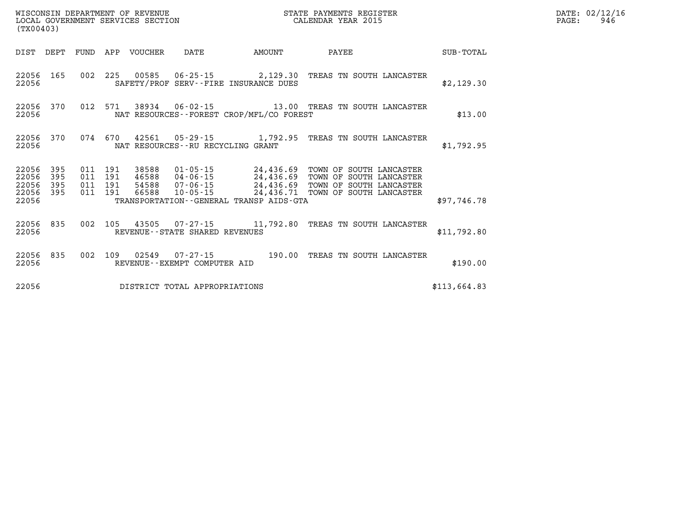| (TX00403)                                |              |                    |                    |                            | WISCONSIN DEPARTMENT OF REVENUE<br>LOCAL GOVERNMENT SERVICES SECTION |                                              | STATE PAYMENTS REGISTER<br>CALENDAR YEAR 2015                                                                                                                                                                |              | DATE: 02/12/16<br>PAGE:<br>946 |
|------------------------------------------|--------------|--------------------|--------------------|----------------------------|----------------------------------------------------------------------|----------------------------------------------|--------------------------------------------------------------------------------------------------------------------------------------------------------------------------------------------------------------|--------------|--------------------------------|
|                                          |              |                    |                    | DIST DEPT FUND APP VOUCHER | DATE                                                                 | AMOUNT                                       | PAYEE                                                                                                                                                                                                        | SUB-TOTAL    |                                |
| 22056                                    | 22056 165    |                    |                    |                            |                                                                      | SAFETY/PROF SERV--FIRE INSURANCE DUES        | 002 225 00585 06-25-15 2,129.30 TREAS TN SOUTH LANCASTER                                                                                                                                                     | \$2,129.30   |                                |
| 22056                                    | 22056 370    |                    | 012 571            |                            |                                                                      | NAT RESOURCES - - FOREST CROP/MFL/CO FOREST  |                                                                                                                                                                                                              | \$13.00      |                                |
| 22056 370<br>22056                       |              |                    | 074 670            |                            | NAT RESOURCES--RU RECYCLING GRANT                                    |                                              | 42561  05-29-15   1,792.95   TREAS TN SOUTH LANCASTER                                                                                                                                                        | \$1,792.95   |                                |
| 22056 395<br>22056<br>22056<br>22056 395 | - 395<br>395 | 011 191<br>011 191 | 011 191<br>011 191 | 38588                      |                                                                      |                                              | 01-05-15 24,436.69 TOWN OF SOUTH LANCASTER<br>46588 04-06-15 24,436.69 TOWN OF SOUTH LANCASTER<br>54588  07-06-15  24,436.69  TOWN OF SOUTH LANCASTER<br>66588  10-05-15  24,436.71  TOWN OF SOUTH LANCASTER |              |                                |
| 22056                                    |              |                    |                    |                            |                                                                      | TRANSPORTATION - - GENERAL TRANSP AIDS - GTA |                                                                                                                                                                                                              | \$97,746.78  |                                |
| 22056                                    | 22056 835    |                    | 002 105            |                            | REVENUE--STATE SHARED REVENUES                                       |                                              | 43505  07-27-15   11,792.80   TREAS TN SOUTH LANCASTER                                                                                                                                                       | \$11,792.80  |                                |
| 22056                                    | 22056 835    |                    |                    |                            | REVENUE--EXEMPT COMPUTER AID                                         |                                              | 002 109 02549 07-27-15 190.00 TREAS TN SOUTH LANCASTER                                                                                                                                                       | \$190.00     |                                |
| 22056                                    |              |                    |                    |                            | DISTRICT TOTAL APPROPRIATIONS                                        |                                              |                                                                                                                                                                                                              | \$113,664.83 |                                |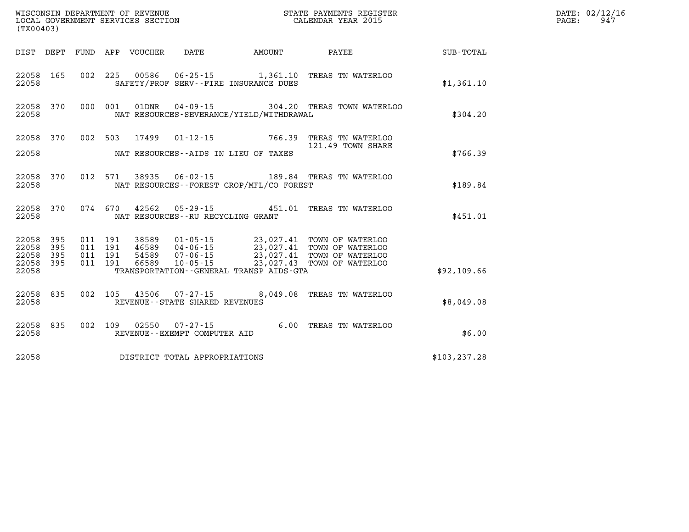| (TX00403) |       |  |                                         |                                            | WISCONSIN DEPARTMENT OF REVENUE<br>LOCAL GOVERNMENT SERVICES SECTION<br>CALENDAR YEAR 2015                                                                                                                                                                                                                                                       |               | DATE: 02/12/16<br>PAGE:<br>947 |
|-----------|-------|--|-----------------------------------------|--------------------------------------------|--------------------------------------------------------------------------------------------------------------------------------------------------------------------------------------------------------------------------------------------------------------------------------------------------------------------------------------------------|---------------|--------------------------------|
|           |       |  |                                         |                                            | DIST DEPT FUND APP VOUCHER DATE AMOUNT PAYEE PAYER SUB-TOTAL                                                                                                                                                                                                                                                                                     |               |                                |
| 22058     |       |  |                                         | SAFETY/PROF SERV--FIRE INSURANCE DUES      | 22058 165 002 225 00586 06-25-15 1,361.10 TREAS TN WATERLOO                                                                                                                                                                                                                                                                                      | \$1,361.10    |                                |
| 22058     |       |  |                                         | NAT RESOURCES-SEVERANCE/YIELD/WITHDRAWAL   | 22058 370 000 001 01DNR 04-09-15 304.20 TREAS TOWN WATERLOO                                                                                                                                                                                                                                                                                      | \$304.20      |                                |
|           |       |  |                                         |                                            | 22058 370 002 503 17499 01-12-15 766.39 TREAS TN WATERLOO                                                                                                                                                                                                                                                                                        |               |                                |
|           |       |  |                                         | 22058 NAT RESOURCES--AIDS IN LIEU OF TAXES | 121.49 TOWN SHARE                                                                                                                                                                                                                                                                                                                                | \$766.39      |                                |
| 22058     |       |  |                                         | NAT RESOURCES--FOREST CROP/MFL/CO FOREST   | 22058 370 012 571 38935 06-02-15 189.84 TREAS TN WATERLOO                                                                                                                                                                                                                                                                                        | \$189.84      |                                |
|           |       |  | 22058 NAT RESOURCES--RU RECYCLING GRANT |                                            | 22058 370 074 670 42562 05-29-15 451.01 TREAS TN WATERLOO                                                                                                                                                                                                                                                                                        | \$451.01      |                                |
|           |       |  |                                         |                                            | $\begin{array}{cccccccc} 22058 & 395 & 011 & 191 & 38589 & 01\text{-}05\text{-}15 & 23\text{,}027.41 & \text{TOWN OF MATERLOO} \\ 22058 & 395 & 011 & 191 & 46589 & 04\text{-}06\text{-}15 & 23\text{,}027.41 & \text{TOWN OF MATERLOO} \\ 22058 & 395 & 011 & 191 & 54589 & 07\text{-}06\text{-}15 & 23\text{,}027.41 & \text{TOWN OF MATERLOO$ |               |                                |
|           |       |  |                                         |                                            |                                                                                                                                                                                                                                                                                                                                                  |               |                                |
| 22058     |       |  |                                         | TRANSPORTATION - - GENERAL TRANSP AIDS-GTA |                                                                                                                                                                                                                                                                                                                                                  | \$92,109.66   |                                |
|           | 22058 |  | REVENUE - - STATE SHARED REVENUES       |                                            | 22058 835 002 105 43506 07-27-15 8,049.08 TREAS TN WATERLOO                                                                                                                                                                                                                                                                                      | \$8,049.08    |                                |
| 22058     |       |  | REVENUE--EXEMPT COMPUTER AID            |                                            | 22058 835 002 109 02550 07-27-15 6.00 TREAS TN WATERLOO                                                                                                                                                                                                                                                                                          | \$6.00        |                                |
| 22058     |       |  | DISTRICT TOTAL APPROPRIATIONS           |                                            |                                                                                                                                                                                                                                                                                                                                                  | \$103, 237.28 |                                |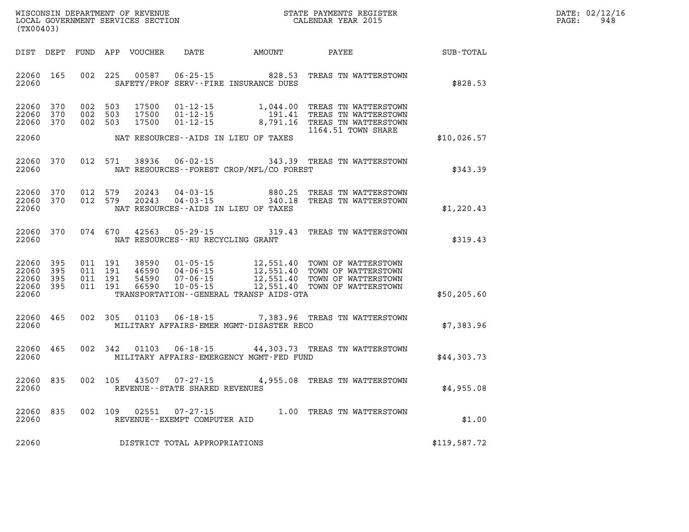| WISCONSIN DEPARTMENT OF REVENUE   | STATE PAYMENTS REGISTER | DATE: | : 02/12/16 |
|-----------------------------------|-------------------------|-------|------------|
| LOCAL GOVERNMENT SERVICES SECTION | CALENDAR YEAR 2015      | PAGE. | 948        |

| (TX00403)                                 |                          |                                          | LOCAL GOVERNMENT SERVICES SECTION |                                                    |                                              | CALENDAR YEAR 2015                                                                                                                                                   |              | PAGE: | 948 |
|-------------------------------------------|--------------------------|------------------------------------------|-----------------------------------|----------------------------------------------------|----------------------------------------------|----------------------------------------------------------------------------------------------------------------------------------------------------------------------|--------------|-------|-----|
|                                           |                          |                                          |                                   |                                                    |                                              |                                                                                                                                                                      |              |       |     |
| 22060 165<br>22060                        |                          |                                          | 002 225 00587                     |                                                    | SAFETY/PROF SERV--FIRE INSURANCE DUES        | 06-25-15 828.53 TREAS TN WATTERSTOWN                                                                                                                                 | \$828.53     |       |     |
| 22060<br>22060<br>22060                   | 370<br>370<br>370        | 002 503<br>002 503<br>002 503            | 17500<br>17500<br>17500           | $01 - 12 - 15$<br>$01 - 12 - 15$<br>$01 - 12 - 15$ |                                              | 1,044.00 TREAS TN WATTERSTOWN<br>191.41 TREAS TN WATTERSTOWN<br>8,791.16 TREAS TN WATTERSTOWN<br>1164.51 TOWN SHARE                                                  |              |       |     |
| 22060                                     |                          |                                          |                                   |                                                    | NAT RESOURCES--AIDS IN LIEU OF TAXES         |                                                                                                                                                                      | \$10,026.57  |       |     |
| 22060<br>22060                            | 370                      |                                          |                                   |                                                    | NAT RESOURCES--FOREST CROP/MFL/CO FOREST     | 012 571 38936 06-02-15 343.39 TREAS TN WATTERSTOWN                                                                                                                   | \$343.39     |       |     |
| 22060<br>22060<br>22060                   | 370<br>370               | 012 579<br>012 579                       | 20243<br>20243                    |                                                    | NAT RESOURCES -- AIDS IN LIEU OF TAXES       | 04-03-15  880.25  TREAS TN WATTERSTOWN  04-03-15  340.18  TREAS TN WATTERSTOWN                                                                                       | \$1,220.43   |       |     |
| 22060 370<br>22060                        |                          |                                          | 074 670 42563                     | NAT RESOURCES - - RU RECYCLING GRANT               |                                              | 05-29-15 319.43 TREAS TN WATTERSTOWN                                                                                                                                 | \$319.43     |       |     |
| 22060<br>22060<br>22060<br>22060<br>22060 | 395<br>395<br>395<br>395 | 011 191<br>011 191<br>011 191<br>011 191 | 38590<br>46590<br>54590<br>66590  |                                                    | TRANSPORTATION - - GENERAL TRANSP AIDS - GTA | 01-05-15 12,551.40 TOWN OF WATTERSTOWN<br>04-06-15 12,551.40 TOWN OF WATTERSTOWN<br>07-06-15 12,551.40 TOWN OF WATTERSTOWN<br>10-05-15 12,551.40 TOWN OF WATTERSTOWN | \$50, 205.60 |       |     |
| 22060 465<br>22060                        |                          |                                          | 002 305 01103                     |                                                    | MILITARY AFFAIRS-EMER MGMT-DISASTER RECO     | 06-18-15 7,383.96 TREAS TN WATTERSTOWN                                                                                                                               | \$7,383.96   |       |     |
| 22060 465<br>22060                        |                          | 002 342                                  | 01103                             |                                                    | MILITARY AFFAIRS-EMERGENCY MGMT-FED FUND     | 06-18-15 44,303.73 TREAS TN WATTERSTOWN                                                                                                                              | \$44,303.73  |       |     |
| 22060<br>22060                            | 835                      |                                          |                                   | REVENUE - - STATE SHARED REVENUES                  |                                              | 002 105 43507 07-27-15 4,955.08 TREAS TN WATTERSTOWN                                                                                                                 | \$4,955.08   |       |     |
| 22060<br>22060                            | 835                      | 002 109                                  | 02551                             | REVENUE--EXEMPT COMPUTER AID                       |                                              | 07-27-15 1.00 TREAS TN WATTERSTOWN                                                                                                                                   | \$1.00       |       |     |
| 22060                                     |                          |                                          |                                   | DISTRICT TOTAL APPROPRIATIONS                      |                                              |                                                                                                                                                                      | \$119,587.72 |       |     |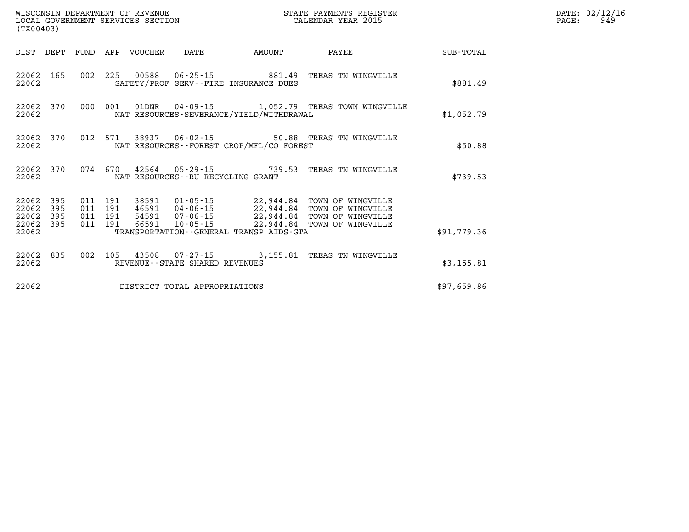| (TX00403)                            |                         |  |                                 |                                     | % WISCONSIN DEPARTMENT OF REVENUE $$\tt SCATE$ PAYMENTS REGIST LOCAL GOVERNMENT SERVICES SECTION $$\tt CALEINDAR$ YEAR 2015                                                                                                                                                                                                                                             | STATE PAYMENTS REGISTER |             | DATE: 02/12/16<br>949<br>$\mathtt{PAGE:}$ |
|--------------------------------------|-------------------------|--|---------------------------------|-------------------------------------|-------------------------------------------------------------------------------------------------------------------------------------------------------------------------------------------------------------------------------------------------------------------------------------------------------------------------------------------------------------------------|-------------------------|-------------|-------------------------------------------|
|                                      |                         |  | DIST DEPT FUND APP VOUCHER DATE |                                     | <b>EXAMPLE THE AMOUNT</b>                                                                                                                                                                                                                                                                                                                                               | <b>PAYEE</b>            | SUB-TOTAL   |                                           |
| 22062                                |                         |  |                                 |                                     | 22062 165 002 225 00588 06-25-15 881.49 TREAS TN WINGVILLE<br>SAFETY/PROF SERV--FIRE INSURANCE DUES                                                                                                                                                                                                                                                                     |                         | \$881.49    |                                           |
| 22062                                |                         |  |                                 |                                     | 22062 370 000 001 01DNR 04-09-15 1,052.79 TREAS TOWN WINGVILLE<br>NAT RESOURCES-SEVERANCE/YIELD/WITHDRAWAL                                                                                                                                                                                                                                                              |                         | \$1,052.79  |                                           |
| 22062                                |                         |  |                                 |                                     | 22062 370 012 571 38937 06-02-15 50.88 TREAS TN WINGVILLE<br>NAT RESOURCES - - FOREST CROP/MFL/CO FOREST                                                                                                                                                                                                                                                                |                         | \$50.88     |                                           |
| 22062                                |                         |  |                                 | NAT RESOURCES -- RU RECYCLING GRANT | 22062 370 074 670 42564 05-29-15 739.53 TREAS TN WINGVILLE                                                                                                                                                                                                                                                                                                              |                         | \$739.53    |                                           |
| 22062<br>22062<br>22062 395<br>22062 | 22062 395<br>395<br>395 |  |                                 |                                     | $\begin{tabular}{cccc} 011 & 191 & 38591 & 01-05-15 & 22,944.84 & TOWN OF WINGVILLE \\ 011 & 191 & 46591 & 04-06-15 & 22,944.84 & TOWN OF WINGVILLE \\ 011 & 191 & 54591 & 07-06-15 & 22,944.84 & TOWN OF WINGVILLE \\ 011 & 191 & 66591 & 10-05-15 & 22,944.84 & TOWN OF WINGVILLE \\ 011 & 191 & 66591 & 10-05-15 & $<br>TRANSPORTATION - - GENERAL TRANSP AIDS - GTA |                         | \$91,779.36 |                                           |
| 22062                                |                         |  |                                 | REVENUE - - STATE SHARED REVENUES   | 22062 835 002 105 43508 07-27-15 3,155.81 TREAS TN WINGVILLE                                                                                                                                                                                                                                                                                                            |                         | \$3,155.81  |                                           |
| 22062                                |                         |  |                                 | DISTRICT TOTAL APPROPRIATIONS       |                                                                                                                                                                                                                                                                                                                                                                         |                         | \$97,659.86 |                                           |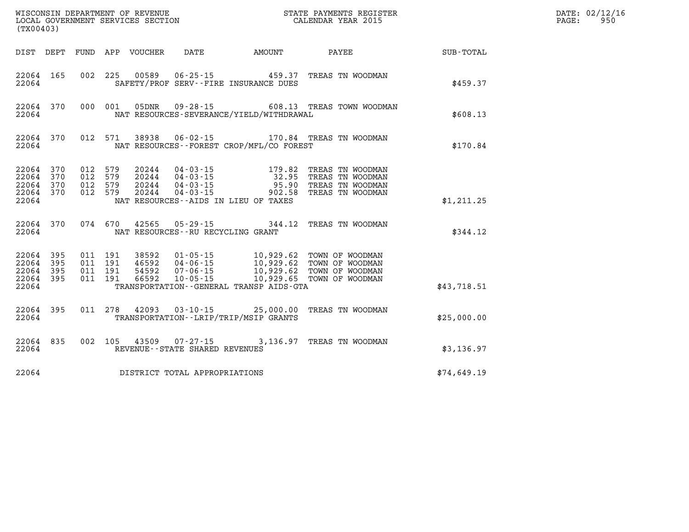| (TX00403)                                             |           |                                          |         |                            |                                                                                                                                 |        |  |                                                                                                                                     | PAGE:       | DATE: 02/12/16<br>950 |  |
|-------------------------------------------------------|-----------|------------------------------------------|---------|----------------------------|---------------------------------------------------------------------------------------------------------------------------------|--------|--|-------------------------------------------------------------------------------------------------------------------------------------|-------------|-----------------------|--|
|                                                       |           |                                          |         | DIST DEPT FUND APP VOUCHER | DATE                                                                                                                            | AMOUNT |  | <b>PAYEE</b> FOUND THE PAYEE                                                                                                        | SUB-TOTAL   |                       |  |
| 22064 165<br>22064                                    |           | 002 225                                  |         | 00589                      | SAFETY/PROF SERV--FIRE INSURANCE DUES                                                                                           |        |  | 06-25-15 459.37 TREAS TN WOODMAN                                                                                                    | \$459.37    |                       |  |
| 22064                                                 | 22064 370 |                                          | 000 001 | 05DNR                      | NAT RESOURCES-SEVERANCE/YIELD/WITHDRAWAL                                                                                        |        |  | 09-28-15 608.13 TREAS TOWN WOODMAN                                                                                                  | \$608.13    |                       |  |
| 22064                                                 | 22064 370 |                                          |         |                            | NAT RESOURCES - - FOREST CROP/MFL/CO FOREST                                                                                     |        |  | 012 571 38938 06-02-15 170.84 TREAS TN WOODMAN                                                                                      | \$170.84    |                       |  |
| 22064 370<br>22064 370<br>22064<br>22064 370<br>22064 | 370       | 012<br>012 579<br>012 579<br>012 579     | 579     | 20244                      | 20244 04-03-15 179.82<br>20244 04-03-15 32.95<br>20244 04-03-15 95.90<br>$04 - 03 - 15$<br>NAT RESOURCES--AIDS IN LIEU OF TAXES | 902.58 |  | TREAS TN WOODMAN<br>32.95 TREAS TN WOODMAN<br>95.90 TREAS TN WOODMAN<br>TREAS TN WOODMAN                                            | \$1,211.25  |                       |  |
| 22064                                                 | 22064 370 | 074 670                                  |         | 42565                      | NAT RESOURCES - - RU RECYCLING GRANT                                                                                            |        |  | 05-29-15 344.12 TREAS TN WOODMAN                                                                                                    | \$344.12    |                       |  |
| 22064 395<br>22064<br>22064 395<br>22064 395<br>22064 | 395       | 011 191<br>011 191<br>011 191<br>011 191 |         | 46592<br>54592<br>66592    | TRANSPORTATION--GENERAL TRANSP AIDS-GTA                                                                                         |        |  | 38592  01-05-15  10,929.62  TOWN OF WOODMAN<br>04-06-15<br>07-06-15 10,929.62 TOWN OF WOODMAN<br>10-05-15 10,929.62 TOWN OF WOODMAN | \$43,718.51 |                       |  |
| 22064                                                 | 22064 395 |                                          |         |                            | TRANSPORTATION - - LRIP/TRIP/MSIP GRANTS                                                                                        |        |  | 011  278  42093  03-10-15  25,000.00 TREAS TN WOODMAN                                                                               | \$25,000.00 |                       |  |
| 22064                                                 | 22064 835 | 002 105                                  |         |                            | REVENUE - - STATE SHARED REVENUES                                                                                               |        |  | 43509  07-27-15  3,136.97  TREAS TN WOODMAN                                                                                         | \$3,136.97  |                       |  |
| 22064                                                 |           |                                          |         |                            | DISTRICT TOTAL APPROPRIATIONS                                                                                                   |        |  |                                                                                                                                     | \$74,649.19 |                       |  |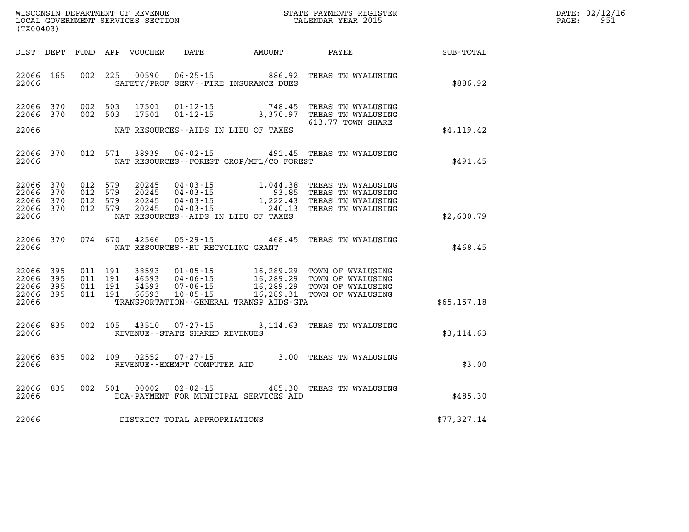| DATE: | 02/12/16 |
|-------|----------|
| PAGE: | 951      |

|                         | (TX00403)           |     |                    | LOCAL GOVERNMENT SERVICES SECTION |                                                  |                                             | CALENDAR YEAR 2015                                                                                                                                           |             | PAGE: | 951 |
|-------------------------|---------------------|-----|--------------------|-----------------------------------|--------------------------------------------------|---------------------------------------------|--------------------------------------------------------------------------------------------------------------------------------------------------------------|-------------|-------|-----|
|                         | DIST DEPT           |     |                    |                                   |                                                  |                                             |                                                                                                                                                              |             |       |     |
| 22066                   | 22066 165           |     | 002 225            | 00590                             |                                                  | SAFETY/PROF SERV--FIRE INSURANCE DUES       | 06-25-15 886.92 TREAS TN WYALUSING                                                                                                                           | \$886.92    |       |     |
| 22066                   | 370<br>22066<br>370 | 002 | 503<br>002 503     | 17501<br>17501                    |                                                  |                                             | 01-12-15 748.45 TREAS TN WYALUSING<br>01-12-15 3,370.97 TREAS TN WYALUSING                                                                                   |             |       |     |
| 22066                   |                     |     |                    |                                   |                                                  | NAT RESOURCES--AIDS IN LIEU OF TAXES        | 613.77 TOWN SHARE                                                                                                                                            | \$4,119.42  |       |     |
| 22066                   | 22066<br>370        |     | 012 571            | 38939                             |                                                  | NAT RESOURCES - - FOREST CROP/MFL/CO FOREST | 06-02-15 491.45 TREAS TN WYALUSING                                                                                                                           | \$491.45    |       |     |
| 22066<br>22066          | 370<br>370          |     | 012 579<br>012 579 | 20245<br>20245                    |                                                  |                                             | 04-03-15<br>04-03-15<br>04-03-15<br>04-03-15<br>1,222.43<br>TREAS TN WYALUSING<br>04-03-15<br>240.13 TREAS TN WYALUSING                                      |             |       |     |
| 22066<br>22066<br>22066 | 370<br>370          |     | 012 579<br>012 579 | 20245<br>20245                    |                                                  | NAT RESOURCES--AIDS IN LIEU OF TAXES        |                                                                                                                                                              | \$2,600.79  |       |     |
| 22066                   | 22066<br>370        |     | 074 670            | 42566                             |                                                  | NAT RESOURCES -- RU RECYCLING GRANT         | 05-29-15 468.45 TREAS TN WYALUSING                                                                                                                           | \$468.45    |       |     |
| 22066<br>22066          | 395<br>395          |     | 011 191<br>011 191 | 38593<br>46593                    |                                                  |                                             | 01-05-15 16,289.29 TOWN OF WYALUSING<br>04-06-15 16,289.29 TOWN OF WYALUSING<br>07-06-15 16,289.29 TOWN OF WYALUSING<br>10-05-15 16,289.31 TOWN OF WYALUSING |             |       |     |
| 22066<br>22066          | 395<br>22066 395    |     | 011 191<br>011 191 | 54593<br>66593                    |                                                  | TRANSPORTATION--GENERAL TRANSP AIDS-GTA     |                                                                                                                                                              | \$65,157.18 |       |     |
| 22066                   | 835<br>22066        |     | 002 105            | 43510                             | $07 - 27 - 15$<br>REVENUE--STATE SHARED REVENUES |                                             | 3,114.63 TREAS TN WYALUSING                                                                                                                                  | \$3,114.63  |       |     |
| 22066                   | 22066<br>835        |     |                    |                                   | REVENUE--EXEMPT COMPUTER AID                     |                                             | 002 109 02552 07-27-15 3.00 TREAS TN WYALUSING                                                                                                               | \$3.00      |       |     |
| 22066                   | 22066 835           |     | 002 501            | 00002                             |                                                  | DOA-PAYMENT FOR MUNICIPAL SERVICES AID      | 02-02-15 485.30 TREAS TN WYALUSING                                                                                                                           | \$485.30    |       |     |
| 22066                   |                     |     |                    |                                   | DISTRICT TOTAL APPROPRIATIONS                    |                                             |                                                                                                                                                              | \$77,327.14 |       |     |

WISCONSIN DEPARTMENT OF REVENUE **STATE PAYMENTS REGISTER**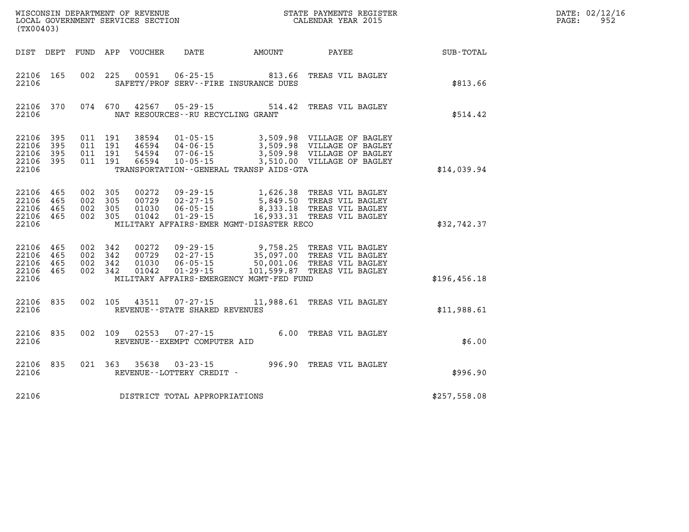| WISCONSIN DEPARTMENT OF REVENUE   | STATE PAYMENTS REGISTER | DATE: | : 02/12/16 |
|-----------------------------------|-------------------------|-------|------------|
| LOCAL GOVERNMENT SERVICES SECTION | CALENDAR YEAR 2015      | PAGE: | 952        |

| LOCAL GOVERNMENT SERVICES SECTION<br>(TX00403) |                            |     |                                          |                                  |                                                                      | CALENDAR YEAR 2015                                                                 |                                                                                                                      |                                         | PAGE: | 952 |
|------------------------------------------------|----------------------------|-----|------------------------------------------|----------------------------------|----------------------------------------------------------------------|------------------------------------------------------------------------------------|----------------------------------------------------------------------------------------------------------------------|-----------------------------------------|-------|-----|
| DIST DEPT                                      |                            |     |                                          | FUND APP VOUCHER                 | <b>DATE</b>                                                          | AMOUNT                                                                             |                                                                                                                      | <b>PAYEE</b> FOR THE PAYEE<br>SUB-TOTAL |       |     |
| 22106 165<br>22106                             |                            |     | 002 225                                  | 00591                            |                                                                      | 06-25-15 813.66 TREAS VIL BAGLEY<br>SAFETY/PROF SERV--FIRE INSURANCE DUES          |                                                                                                                      | \$813.66                                |       |     |
| 22106<br>22106                                 | 370                        |     | 074 670                                  | 42567                            |                                                                      | $05 - 29 - 15$ 514.42<br>NAT RESOURCES - - RU RECYCLING GRANT                      | TREAS VIL BAGLEY                                                                                                     | \$514.42                                |       |     |
| 22106<br>22106<br>22106<br>22106<br>22106      | 395<br>395<br>395<br>- 395 |     | 011 191<br>011 191<br>011 191<br>011 191 | 38594<br>54594<br>66594          | $01 - 05 - 15$<br>46594 04-06-15<br>$07 - 06 - 15$<br>$10 - 05 - 15$ | TRANSPORTATION - - GENERAL TRANSP AIDS - GTA                                       | 3,509.98 VILLAGE OF BAGLEY<br>3,509.98 VILLAGE OF BAGLEY<br>3,509.98 VILLAGE OF BAGLEY<br>3,510.00 VILLAGE OF BAGLEY | \$14,039.94                             |       |     |
| 22106 465<br>22106<br>22106<br>22106<br>22106  | 465<br>465<br>465          | 002 | 002 305<br>305<br>002 305<br>002 305     | 00272<br>00729<br>01030<br>01042 | $09 - 29 - 15$<br>$02 - 27 - 15$<br>$06 - 05 - 15$<br>$01 - 29 - 15$ | MILITARY AFFAIRS-EMER MGMT-DISASTER RECO                                           | 1,626.38 TREAS VIL BAGLEY<br>5,849.50 TREAS VIL BAGLEY<br>8,333.18 TREAS VIL BAGLEY<br>16,933.31 TREAS VIL BAGLEY    | \$32,742.37                             |       |     |
| 22106<br>22106<br>22106<br>22106 465<br>22106  | 465<br>465<br>465          | 002 | 342<br>002 342<br>002 342<br>002 342     | 00272<br>00729<br>01030<br>01042 | $09 - 29 - 15$<br>$02 - 27 - 15$<br>$06 - 05 - 15$<br>$01 - 29 - 15$ | 9,758.25<br>50,001.06 TREAS VIL BAGLEY<br>MILITARY AFFAIRS-EMERGENCY MGMT-FED FUND | TREAS VIL BAGLEY<br>35,097.00 TREAS VIL BAGLEY<br>101,599.87 TREAS VIL BAGLEY                                        | \$196, 456.18                           |       |     |
| 22106<br>22106                                 | 835                        |     | 002 105                                  | 43511                            | $07 - 27 - 15$<br>REVENUE - - STATE SHARED REVENUES                  |                                                                                    | 11,988.61 TREAS VIL BAGLEY                                                                                           | \$11,988.61                             |       |     |
| 22106<br>22106                                 | 835                        |     | 002 109                                  | 02553                            | $07 - 27 - 15$<br>REVENUE--EXEMPT COMPUTER AID                       |                                                                                    | 6.00 TREAS VIL BAGLEY                                                                                                | \$6.00                                  |       |     |
| 22106<br>22106                                 | 835                        |     | 021 363                                  | 35638                            | $03 - 23 - 15$<br>REVENUE - - LOTTERY CREDIT -                       |                                                                                    | 996.90 TREAS VIL BAGLEY                                                                                              | \$996.90                                |       |     |
| 22106                                          |                            |     |                                          |                                  | DISTRICT TOTAL APPROPRIATIONS                                        |                                                                                    |                                                                                                                      | \$257,558.08                            |       |     |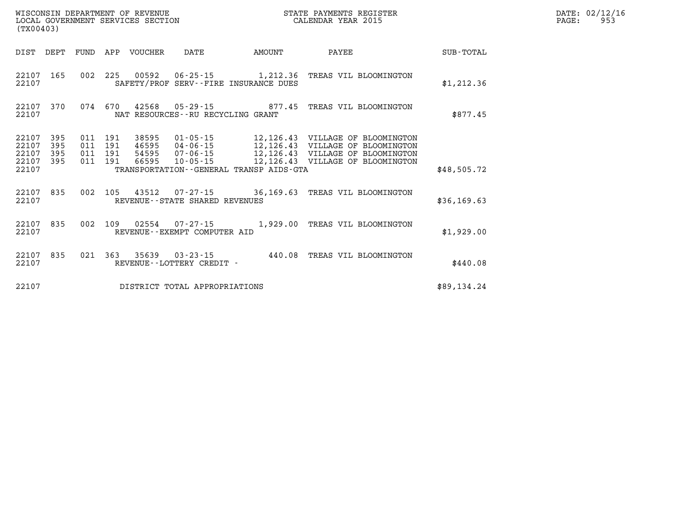| (TX00403)                                                             |                                                                                                                  |        | STATE PAYMENTS REGISTER                                                                                                                                           |             | DATE: 02/12/16<br>$\mathtt{PAGE}$ :<br>953 |
|-----------------------------------------------------------------------|------------------------------------------------------------------------------------------------------------------|--------|-------------------------------------------------------------------------------------------------------------------------------------------------------------------|-------------|--------------------------------------------|
| DIST DEPT                                                             | FUND APP VOUCHER<br>DATE                                                                                         | AMOUNT | PAYEE                                                                                                                                                             | SUB-TOTAL   |                                            |
| 22107 165<br>22107                                                    | 002 225 00592 06-25-15 1,212.36 TREAS VIL BLOOMINGTON<br>SAFETY/PROF SERV--FIRE INSURANCE DUES                   |        |                                                                                                                                                                   | \$1,212.36  |                                            |
| 22107<br>370<br>22107                                                 | 074 670<br>42568  05-29-15  877.45  TREAS VIL BLOOMINGTON<br>NAT RESOURCES - - RU RECYCLING GRANT                |        |                                                                                                                                                                   | \$877.45    |                                            |
| 22107<br>395<br>22107<br>395<br>22107<br>395<br>22107<br>395<br>22107 | 011 191<br>38595<br>011 191<br>011 191<br>011 191 66595 10-05-15<br>TRANSPORTATION - - GENERAL TRANSP AIDS - GTA |        | 01-05-15 12,126.43 VILLAGE OF BLOOMINGTON<br>46595 04-06-15<br>54595 07-06-15 12,126.43 VILLAGE OF BLOOMINGTON<br>66595 10-05-15 12,126.43 VILLAGE OF BLOOMINGTON | \$48,505.72 |                                            |
| 22107 835<br>22107                                                    | 002 105 43512 07-27-15 36,169.63 TREAS VIL BLOOMINGTON<br>REVENUE--STATE SHARED REVENUES                         |        |                                                                                                                                                                   | \$36,169.63 |                                            |
| 22107 835<br>22107                                                    | 002 109 02554 07-27-15 1,929.00 TREAS VIL BLOOMINGTON<br>REVENUE--EXEMPT COMPUTER AID                            |        |                                                                                                                                                                   | \$1,929.00  |                                            |
| 22107 835<br>22107                                                    | 021 363 35639 03-23-15 440.08 TREAS VIL BLOOMINGTON<br>REVENUE--LOTTERY CREDIT -                                 |        |                                                                                                                                                                   | \$440.08    |                                            |
| 22107                                                                 | DISTRICT TOTAL APPROPRIATIONS                                                                                    |        |                                                                                                                                                                   | \$89,134.24 |                                            |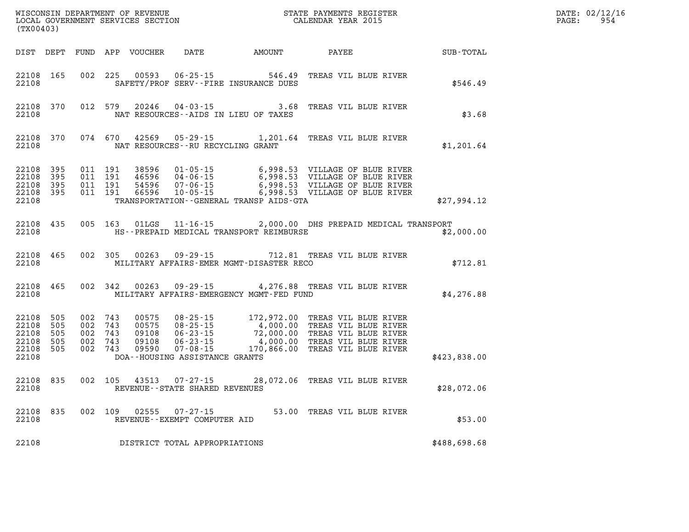| (TX00403)                                                  |                   |                                                     |         |                                           |                                                        |                                                                | WISCONSIN DEPARTMENT OF REVENUE<br>LOCAL GOVERNMENT SERVICES SECTION FOR THE STATE PAYMENTS REGISTER<br>CALENDAR YEAR 2015                                                                                          |                  | DATE: 02/12/16<br>954<br>$\mathtt{PAGE:}$ |
|------------------------------------------------------------|-------------------|-----------------------------------------------------|---------|-------------------------------------------|--------------------------------------------------------|----------------------------------------------------------------|---------------------------------------------------------------------------------------------------------------------------------------------------------------------------------------------------------------------|------------------|-------------------------------------------|
|                                                            |                   |                                                     |         |                                           |                                                        | DIST DEPT FUND APP VOUCHER DATE AMOUNT PAYEE                   |                                                                                                                                                                                                                     | <b>SUB-TOTAL</b> |                                           |
| 22108 165<br>22108                                         |                   | 002 225                                             |         |                                           |                                                        | 00593 06-25-15 546.49<br>SAFETY/PROF SERV--FIRE INSURANCE DUES | TREAS VIL BLUE RIVER                                                                                                                                                                                                | \$546.49         |                                           |
| 22108                                                      | 22108 370         |                                                     | 012 579 | 20246                                     |                                                        | NAT RESOURCES--AIDS IN LIEU OF TAXES                           | 04-03-15 3.68 TREAS VIL BLUE RIVER                                                                                                                                                                                  | \$3.68           |                                           |
| 22108                                                      | 22108 370         |                                                     |         |                                           | NAT RESOURCES--RU RECYCLING GRANT                      |                                                                | 074 670 42569 05-29-15 1,201.64 TREAS VIL BLUE RIVER                                                                                                                                                                | \$1,201.64       |                                           |
| 22108 395<br>22108<br>22108 395<br>22108 395<br>22108      | 395               | 011 191<br>011 191<br>011 191<br>011 191            |         |                                           |                                                        | TRANSPORTATION--GENERAL TRANSP AIDS-GTA                        | 38596 01-05-15 6,998.53 VILLAGE OF BLUE RIVER<br>46596 04-06-15 6,998.53 VILLAGE OF BLUE RIVER<br>54596 07-06-15 6,998.53 VILLAGE OF BLUE RIVER<br>66596 10-05-15 - 6,998.53 VILLAGE OF BLUE RIVER                  | \$27,994.12      |                                           |
| 22108 435<br>22108                                         |                   |                                                     | 005 163 |                                           |                                                        | HS--PREPAID MEDICAL TRANSPORT REIMBURSE                        | 01LGS  11-16-15  2,000.00 DHS PREPAID MEDICAL TRANSPORT                                                                                                                                                             | \$2,000.00       |                                           |
| 22108                                                      | 22108 465         | 002 305                                             |         | 00263                                     |                                                        | MILITARY AFFAIRS-EMER MGMT-DISASTER RECO                       | 09-29-15 712.81 TREAS VIL BLUE RIVER                                                                                                                                                                                | \$712.81         |                                           |
| 22108                                                      | 22108 465         |                                                     | 002 342 |                                           |                                                        | MILITARY AFFAIRS-EMERGENCY MGMT-FED FUND                       | 00263 09-29-15 4,276.88 TREAS VIL BLUE RIVER                                                                                                                                                                        | \$4,276.88       |                                           |
| 22108<br>22108 505<br>22108<br>22108<br>22108 505<br>22108 | 505<br>505<br>505 | 002 743<br>002 743<br>002 743<br>002 743<br>002 743 |         | 00575<br>00575<br>09108<br>09108<br>09590 | DOA--HOUSING ASSISTANCE GRANTS                         |                                                                | 08-25-15 172,972.00 TREAS VIL BLUE RIVER<br>08-25-15 4,000.00 TREAS VIL BLUE RIVER<br>06-23-15 72,000.00 TREAS VIL BLUE RIVER<br>06-23-15 4,000.00 TREAS VIL BLUE RIVER<br>07-08-15 170,866.00 TREAS VIL BLUE RIVER | \$423,838.00     |                                           |
| 22108 835<br>22108                                         |                   | 002 105                                             |         |                                           | REVENUE - - STATE SHARED REVENUES                      |                                                                | 43513  07-27-15  28,072.06  TREAS VIL BLUE RIVER                                                                                                                                                                    | \$28,072.06      |                                           |
| 22108                                                      | 22108 835         |                                                     |         |                                           | 002 109 02555 07-27-15<br>REVENUE--EXEMPT COMPUTER AID |                                                                | 53.00 TREAS VIL BLUE RIVER                                                                                                                                                                                          | \$53.00          |                                           |
| 22108                                                      |                   |                                                     |         |                                           | DISTRICT TOTAL APPROPRIATIONS                          |                                                                |                                                                                                                                                                                                                     | \$488,698.68     |                                           |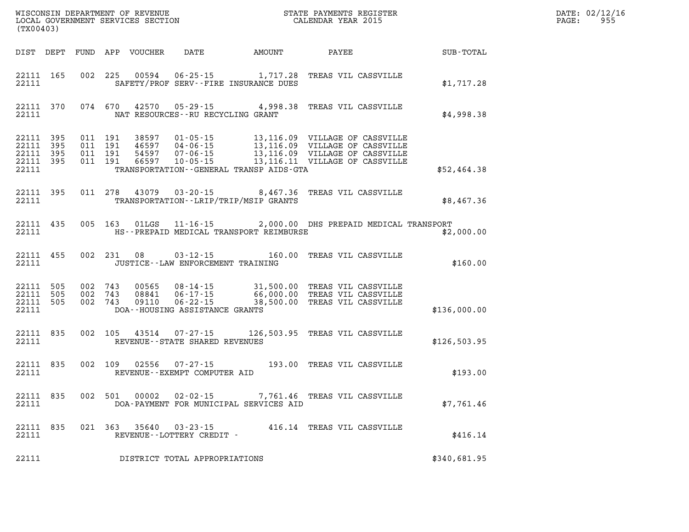| (TX00403)                                             |           |                                          |         |                                  |                                      |                                              |                                                                                                                                                                                                                                                                                    |              | DATE: 02/12/16<br>PAGE: 955 |
|-------------------------------------------------------|-----------|------------------------------------------|---------|----------------------------------|--------------------------------------|----------------------------------------------|------------------------------------------------------------------------------------------------------------------------------------------------------------------------------------------------------------------------------------------------------------------------------------|--------------|-----------------------------|
|                                                       |           |                                          |         |                                  |                                      | DIST DEPT FUND APP VOUCHER DATE AMOUNT PAYEE |                                                                                                                                                                                                                                                                                    | SUB-TOTAL    |                             |
| 22111 165<br>22111                                    |           |                                          | 002 225 |                                  |                                      | SAFETY/PROF SERV--FIRE INSURANCE DUES        | 00594  06-25-15   1,717.28   TREAS VIL CASSVILLE                                                                                                                                                                                                                                   | \$1,717.28   |                             |
| 22111                                                 | 22111 370 |                                          |         | 074 670 42570                    | NAT RESOURCES - - RU RECYCLING GRANT |                                              | 05-29-15 4,998.38 TREAS VIL CASSVILLE                                                                                                                                                                                                                                              | \$4,998.38   |                             |
| 22111 395<br>22111<br>22111 395<br>22111 395<br>22111 | 395       | 011 191<br>011 191<br>011 191<br>011 191 |         | 38597<br>46597<br>54597<br>66597 |                                      | TRANSPORTATION--GENERAL TRANSP AIDS-GTA      | $\begin{tabular}{c c c c c c c c} \hline 01-05-15 & 13,116.09 & \text{VILLAGE OF CASVILLE} \\ 04-06-15 & 13,116.09 & \text{VILLAGE OF CASVILLE} \\ 07-06-15 & 13,116.09 & \text{VILLAGE OF CASVILLE} \\ 10-05-15 & 13,116.11 & \text{VILLAGE OF CASVILLE} \\ \hline \end{tabular}$ | \$52,464.38  |                             |
| 22111                                                 | 22111 395 |                                          | 011 278 |                                  |                                      | TRANSPORTATION - - LRIP/TRIP/MSIP GRANTS     | 43079 03-20-15 8,467.36 TREAS VIL CASSVILLE                                                                                                                                                                                                                                        | \$8,467.36   |                             |
| 22111 435<br>22111                                    |           |                                          |         |                                  |                                      | HS--PREPAID MEDICAL TRANSPORT REIMBURSE      | 005 163 01LGS 11-16-15 2,000.00 DHS PREPAID MEDICAL TRANSPORT                                                                                                                                                                                                                      | \$2,000.00   |                             |
| 22111 455<br>22111                                    |           |                                          |         | 002 231 08                       | JUSTICE - - LAW ENFORCEMENT TRAINING |                                              | 03-12-15    160.00    TREAS VIL CASSVILLE                                                                                                                                                                                                                                          | \$160.00     |                             |
| 22111 505<br>22111 505<br>22111 505<br>22111          |           | 002 743<br>002 743<br>002 743            |         | 00565<br>08841<br>09110          | DOA--HOUSING ASSISTANCE GRANTS       |                                              | 08-14-15 31,500.00 TREAS VIL CASSVILLE<br>06-17-15 66,000.00 TREAS VIL CASSVILLE<br>06-22-15 38,500.00 TREAS VIL CASSVILLE                                                                                                                                                         | \$136,000.00 |                             |
| 22111 835<br>22111                                    |           | 002 105                                  |         |                                  | REVENUE - - STATE SHARED REVENUES    |                                              | 43514 07-27-15 126,503.95 TREAS VIL CASSVILLE                                                                                                                                                                                                                                      | \$126,503.95 |                             |
| 22111 835<br>22111                                    |           |                                          | 002 109 | 02556                            | REVENUE--EXEMPT COMPUTER AID         |                                              | 07-27-15 193.00 TREAS VIL CASSVILLE                                                                                                                                                                                                                                                | \$193.00     |                             |
| 22111 835<br>22111                                    |           |                                          |         | 002 501 00002                    |                                      | DOA-PAYMENT FOR MUNICIPAL SERVICES AID       | 02-02-15 7,761.46 TREAS VIL CASSVILLE                                                                                                                                                                                                                                              | \$7,761.46   |                             |
| 22111                                                 | 22111 835 |                                          |         | 021 363 35640                    | REVENUE--LOTTERY CREDIT -            |                                              | 03-23-15 416.14 TREAS VIL CASSVILLE                                                                                                                                                                                                                                                | \$416.14     |                             |
| 22111                                                 |           |                                          |         |                                  | DISTRICT TOTAL APPROPRIATIONS        |                                              |                                                                                                                                                                                                                                                                                    | \$340,681.95 |                             |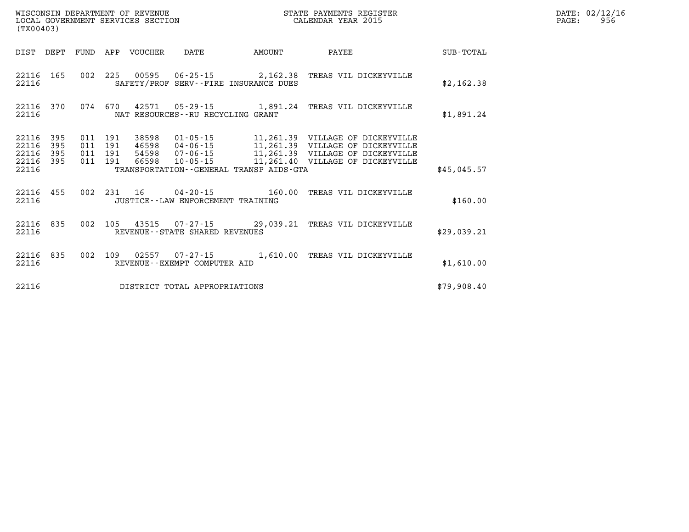|       | DATE: 02/12/16 |
|-------|----------------|
| PAGE: | 956            |

| (TX00403)                                 |                          |                          |                          |         |                                                        |                                         |                                                                                                                                                       |                  |
|-------------------------------------------|--------------------------|--------------------------|--------------------------|---------|--------------------------------------------------------|-----------------------------------------|-------------------------------------------------------------------------------------------------------------------------------------------------------|------------------|
| DIST                                      | DEPT                     | FUND                     | APP                      | VOUCHER | DATE                                                   | AMOUNT                                  | PAYEE                                                                                                                                                 | <b>SUB-TOTAL</b> |
| 22116<br>22116                            | 165                      | 002                      | 225                      |         |                                                        | SAFETY/PROF SERV--FIRE INSURANCE DUES   | 00595  06-25-15  2,162.38  TREAS VIL DICKEYVILLE                                                                                                      | \$2,162.38       |
| 22116<br>22116                            | 370                      |                          | 074 670                  |         | NAT RESOURCES - - RU RECYCLING GRANT                   |                                         | 42571  05-29-15   1,891.24   TREAS VIL DICKEYVILLE                                                                                                    | \$1,891.24       |
| 22116<br>22116<br>22116<br>22116<br>22116 | 395<br>395<br>395<br>395 | 011<br>011<br>011<br>011 | 191<br>191<br>191<br>191 | 66598   | 46598 04-06-15<br>54598 07-06-15                       | TRANSPORTATION--GENERAL TRANSP AIDS-GTA | 11,261.39 VILLAGE OF DICKEYVILLE<br>11,261.39 VILLAGE OF DICKEYVILLE<br>11,261.39 VILLAGE OF DICKEYVILLE<br>10-05-15 11,261.40 VILLAGE OF DICKEYVILLE | \$45.045.57      |
| 22116<br>22116                            | 455                      | 002                      | 231                      | 16      | $04 - 20 - 15$<br>JUSTICE - - LAW ENFORCEMENT TRAINING | 160.00                                  | TREAS VIL DICKEYVILLE                                                                                                                                 | \$160.00         |
| 22116<br>22116                            | 835                      | 002                      | 105                      |         | REVENUE--STATE SHARED REVENUES                         |                                         | 43515 07-27-15 29,039.21 TREAS VIL DICKEYVILLE                                                                                                        | \$29.039.21      |
| 22116<br>22116                            | 835                      | 002                      | 109                      |         | REVENUE - - EXEMPT COMPUTER AID                        | $02557$ $07-27-15$ 1,610.00             | TREAS VIL DICKEYVILLE                                                                                                                                 | \$1,610.00       |
| 22116                                     |                          |                          |                          |         | DISTRICT TOTAL APPROPRIATIONS                          |                                         |                                                                                                                                                       | \$79,908.40      |

LOCAL GOVERNMENT SERVICES SECTION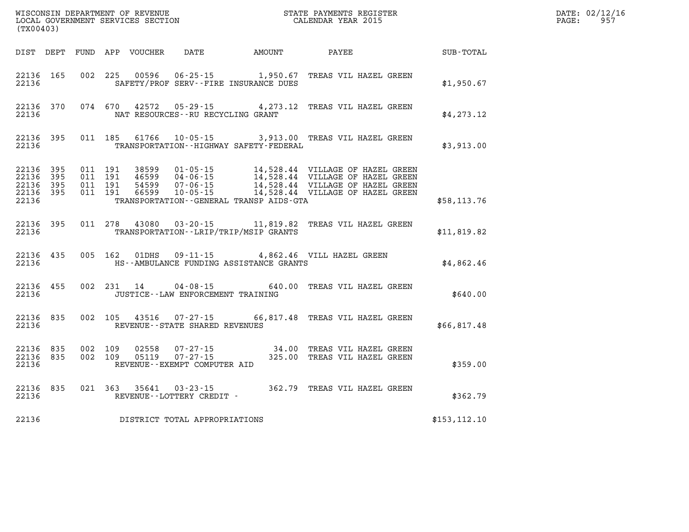| (TX00403)                                             |           |                                          | WISCONSIN DEPARTMENT OF REVENUE<br>LOCAL GOVERNMENT SERVICES SECTION |                                      | STATE PAYMENTS REGISTER<br>CALENDAR YEAR 2015 |                                                                                                                                                                                                                      | DATE: 02/12/16<br>$\mathtt{PAGE:}$<br>957 |  |
|-------------------------------------------------------|-----------|------------------------------------------|----------------------------------------------------------------------|--------------------------------------|-----------------------------------------------|----------------------------------------------------------------------------------------------------------------------------------------------------------------------------------------------------------------------|-------------------------------------------|--|
|                                                       |           |                                          |                                                                      |                                      | DIST DEPT FUND APP VOUCHER DATE AMOUNT PAYEE  |                                                                                                                                                                                                                      | SUB-TOTAL                                 |  |
| 22136                                                 | 22136 165 |                                          |                                                                      |                                      | SAFETY/PROF SERV--FIRE INSURANCE DUES         | 002 225 00596 06-25-15 1,950.67 TREAS VIL HAZEL GREEN                                                                                                                                                                | \$1,950.67                                |  |
| 22136                                                 |           |                                          |                                                                      | NAT RESOURCES--RU RECYCLING GRANT    |                                               | 22136 370 074 670 42572 05-29-15 4,273.12 TREAS VIL HAZEL GREEN                                                                                                                                                      | \$4, 273.12                               |  |
| 22136                                                 | 22136 395 |                                          |                                                                      |                                      | TRANSPORTATION - - HIGHWAY SAFETY - FEDERAL   | 011 185 61766 10-05-15 3,913.00 TREAS VIL HAZEL GREEN                                                                                                                                                                | \$3,913.00                                |  |
| 22136 395<br>22136<br>22136 395<br>22136 395<br>22136 | - 395     | 011 191<br>011 191<br>011 191<br>011 191 |                                                                      |                                      | TRANSPORTATION--GENERAL TRANSP AIDS-GTA       | 38599  01-05-15  14,528.44  VILLAGE OF HAZEL GREEN<br>46599  04-06-15  14,528.44  VILLAGE OF HAZEL GREEN<br>54599  07-06-15  14,528.44  VILLAGE OF HAZEL GREEN<br>66599  10-05-15  14,528.44  VILLAGE OF HAZEL GREEN | \$58,113.76                               |  |
| 22136                                                 | 22136 395 |                                          |                                                                      |                                      | TRANSPORTATION - - LRIP/TRIP/MSIP GRANTS      | 011  278  43080  03-20-15  11,819.82  TREAS VIL HAZEL GREEN                                                                                                                                                          | \$11,819.82                               |  |
| 22136                                                 |           |                                          |                                                                      |                                      | HS--AMBULANCE FUNDING ASSISTANCE GRANTS       | 22136 435 005 162 01DHS 09-11-15 4,862.46 VILL HAZEL GREEN                                                                                                                                                           | \$4,862.46                                |  |
| 22136                                                 |           |                                          |                                                                      | JUSTICE - - LAW ENFORCEMENT TRAINING |                                               | 22136 455 002 231 14 04-08-15 640.00 TREAS VIL HAZEL GREEN                                                                                                                                                           | \$640.00                                  |  |
| 22136                                                 | 22136 835 |                                          |                                                                      | REVENUE--STATE SHARED REVENUES       |                                               | 002 105 43516 07-27-15 66,817.48 TREAS VIL HAZEL GREEN                                                                                                                                                               | \$66,817.48                               |  |
| 22136 835<br>22136                                    | 22136 835 |                                          |                                                                      | REVENUE--EXEMPT COMPUTER AID         |                                               | 002 109 02558 07-27-15 34.00 TREAS VIL HAZEL GREEN<br>002 109 05119 07-27-15 325.00 TREAS VIL HAZEL GREEN                                                                                                            | \$359.00                                  |  |
|                                                       | 22136 835 |                                          |                                                                      | 22136 REVENUE--LOTTERY CREDIT -      |                                               | 021 363 35641 03-23-15 362.79 TREAS VIL HAZEL GREEN                                                                                                                                                                  | \$362.79                                  |  |
| 22136                                                 |           |                                          |                                                                      | DISTRICT TOTAL APPROPRIATIONS        |                                               |                                                                                                                                                                                                                      | \$153, 112.10                             |  |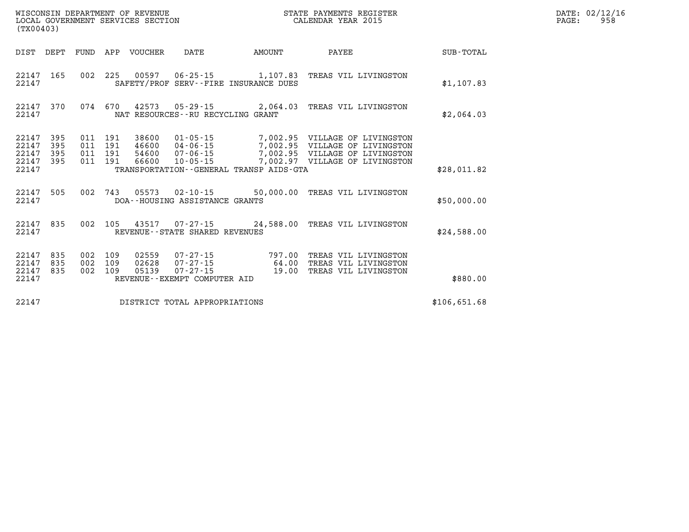|                                           | LOCAL GOVERNMENT SERVICES SECTION<br>(TX00403) |                   |                                          |                         |                                      | CALENDAR YEAR 2015                      |                                                                                                                                                                 | PAGE:        | 958 |  |
|-------------------------------------------|------------------------------------------------|-------------------|------------------------------------------|-------------------------|--------------------------------------|-----------------------------------------|-----------------------------------------------------------------------------------------------------------------------------------------------------------------|--------------|-----|--|
|                                           | DIST DEPT FUND                                 |                   |                                          | APP VOUCHER             | DATE                                 | AMOUNT                                  | PAYEE                                                                                                                                                           | SUB-TOTAL    |     |  |
| 22147                                     | 22147 165                                      |                   |                                          |                         |                                      | SAFETY/PROF SERV--FIRE INSURANCE DUES   | 002 225 00597 06-25-15 1,107.83 TREAS VIL LIVINGSTON                                                                                                            | \$1,107.83   |     |  |
| 22147<br>22147                            | 370                                            |                   |                                          |                         | NAT RESOURCES - - RU RECYCLING GRANT |                                         | 074 670 42573 05-29-15 2,064.03 TREAS VIL LIVINGSTON                                                                                                            | \$2,064.03   |     |  |
| 22147<br>22147<br>22147<br>22147<br>22147 | 395<br>395<br>395<br>395                       |                   | 011 191<br>011 191<br>011 191<br>011 191 | 38600<br>46600<br>54600 | 66600 10-05-15                       | TRANSPORTATION--GENERAL TRANSP AIDS-GTA | 01-05-15 7,002.95 VILLAGE OF LIVINGSTON<br>04-06-15 7,002.95 VILLAGE OF LIVINGSTON<br>07-06-15 7,002.95 VILLAGE OF LIVINGSTON<br>7,002.97 VILLAGE OF LIVINGSTON | \$28,011.82  |     |  |
| 22147<br>22147                            | 505                                            |                   |                                          |                         | DOA--HOUSING ASSISTANCE GRANTS       |                                         | 002 743 05573 02-10-15 50,000.00 TREAS VIL LIVINGSTON                                                                                                           | \$50,000.00  |     |  |
| 22147 835<br>22147                        |                                                | 002               |                                          |                         | REVENUE--STATE SHARED REVENUES       |                                         | 105 43517 07-27-15 24,588.00 TREAS VIL LIVINGSTON                                                                                                               | \$24,588.00  |     |  |
| 22147<br>22147<br>22147<br>22147          | 835<br>835<br>835                              | 002<br>002<br>002 | 109<br>109<br>109                        | 02559<br>02628<br>05139 | REVENUE--EXEMPT COMPUTER AID         |                                         | 07-27-15 797.00 TREAS VIL LIVINGSTON<br>07-27-15 64.00 TREAS VIL LIVINGSTON<br>07-27-15 19.00 TREAS VIL LIVINGSTON                                              | \$880.00     |     |  |
| 22147                                     |                                                |                   |                                          |                         | DISTRICT TOTAL APPROPRIATIONS        |                                         |                                                                                                                                                                 | \$106,651.68 |     |  |

**WISCONSIN DEPARTMENT OF REVENUE STATE PAYMENTS REGISTER DATE: 02/12/16**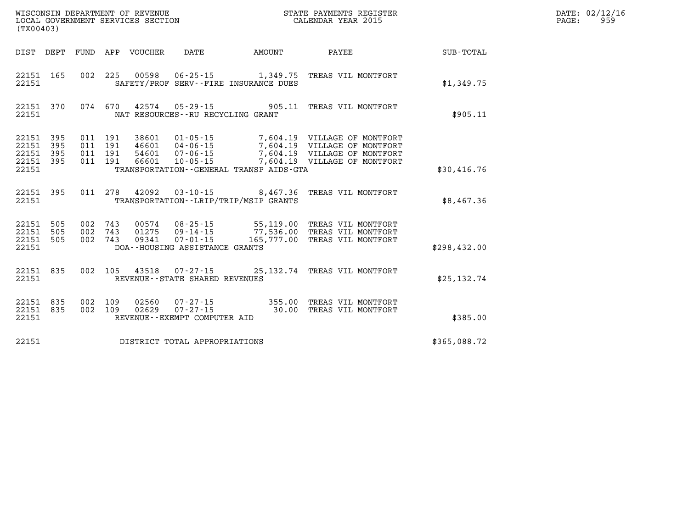| DATE: | 02/12/16 |
|-------|----------|
| PAGE: | 959      |

| WISCONSIN DEPARTMENT OF REVENUE<br>LOCAL GOVERNMENT SERVICES SECTION<br>(TX00403) |                          |                                                              |                                     |                                                                  |                                                                                                                                                                                                      |              |
|-----------------------------------------------------------------------------------|--------------------------|--------------------------------------------------------------|-------------------------------------|------------------------------------------------------------------|------------------------------------------------------------------------------------------------------------------------------------------------------------------------------------------------------|--------------|
| DIST<br>DEPT                                                                      |                          | FUND APP VOUCHER DATE AMOUNT PAYEE                           |                                     |                                                                  |                                                                                                                                                                                                      | SUB-TOTAL    |
| 165<br>22151<br>22151                                                             | 002                      | 225                                                          |                                     | SAFETY/PROF SERV--FIRE INSURANCE DUES                            | 00598  06-25-15   1,349.75  TREAS VIL MONTFORT                                                                                                                                                       | \$1,349.75   |
| 370<br>22151<br>22151                                                             |                          | 074 670                                                      | NAT RESOURCES -- RU RECYCLING GRANT |                                                                  | 42574  05-29-15  905.11  TREAS VIL MONTFORT                                                                                                                                                          | \$905.11     |
| 395<br>22151<br>22151<br>395<br>22151<br>395<br>22151<br>395                      | 011<br>011<br>011<br>011 | 191<br>191<br>191<br>191                                     |                                     |                                                                  | 38601  01-05-15  7,604.19  VILLAGE OF MONTFORT<br>46601  04-06-15  7,604.19  VILLAGE OF MONTFORT<br>54601  07-06-15  7,604.19  VILLAGE OF MONTFORT<br>66601  10-05-15  7,604.19  VILLAGE OF MONTFORT |              |
| 22151                                                                             |                          |                                                              |                                     | TRANSPORTATION--GENERAL TRANSP AIDS-GTA                          |                                                                                                                                                                                                      | \$30,416.76  |
| 22151 395<br>22151                                                                |                          | 011 278                                                      |                                     | 42092 03-10-15 8,467.36<br>TRANSPORTATION--LRIP/TRIP/MSIP GRANTS | TREAS VIL MONTFORT                                                                                                                                                                                   | \$8,467.36   |
| 22151<br>505<br>505<br>22151<br>22151<br>505<br>22151                             | 002<br>002<br>002        | DOA--HOUSING ASSISTANCE GRANTS                               |                                     |                                                                  | 743  00574  08-25-15  55,119.00 TREAS  VIL MONTFORT<br>743  01275  09-14-15  77,536.00 TREAS  VIL MONTFORT<br>743  09341  07-01-15  165,777.00 TREAS  VIL MONTFORT                                   | \$298,432.00 |
| 835<br>22151<br>22151                                                             | 002                      | 105                                                          | REVENUE - - STATE SHARED REVENUES   |                                                                  | 43518  07-27-15  25,132.74  TREAS VIL MONTFORT                                                                                                                                                       | \$25, 132.74 |
| 835<br>22151<br>22151<br>835<br>22151                                             | 002<br>002               | 109<br>02560<br>109<br>02629<br>REVENUE--EXEMPT COMPUTER AID |                                     |                                                                  | 07-27-15 355.00 TREAS VIL MONTFORT<br>07-27-15 30.00 TREAS VIL MONTFORT                                                                                                                              | \$385.00     |
| 22151                                                                             |                          | DISTRICT TOTAL APPROPRIATIONS                                |                                     |                                                                  |                                                                                                                                                                                                      | \$365,088.72 |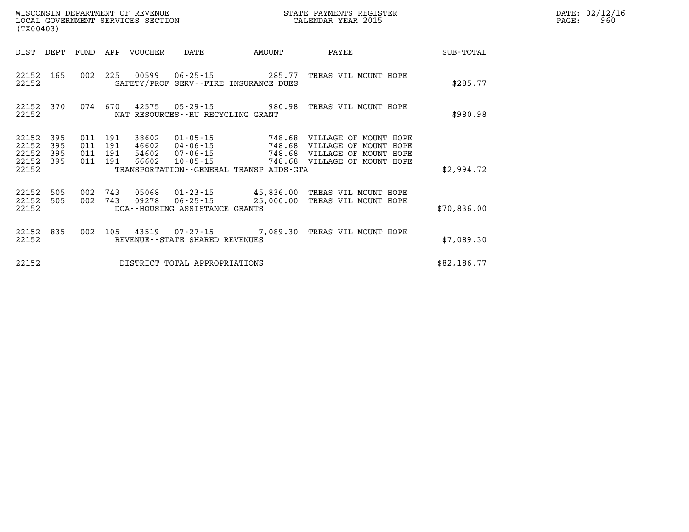| WISCONSIN DEPARTMENT OF REVENUE        | STATE PAYMENTS REGISTER | DATE: 02/12/16 |
|----------------------------------------|-------------------------|----------------|
| LOCAL GOVERNMENT SERVICES SECTION<br>. | CALENDAR YEAR 2015      | 960<br>PAGE:   |

|                         | LOCAL GOVERNMENT SERVICES SECTION<br>(TX00403) |     |                           |                         |                                      |                                              | CALENDAR YEAR 2015                                                                             |             |  | PAGE: | 960 |
|-------------------------|------------------------------------------------|-----|---------------------------|-------------------------|--------------------------------------|----------------------------------------------|------------------------------------------------------------------------------------------------|-------------|--|-------|-----|
| DIST DEPT               |                                                |     |                           | FUND APP VOUCHER        | DATE                                 | AMOUNT                                       | PAYEE                                                                                          | SUB-TOTAL   |  |       |     |
| 22152<br>22152          | 165                                            |     |                           | 002 225 00599           |                                      | SAFETY/PROF SERV--FIRE INSURANCE DUES        | 06-25-15 285.77 TREAS VIL MOUNT HOPE                                                           | \$285.77    |  |       |     |
| 22152<br>22152          | 370                                            |     | 074 670                   |                         | NAT RESOURCES - - RU RECYCLING GRANT |                                              | 42575 05-29-15 980.98 TREAS VIL MOUNT HOPE                                                     | \$980.98    |  |       |     |
| 22152<br>22152<br>22152 | 395<br>395<br>395                              | 011 | 011 191<br>011 191<br>191 | 38602<br>46602<br>54602 | $04 - 06 - 15$<br>07-06-15           | 748.68                                       | 01-05-15 748.68 VILLAGE OF MOUNT HOPE<br>VILLAGE OF MOUNT HOPE<br>748.68 VILLAGE OF MOUNT HOPE |             |  |       |     |
| 22152<br>22152          | 395                                            | 011 | 191                       | 66602                   | $10 - 05 - 15$                       | TRANSPORTATION - - GENERAL TRANSP AIDS - GTA | 748.68 VILLAGE OF MOUNT HOPE                                                                   | \$2,994.72  |  |       |     |
| 22152<br>22152<br>22152 | 505<br>505                                     |     | 002 743<br>002 743        | 05068<br>09278          | DOA--HOUSING ASSISTANCE GRANTS       |                                              | 01-23-15 45,836.00 TREAS VIL MOUNT HOPE<br>06-25-15 25,000.00 TREAS VIL MOUNT HOPE             | \$70,836.00 |  |       |     |
| 22152<br>22152          | 835                                            |     |                           | 002 105 43519           | REVENUE--STATE SHARED REVENUES       |                                              | 07-27-15 7,089.30 TREAS VIL MOUNT HOPE                                                         | \$7,089.30  |  |       |     |
| 22152                   |                                                |     |                           |                         | DISTRICT TOTAL APPROPRIATIONS        |                                              |                                                                                                | \$82,186.77 |  |       |     |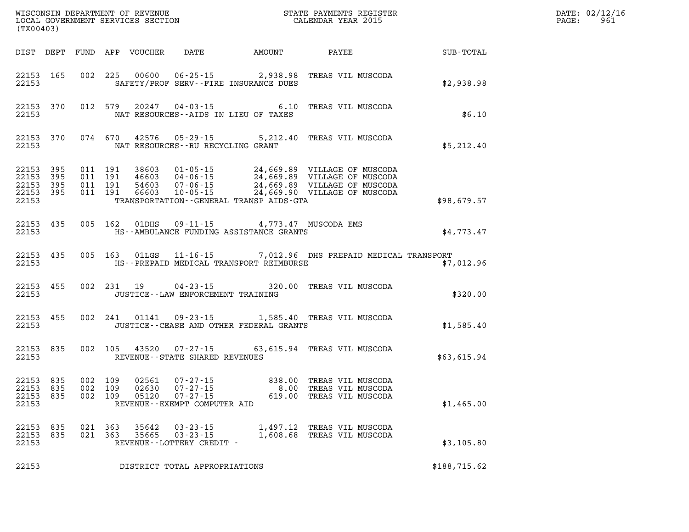| (TX00403)                                    |                  |                                          |            |                         |                                                               |                                                                                        |                                                                                                                                                                                          | DATE: 02/12/16<br>961<br>$\mathtt{PAGE}$ : |  |
|----------------------------------------------|------------------|------------------------------------------|------------|-------------------------|---------------------------------------------------------------|----------------------------------------------------------------------------------------|------------------------------------------------------------------------------------------------------------------------------------------------------------------------------------------|--------------------------------------------|--|
|                                              |                  |                                          |            |                         |                                                               |                                                                                        | DIST DEPT FUND APP VOUCHER DATE AMOUNT PAYEE                                                                                                                                             | SUB-TOTAL                                  |  |
| 22153                                        | 22153 165        |                                          |            |                         |                                                               | SAFETY/PROF SERV--FIRE INSURANCE DUES                                                  | 002 225 00600 06-25-15 2,938.98 TREAS VIL MUSCODA                                                                                                                                        | \$2,938.98                                 |  |
| 22153                                        |                  | 22153 370 012 579                        |            |                         |                                                               | NAT RESOURCES--AIDS IN LIEU OF TAXES                                                   | 20247  04-03-15  6.10 TREAS VIL MUSCODA                                                                                                                                                  | \$6.10                                     |  |
| 22153                                        |                  |                                          |            |                         | NAT RESOURCES--RU RECYCLING GRANT                             |                                                                                        | 22153 370 074 670 42576 05-29-15 5,212.40 TREAS VIL MUSCODA                                                                                                                              | \$5,212.40                                 |  |
| 22153<br>22153 395<br>22153 395<br>22153     | 22153 395<br>395 | 011 191<br>011 191<br>011 191<br>011 191 |            |                         |                                                               | TRANSPORTATION--GENERAL TRANSP AIDS-GTA                                                | 38603 01-05-15 24,669.89 VILLAGE OF MUSCODA<br>46603 04-06-15 24,669.89 VILLAGE OF MUSCODA<br>54603 07-06-15 24,669.89 VILLAGE OF MUSCODA<br>66603 10-05-15 24,669.90 VILLAGE OF MUSCODA | \$98,679.57                                |  |
| 22153                                        | 22153 435        |                                          |            |                         |                                                               | 005 162 01DHS 09-11-15 4,773.47 MUSCODA EMS<br>HS--AMBULANCE FUNDING ASSISTANCE GRANTS |                                                                                                                                                                                          | \$4,773.47                                 |  |
| 22153                                        | 22153 435        |                                          |            |                         |                                                               | HS--PREPAID MEDICAL TRANSPORT REIMBURSE                                                | 005 163 01LGS 11-16-15 7,012.96 DHS PREPAID MEDICAL TRANSPORT                                                                                                                            | \$7,012.96                                 |  |
| 22153                                        | 22153 455        |                                          |            |                         | JUSTICE -- LAW ENFORCEMENT TRAINING                           |                                                                                        | 002 231 19 04-23-15 320.00 TREAS VIL MUSCODA                                                                                                                                             | \$320.00                                   |  |
| 22153                                        | 22153 455        |                                          |            |                         |                                                               | JUSTICE -- CEASE AND OTHER FEDERAL GRANTS                                              | 002 241 01141 09-23-15 1,585.40 TREAS VIL MUSCODA                                                                                                                                        | \$1,585.40                                 |  |
| 22153                                        | 22153 835        |                                          |            |                         | REVENUE--STATE SHARED REVENUES                                |                                                                                        | 002 105 43520 07-27-15 63,615.94 TREAS VIL MUSCODA                                                                                                                                       | \$63,615.94                                |  |
| 22153 835<br>22153 835<br>22153 835<br>22153 |                  | 002 109<br>002 109<br>002 109            |            | 02561<br>02630<br>05120 | $07 - 27 - 15$<br>REVENUE--EXEMPT COMPUTER AID                |                                                                                        | 619.00 TREAS VIL MUSCODA                                                                                                                                                                 | \$1,465.00                                 |  |
| 22153<br>22153 835<br>22153                  | 835              | 021<br>021                               | 363<br>363 | 35642<br>35665          | $03 - 23 - 15$<br>$03 - 23 - 15$<br>REVENUE--LOTTERY CREDIT - |                                                                                        | 1,497.12 TREAS VIL MUSCODA<br>1,608.68 TREAS VIL MUSCODA                                                                                                                                 | \$3,105.80                                 |  |
| 22153                                        |                  |                                          |            |                         | DISTRICT TOTAL APPROPRIATIONS                                 |                                                                                        |                                                                                                                                                                                          | \$188,715.62                               |  |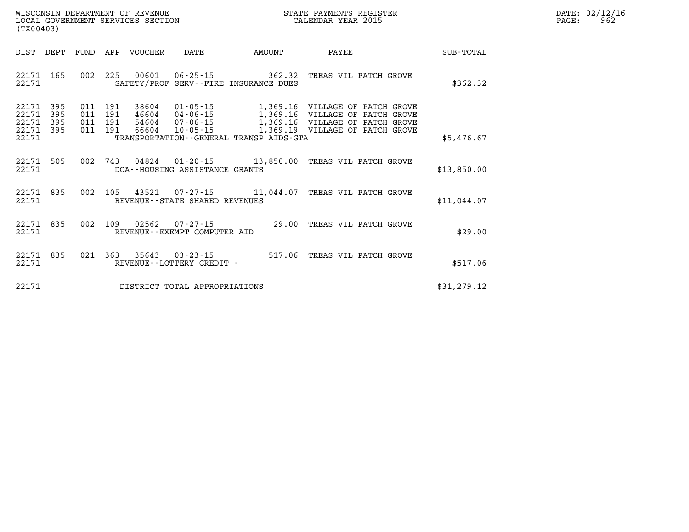| WISCONSIN DEPARTMENT OF REVENUE   | STATE PAYMENTS REGISTER | 02/12/16<br>DATE: |
|-----------------------------------|-------------------------|-------------------|
| LOCAL GOVERNMENT SERVICES SECTION | CALENDAR YEAR 2015      | 962<br>PAGE:      |

| (TX00403)                                 |                          |                          |                                                              |                                                                      |                                                                 |                                                                                                                        |             |
|-------------------------------------------|--------------------------|--------------------------|--------------------------------------------------------------|----------------------------------------------------------------------|-----------------------------------------------------------------|------------------------------------------------------------------------------------------------------------------------|-------------|
| DIST                                      | DEPT                     | FUND                     | APP<br>VOUCHER                                               | DATE                                                                 | AMOUNT                                                          | PAYEE                                                                                                                  | SUB-TOTAL   |
| 22171<br>22171                            | 165                      | 002                      | 225<br>00601<br>SAFETY/PROF                                  | $06 - 25 - 15$                                                       | 362.32<br>SERV--FIRE INSURANCE DUES                             | TREAS VIL PATCH GROVE                                                                                                  | \$362.32    |
| 22171<br>22171<br>22171<br>22171<br>22171 | 395<br>395<br>395<br>395 | 011<br>011<br>011<br>011 | 191<br>38604<br>191<br>46604<br>191<br>54604<br>191<br>66604 | $01 - 05 - 15$<br>$04 - 06 - 15$<br>$07 - 06 - 15$<br>$10 - 05 - 15$ | 1,369.16<br>1,369.19<br>TRANSPORTATION--GENERAL TRANSP AIDS-GTA | 1,369.16 VILLAGE OF PATCH GROVE<br>VILLAGE OF PATCH GROVE<br>1,369.16 VILLAGE OF PATCH GROVE<br>VILLAGE OF PATCH GROVE | \$5,476.67  |
| 22171<br>22171                            | 505                      | 002                      | 743<br>04824                                                 | DOA--HOUSING ASSISTANCE GRANTS                                       | $01 - 20 - 15$ 13,850.00                                        | TREAS VIL PATCH GROVE                                                                                                  | \$13,850.00 |
| 22171<br>22171                            | 835                      | 002                      | 105<br>43521                                                 | REVENUE - - STATE SHARED REVENUES                                    |                                                                 | 07-27-15 11,044.07 TREAS VIL PATCH GROVE                                                                               | \$11,044.07 |
| 22171<br>22171                            | 835                      | 002                      | 109<br>02562                                                 | $07 - 27 - 15$<br>REVENUE--EXEMPT COMPUTER AID                       | 29.00                                                           | TREAS VIL PATCH GROVE                                                                                                  | \$29.00     |
| 22171<br>22171                            | 835                      | 021                      | 363<br>35643                                                 | $03 - 23 - 15$<br>REVENUE - - LOTTERY CREDIT -                       | 517.06                                                          | TREAS VIL PATCH GROVE                                                                                                  | \$517.06    |
| 22171                                     |                          |                          |                                                              | DISTRICT TOTAL APPROPRIATIONS                                        |                                                                 |                                                                                                                        | \$31,279.12 |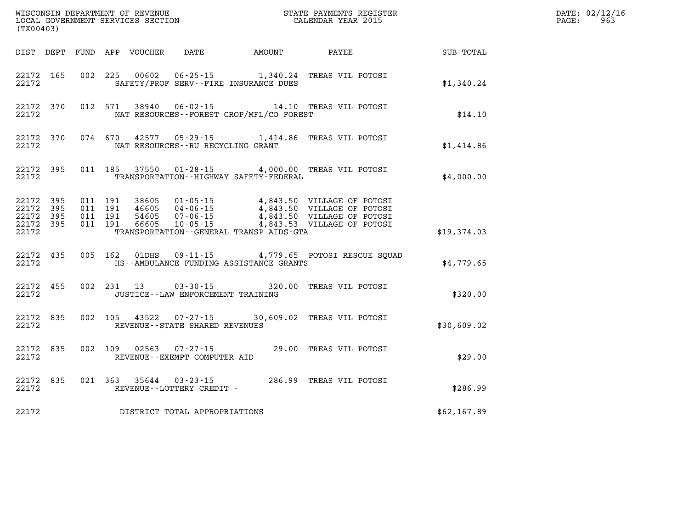| (TX00403)                                                 |           |                                          |  |               |                                                        |                                                                                                                                                                                                                                  |                        |  | DATE: 02/12/16<br>$\mathtt{PAGE}$ :<br>963 |  |
|-----------------------------------------------------------|-----------|------------------------------------------|--|---------------|--------------------------------------------------------|----------------------------------------------------------------------------------------------------------------------------------------------------------------------------------------------------------------------------------|------------------------|--|--------------------------------------------|--|
|                                                           |           |                                          |  |               |                                                        | DIST DEPT FUND APP VOUCHER DATE AMOUNT PAYEE                                                                                                                                                                                     |                        |  | SUB-TOTAL                                  |  |
| 22172                                                     | 22172 165 |                                          |  |               |                                                        | 002 225 00602 06-25-15 1,340.24 TREAS VIL POTOSI<br>SAFETY/PROF SERV--FIRE INSURANCE DUES                                                                                                                                        |                        |  | \$1,340.24                                 |  |
| 22172                                                     | 22172 370 |                                          |  | 012 571 38940 |                                                        | 06-02-15 14.10 TREAS VIL POTOSI<br>NAT RESOURCES - - FOREST CROP/MFL/CO FOREST                                                                                                                                                   |                        |  | \$14.10                                    |  |
| 22172                                                     | 22172 370 |                                          |  |               | NAT RESOURCES - - RU RECYCLING GRANT                   | 074 670 42577 05-29-15 1,414.86 TREAS VIL POTOSI                                                                                                                                                                                 |                        |  | \$1,414.86                                 |  |
| 22172                                                     | 22172 395 |                                          |  |               |                                                        | 011 185 37550 01-28-15 4,000.00 TREAS VIL POTOSI<br>TRANSPORTATION - - HIGHWAY SAFETY - FEDERAL                                                                                                                                  |                        |  | \$4,000.00                                 |  |
| 22172 395<br>22172 395<br>22172 395<br>22172 395<br>22172 |           | 011 191<br>011 191<br>011 191<br>011 191 |  |               |                                                        | 38605 01-05-15 4,843.50 VILLAGE OF POTOSI<br>46605 04-06-15 4,843.50 VILLAGE OF POTOSI<br>54605 07-06-15 4,843.50 VILLAGE OF POTOSI<br>66605 10-05-15 4,843.53 VILLAGE OF POTOSI<br>TRANSPORTATION - - GENERAL TRANSP AIDS - GTA |                        |  | \$19,374.03                                |  |
| 22172 435<br>22172                                        |           |                                          |  |               |                                                        | 005 162 01DHS 09-11-15 4,779.65 POTOSI RESCUE SQUAD<br>HS--AMBULANCE FUNDING ASSISTANCE GRANTS                                                                                                                                   |                        |  | \$4,779.65                                 |  |
| 22172                                                     | 22172 455 |                                          |  |               | JUSTICE - - LAW ENFORCEMENT TRAINING                   | 002 231 13 03-30-15 320.00 TREAS VIL POTOSI                                                                                                                                                                                      |                        |  | \$320.00                                   |  |
| 22172 835<br>22172                                        |           |                                          |  |               | REVENUE--STATE SHARED REVENUES                         | 002 105 43522 07-27-15 30,609.02 TREAS VIL POTOSI                                                                                                                                                                                |                        |  | \$30,609.02                                |  |
| 22172                                                     | 22172 835 |                                          |  |               | 002 109 02563 07-27-15<br>REVENUE--EXEMPT COMPUTER AID |                                                                                                                                                                                                                                  | 29.00 TREAS VIL POTOSI |  | \$29.00                                    |  |
| 22172                                                     | 22172 835 |                                          |  |               | REVENUE--LOTTERY CREDIT -                              | 021  363  35644  03-23-15  286.99  TREAS VIL POTOSI                                                                                                                                                                              |                        |  | \$286.99                                   |  |
| 22172                                                     |           |                                          |  |               | DISTRICT TOTAL APPROPRIATIONS                          |                                                                                                                                                                                                                                  |                        |  | \$62,167.89                                |  |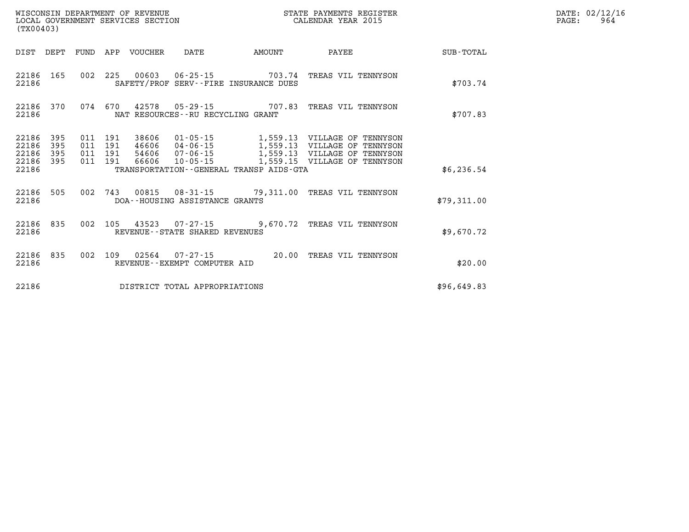| (TX00403)                                                          |                                                                                                                                                                                                                                                | STATE PAYMENTS REGISTER      |             | DATE: 02/12/16<br>PAGE:<br>964 |
|--------------------------------------------------------------------|------------------------------------------------------------------------------------------------------------------------------------------------------------------------------------------------------------------------------------------------|------------------------------|-------------|--------------------------------|
|                                                                    | DIST DEPT FUND APP VOUCHER DATE<br>AMOUNT                                                                                                                                                                                                      | <b>PAYEE</b>                 | SUB-TOTAL   |                                |
| 22186 165<br>22186                                                 | 002 225 00603 06-25-15 703.74 TREAS VIL TENNYSON<br>SAFETY/PROF SERV--FIRE INSURANCE DUES                                                                                                                                                      |                              | \$703.74    |                                |
| 22186 370<br>22186                                                 | 074 670 42578 05-29-15 707.83 TREAS VIL TENNYSON<br>NAT RESOURCES--RU RECYCLING GRANT                                                                                                                                                          |                              | \$707.83    |                                |
| 395<br>22186<br>22186<br>395<br>22186<br>395<br>22186 395<br>22186 | 011  191  38606  01-05-15  1,559.13  VILLAGE OF TENNYSON<br>46606 04-06-15 1,559.13 VILLAGE OF TENNYSON<br>011 191<br>011 191 54606 07-06-15 1,559.13 VILLAGE OF TENNYSON<br>011 191 66606 10-05-15<br>TRANSPORTATION--GENERAL TRANSP AIDS-GTA | 1,559.15 VILLAGE OF TENNYSON | \$6,236.54  |                                |
| 22186 505<br>22186                                                 | 002 743 00815 08-31-15 79,311.00 TREAS VIL TENNYSON<br>DOA--HOUSING ASSISTANCE GRANTS                                                                                                                                                          |                              | \$79,311.00 |                                |
| 22186 835<br>22186                                                 | 002 105 43523 07-27-15 9,670.72 TREAS VIL TENNYSON<br>REVENUE--STATE SHARED REVENUES                                                                                                                                                           |                              | \$9.670.72  |                                |
| 22186 835<br>22186                                                 | 002 109 02564 07-27-15 20.00 TREAS VIL TENNYSON<br>REVENUE--EXEMPT COMPUTER AID                                                                                                                                                                |                              | \$20.00     |                                |
| 22186                                                              | DISTRICT TOTAL APPROPRIATIONS                                                                                                                                                                                                                  |                              | \$96,649.83 |                                |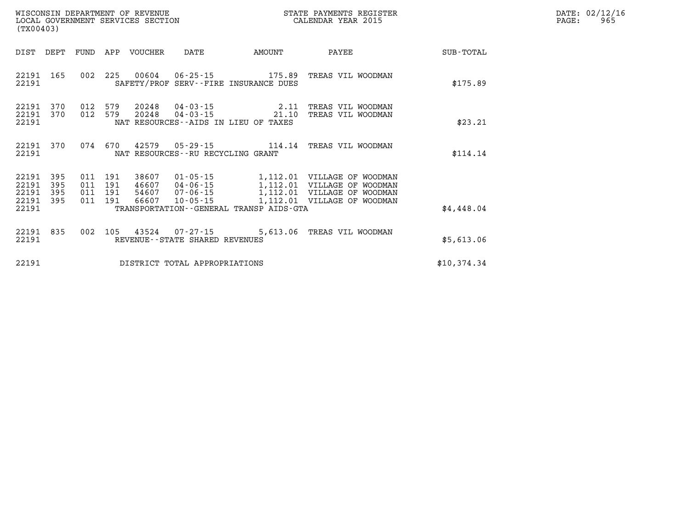| DATE: | 02/12/16 |
|-------|----------|
| PAGE: | 965      |

| (TX00403)                                                             |                          |                                                                                                                                                                                                                                                                                                                                              |             |
|-----------------------------------------------------------------------|--------------------------|----------------------------------------------------------------------------------------------------------------------------------------------------------------------------------------------------------------------------------------------------------------------------------------------------------------------------------------------|-------------|
| DIST<br>DEPT                                                          | FUND                     | APP<br><b>VOUCHER</b><br>DATE<br>AMOUNT<br>PAYEE                                                                                                                                                                                                                                                                                             | SUB-TOTAL   |
| 22191<br>165<br>22191                                                 | 002                      | 225<br>00604<br>$06 - 25 - 15$<br>175.89<br>TREAS VIL WOODMAN<br>SAFETY/PROF SERV--FIRE INSURANCE DUES                                                                                                                                                                                                                                       | \$175.89    |
| 370<br>22191<br>22191<br>370<br>22191                                 | 012<br>012               | 579<br>20248<br>$04 - 03 - 15$<br>2.11<br>TREAS VIL WOODMAN<br>20248<br>579<br>$04 - 03 - 15$<br>21.10<br>TREAS VIL WOODMAN<br>NAT RESOURCES - AIDS IN LIEU OF TAXES                                                                                                                                                                         | \$23.21     |
| 370<br>22191<br>22191                                                 | 074                      | 670<br>$05 - 29 - 15$<br>42579<br>114.14<br>TREAS VIL WOODMAN<br>NAT RESOURCES - - RU RECYCLING GRANT                                                                                                                                                                                                                                        | \$114.14    |
| 395<br>22191<br>22191<br>395<br>22191<br>395<br>22191<br>395<br>22191 | 011<br>011<br>011<br>011 | 191<br>38607<br>$01 - 05 - 15$<br>1,112.01<br>VILLAGE<br>OF WOODMAN<br>191<br>$04 - 06 - 15$<br>1,112.01<br>46607<br>VILLAGE<br>ОF<br>WOODMAN<br>191<br>54607<br>$07 - 06 - 15$<br>1,112.01<br>VILLAGE<br>OF<br>WOODMAN<br>191<br>66607<br>$10 - 05 - 15$<br>1,112.01<br>VILLAGE<br>OF<br>WOODMAN<br>TRANSPORTATION--GENERAL TRANSP AIDS-GTA | \$4,448.04  |
| 835<br>22191<br>22191                                                 | 002                      | 105<br>43524<br>$07 - 27 - 15$<br>5,613.06<br>TREAS VIL WOODMAN<br>REVENUE--STATE SHARED REVENUES                                                                                                                                                                                                                                            | \$5,613.06  |
| 22191                                                                 |                          | DISTRICT TOTAL APPROPRIATIONS                                                                                                                                                                                                                                                                                                                | \$10,374.34 |

LOCAL GOVERNMENT SERVICES SECTION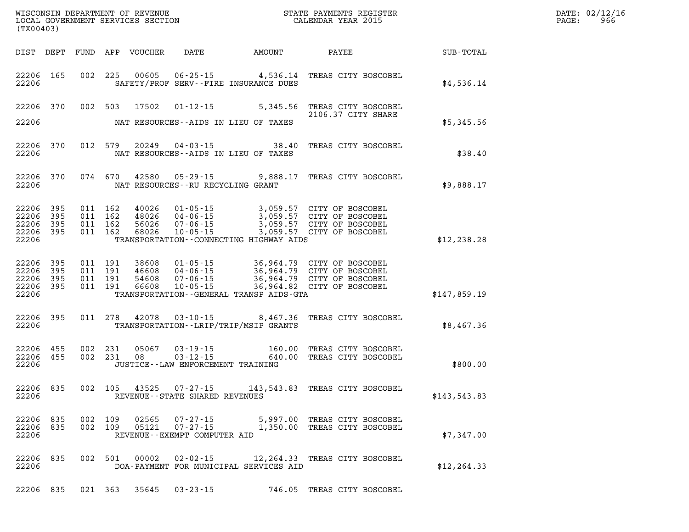| $\mathtt{DATE}$ : | 02/12/16 |
|-------------------|----------|
| PAGE:             | 966      |

| (TX00403)                                                 |            |                                          | LOCAL GOVERNMENT SERVICES SECTION |                                                |                                          | CALENDAR YEAR 2015                                                                                                                                                               |              | PAGE: | 966 |
|-----------------------------------------------------------|------------|------------------------------------------|-----------------------------------|------------------------------------------------|------------------------------------------|----------------------------------------------------------------------------------------------------------------------------------------------------------------------------------|--------------|-------|-----|
|                                                           | DIST DEPT  |                                          | FUND APP VOUCHER                  |                                                |                                          | DATE AMOUNT PAYEE SUB-TOTAL                                                                                                                                                      |              |       |     |
| 22206 165<br>22206                                        |            |                                          |                                   |                                                | SAFETY/PROF SERV--FIRE INSURANCE DUES    | 002 225 00605 06-25-15 4,536.14 TREAS CITY BOSCOBEL                                                                                                                              | \$4,536.14   |       |     |
| 22206 370<br>22206                                        |            |                                          |                                   |                                                | NAT RESOURCES--AIDS IN LIEU OF TAXES     | 002 503 17502 01-12-15 5,345.56 TREAS CITY BOSCOBEL<br>2106.37 CITY SHARE                                                                                                        | \$5,345.56   |       |     |
|                                                           |            |                                          |                                   |                                                |                                          |                                                                                                                                                                                  |              |       |     |
| 22206 370<br>22206                                        |            | 012 579                                  |                                   |                                                | NAT RESOURCES--AIDS IN LIEU OF TAXES     | 20249  04-03-15  38.40 TREAS CITY BOSCOBEL                                                                                                                                       | \$38.40      |       |     |
| 22206 370<br>22206                                        |            | 074 670                                  |                                   |                                                | NAT RESOURCES--RU RECYCLING GRANT        | 42580 05-29-15 9,888.17 TREAS CITY BOSCOBEL                                                                                                                                      | \$9,888.17   |       |     |
| 22206<br>22206<br>22206 395<br>22206 395<br>22206         | 395<br>395 | 011 162<br>011 162<br>011 162<br>011 162 | 56026<br>68026                    | $10 - 05 - 15$                                 | TRANSPORTATION--CONNECTING HIGHWAY AIDS  | 40026  01-05-15  3,059.57  CITY OF BOSCOBEL<br>48026  04-06-15  3,059.57  CITY OF BOSCOBEL<br>56026  07-06-15  3,059.57  CITY OF BOSCOBEL<br>3,059.57 CITY OF BOSCOBEL           | \$12, 238.28 |       |     |
| 22206 395<br>22206 395<br>22206 395<br>22206 395<br>22206 |            | 011 191<br>011 191<br>011 191<br>011 191 |                                   |                                                | TRANSPORTATION--GENERAL TRANSP AIDS-GTA  | 38608 01-05-15 36,964.79 CITY OF BOSCOBEL<br>46608 04-06-15 36,964.79 CITY OF BOSCOBEL<br>54608 07-06-15 36,964.79 CITY OF BOSCOBEL<br>66608 10-05-15 36,964.82 CITY OF BOSCOBEL | \$147,859.19 |       |     |
| 22206 395<br>22206                                        |            | 011 278                                  | 42078                             |                                                | TRANSPORTATION - - LRIP/TRIP/MSIP GRANTS | 03-10-15 8,467.36 TREAS CITY BOSCOBEL                                                                                                                                            | \$8,467.36   |       |     |
| 22206 455<br>22206 455<br>22206                           |            | 002 231<br>002 231                       | 05067<br>08                       | 03 - 19 - 15<br>03 - 12 - 15<br>$03 - 12 - 15$ | JUSTICE - - LAW ENFORCEMENT TRAINING     | 160.00 TREAS CITY BOSCOBEL<br>640.00 TREAS CITY BOSCOBEL                                                                                                                         | \$800.00     |       |     |
| 22206 835<br>22206                                        |            |                                          |                                   | REVENUE - - STATE SHARED REVENUES              |                                          | 002 105 43525 07-27-15 143,543.83 TREAS CITY BOSCOBEL                                                                                                                            | \$143,543.83 |       |     |
| 22206 835<br>22206 835<br>22206                           |            | 002 109                                  | 02565<br>002 109 05121            | REVENUE--EXEMPT COMPUTER AID                   |                                          | 07-27-15 5,997.00 TREAS CITY BOSCOBEL<br>07-27-15 1,350.00 TREAS CITY BOSCOBEL                                                                                                   | \$7,347.00   |       |     |
| 22206 835<br>22206                                        |            | 002 501                                  | 00002                             | $02 - 02 - 15$                                 | DOA-PAYMENT FOR MUNICIPAL SERVICES AID   | 12,264.33 TREAS CITY BOSCOBEL                                                                                                                                                    | \$12, 264.33 |       |     |
|                                                           |            |                                          |                                   |                                                |                                          | 22206 835 021 363 35645 03-23-15 746.05 TREAS CITY BOSCOBEL                                                                                                                      |              |       |     |

WISCONSIN DEPARTMENT OF REVENUE **STATE PAYMENTS REGISTER**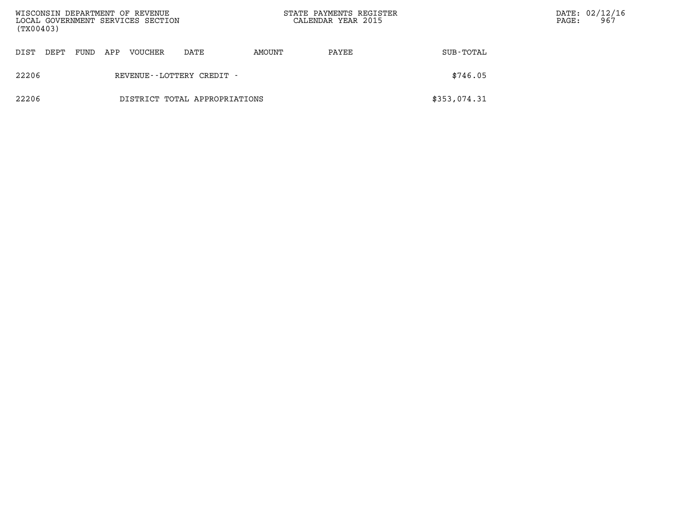| WISCONSIN DEPARTMENT OF REVENUE<br>LOCAL GOVERNMENT SERVICES SECTION<br>(TX00403) |                           |      |     |         |                               | STATE PAYMENTS REGISTER<br>CALENDAR YEAR 2015 |       | PAGE:        | DATE: 02/12/16<br>967 |  |
|-----------------------------------------------------------------------------------|---------------------------|------|-----|---------|-------------------------------|-----------------------------------------------|-------|--------------|-----------------------|--|
| DIST                                                                              | DEPT                      | FUND | APP | VOUCHER | DATE                          | AMOUNT                                        | PAYEE | SUB-TOTAL    |                       |  |
| 22206                                                                             | REVENUE--LOTTERY CREDIT - |      |     |         |                               |                                               |       | \$746.05     |                       |  |
| 22206                                                                             |                           |      |     |         | DISTRICT TOTAL APPROPRIATIONS |                                               |       | \$353,074.31 |                       |  |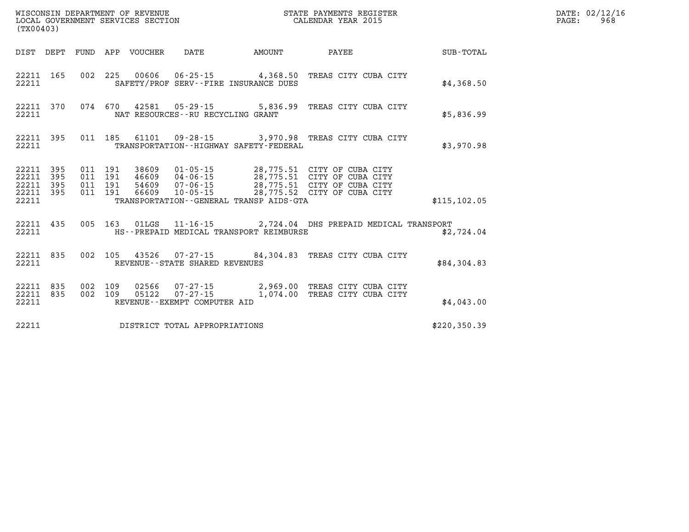| (TX00403)                                                 |           |                    |  |                                 |                                       |                                             | STATE PAYMENTS REGISTER                                                                           |               | DATE: 02/12/16<br>$\mathtt{PAGE:}$<br>968 |
|-----------------------------------------------------------|-----------|--------------------|--|---------------------------------|---------------------------------------|---------------------------------------------|---------------------------------------------------------------------------------------------------|---------------|-------------------------------------------|
|                                                           |           |                    |  | DIST DEPT FUND APP VOUCHER DATE |                                       | <b>AMOUNT</b>                               | PAYEE                                                                                             | SUB-TOTAL     |                                           |
| 22211                                                     |           |                    |  |                                 | SAFETY/PROF SERV--FIRE INSURANCE DUES |                                             | 22211 165 002 225 00606 06-25-15 4,368.50 TREAS CITY CUBA CITY                                    | \$4,368.50    |                                           |
| 22211                                                     | 22211 370 |                    |  |                                 | NAT RESOURCES--RU RECYCLING GRANT     |                                             | 074 670 42581 05-29-15 5,836.99 TREAS CITY CUBA CITY                                              | \$5,836.99    |                                           |
| 22211                                                     |           |                    |  |                                 |                                       | TRANSPORTATION - - HIGHWAY SAFETY - FEDERAL | 22211 395 011 185 61101 09-28-15 3,970.98 TREAS CITY CUBA CITY                                    | \$3,970.98    |                                           |
| 22211 395<br>22211 395<br>22211 395<br>22211 395<br>22211 |           |                    |  |                                 |                                       | TRANSPORTATION--GENERAL TRANSP AIDS-GTA     |                                                                                                   | \$115, 102.05 |                                           |
| 22211                                                     |           |                    |  |                                 |                                       | HS--PREPAID MEDICAL TRANSPORT REIMBURSE     | 22211 435 005 163 01LGS 11-16-15 2,724.04 DHS PREPAID MEDICAL TRANSPORT                           | \$2,724.04    |                                           |
| 22211                                                     |           |                    |  |                                 | REVENUE--STATE SHARED REVENUES        |                                             | 22211 835 002 105 43526 07-27-15 84,304.83 TREAS CITY CUBA CITY                                   | \$84,304.83   |                                           |
| 22211 835<br>22211 835<br>22211                           |           | 002 109<br>002 109 |  |                                 | REVENUE--EXEMPT COMPUTER AID          |                                             | 02566  07-27-15  2,969.00 TREAS CITY CUBA CITY<br>05122  07-27-15   1,074.00 TREAS CITY CUBA CITY | \$4.043.00    |                                           |
| 22211                                                     |           |                    |  |                                 | DISTRICT TOTAL APPROPRIATIONS         |                                             |                                                                                                   | \$220, 350.39 |                                           |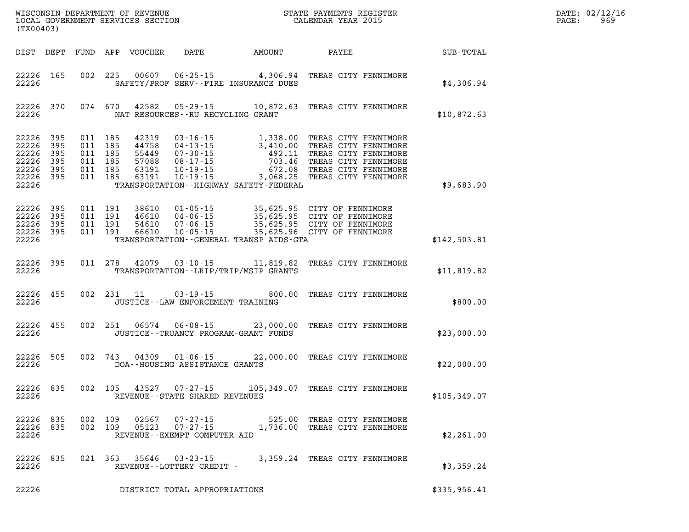| DATE: | 02/12/16 |
|-------|----------|
| PAGE: | 969      |

| (TX00403)                                                                           |           |  |                                      | WISCONSIN DEPARTMENT OF REVENUE<br>LOCAL GOVERNMENT SERVICES SECTION<br>CALENDAR YEAR 2015                                                                                                                                                                           |  |              | DATE: 02/12/1<br>$\mathtt{PAGE:}$<br>969 |
|-------------------------------------------------------------------------------------|-----------|--|--------------------------------------|----------------------------------------------------------------------------------------------------------------------------------------------------------------------------------------------------------------------------------------------------------------------|--|--------------|------------------------------------------|
| DIST DEPT                                                                           |           |  |                                      |                                                                                                                                                                                                                                                                      |  |              |                                          |
| 22226 165<br>22226                                                                  |           |  |                                      | 002 225 00607 06-25-15 4,306.94 TREAS CITY FENNIMORE<br>SAFETY/PROF SERV--FIRE INSURANCE DUES                                                                                                                                                                        |  | \$4,306.94   |                                          |
| 22226                                                                               | 22226 370 |  | NAT RESOURCES - - RU RECYCLING GRANT | 074 670 42582 05-29-15 10,872.63 TREAS CITY FENNIMORE                                                                                                                                                                                                                |  | \$10,872.63  |                                          |
| 22226 395<br>22226 395<br>22226 395<br>22226 395<br>22226 395<br>22226 395<br>22226 |           |  |                                      | TRANSPORTATION - - HIGHWAY SAFETY - FEDERAL                                                                                                                                                                                                                          |  | \$9,683.90   |                                          |
| 22226 395<br>22226 395<br>22226 395<br>22226 395<br>22226                           |           |  |                                      | 011 191 38610 01-05-15 35,625.95 CITY OF FENNIMORE<br>011 191 46610 04-06-15 35,625.95 CITY OF FENNIMORE<br>011 191 54610 07-06-15 35,625.95 CITY OF FENNIMORE<br>011 191 66610 10-05-15 35,625.96 CITY OF FENNIMORE<br>TRANSPORTATION - - GENERAL TRANSP AIDS - GTA |  | \$142,503.81 |                                          |
| 22226 395<br>22226                                                                  |           |  |                                      | 011  278  42079  03-10-15  11,819.82  TREAS CITY FENNIMORE<br>TRANSPORTATION - - LRIP/TRIP/MSIP GRANTS                                                                                                                                                               |  | \$11,819.82  |                                          |
| 22226 455<br>22226                                                                  |           |  | JUSTICE - - LAW ENFORCEMENT TRAINING | 002 231 11 03-19-15 800.00 TREAS CITY FENNIMORE                                                                                                                                                                                                                      |  | \$800.00     |                                          |
| 22226 455<br>22226                                                                  |           |  |                                      | 002 251 06574 06-08-15 23,000.00 TREAS CITY FENNIMORE<br>JUSTICE - - TRUANCY PROGRAM - GRANT FUNDS                                                                                                                                                                   |  | \$23,000.00  |                                          |
| 22226 505<br>22226                                                                  |           |  | DOA--HOUSING ASSISTANCE GRANTS       | 002 743 04309 01-06-15 22,000.00 TREAS CITY FENNIMORE                                                                                                                                                                                                                |  | \$22,000.00  |                                          |
| 22226 835                                                                           |           |  |                                      | 002 105 43527 07-27-15 105,349.07 TREAS CITY FENNIMORE<br>22226 REVENUE - STATE SHARED REVENUES                                                                                                                                                                      |  | \$105,349.07 |                                          |
| 22226 835<br>22226                                                                  | 22226 835 |  | REVENUE--EXEMPT COMPUTER AID         | 002 109 02567 07-27-15 525.00 TREAS CITY FENNIMORE<br>002 109 05123 07-27-15 1,736.00 TREAS CITY FENNIMORE                                                                                                                                                           |  | \$2,261.00   |                                          |
| 22226                                                                               | 22226 835 |  | REVENUE--LOTTERY CREDIT -            | 021 363 35646 03-23-15 3,359.24 TREAS CITY FENNIMORE                                                                                                                                                                                                                 |  | \$3,359.24   |                                          |
| 22226                                                                               |           |  | DISTRICT TOTAL APPROPRIATIONS        |                                                                                                                                                                                                                                                                      |  | \$335,956.41 |                                          |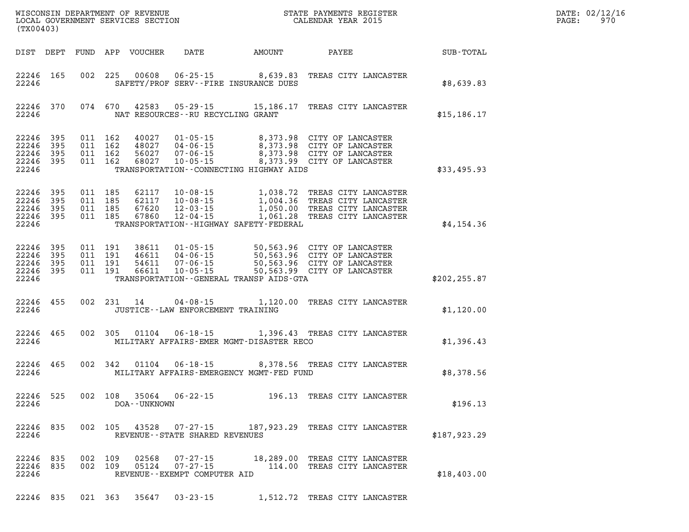| DATE: | 02/12/16 |
|-------|----------|
| PAGE: | 970      |

| (TX00403)                                                 |                                             |                                   |                                                                                                                                                                                                                              |               | DATE: 02/12/1<br>970<br>$\mathtt{PAGE}$ : |
|-----------------------------------------------------------|---------------------------------------------|-----------------------------------|------------------------------------------------------------------------------------------------------------------------------------------------------------------------------------------------------------------------------|---------------|-------------------------------------------|
|                                                           |                                             |                                   |                                                                                                                                                                                                                              |               |                                           |
| 22246 165<br>22246                                        | SAFETY/PROF SERV--FIRE INSURANCE DUES       |                                   | 002 225 00608 06-25-15 8,639.83 TREAS CITY LANCASTER                                                                                                                                                                         | \$8,639.83    |                                           |
| 22246                                                     | NAT RESOURCES--RU RECYCLING GRANT           |                                   | 22246 370 074 670 42583 05-29-15 15,186.17 TREAS CITY LANCASTER                                                                                                                                                              | \$15,186.17   |                                           |
| 22246 395<br>22246 395<br>22246 395<br>22246 395<br>22246 | TRANSPORTATION - CONNECTING HIGHWAY AIDS    |                                   | 011 162 40027 01-05-15 8,373.98 CITY OF LANCASTER<br>011 162 48027 04-06-15 8,373.98 CITY OF LANCASTER<br>011 162 56027 07-06-15 8,373.98 CITY OF LANCASTER<br>011 162 68027 10-05-15 8,373.99 CITY OF LANCASTER             | \$33,495.93   |                                           |
| 22246 395<br>22246 395<br>22246 395<br>22246 395<br>22246 | TRANSPORTATION - - HIGHWAY SAFETY - FEDERAL |                                   | 011 185 62117 10-08-15 1,038.72 TREAS CITY LANCASTER<br>011 185 62117 10-08-15 1,004.36 TREAS CITY LANCASTER<br>011 185 67620 12-03-15 1,050.00 TREAS CITY LANCASTER<br>011 185 67860 12-04-15 1,051.28 TREAS CITY LANCASTER | \$4,154.36    |                                           |
| 22246 395<br>22246 395<br>22246 395<br>22246 395<br>22246 | TRANSPORTATION - GENERAL TRANSP AIDS - GTA  |                                   | 011 191 38611 01-05-15 50,563.96 CITY OF LANCASTER<br>011 191 46611 04-06-15 50,563.96 CITY OF LANCASTER<br>011 191 54611 07-06-15 50,563.96 CITY OF LANCASTER<br>011 191 66611 10-05-15 150,563.99 CITY OF LANCASTER        | \$202, 255.87 |                                           |
| 22246 455                                                 | 22246 JUSTICE - LAW ENFORCEMENT TRAINING    |                                   | 002 231 14 04-08-15 1,120.00 TREAS CITY LANCASTER                                                                                                                                                                            | \$1,120.00    |                                           |
| 22246 465                                                 |                                             |                                   | 002 305 01104 06-18-15 1,396.43 TREAS CITY LANCASTER<br>22246 MILITARY AFFAIRS-EMER MGMT-DISASTER RECO                                                                                                                       | \$1,396.43    |                                           |
|                                                           |                                             |                                   | 22246 465 002 342 01104 06-18-15 8,378.56 TREAS CITY LANCASTER<br>22246 MILITARY AFFAIRS-EMERGENCY MGMT-FED FUND                                                                                                             | \$8,378.56    |                                           |
| 22246                                                     | DOA - - UNKNOWN                             |                                   | 22246 525 002 108 35064 06-22-15 196.13 TREAS CITY LANCASTER                                                                                                                                                                 | \$196.13      |                                           |
| 22246 835<br>22246                                        |                                             | REVENUE - - STATE SHARED REVENUES | 002 105 43528 07-27-15 187,923.29 TREAS CITY LANCASTER                                                                                                                                                                       | \$187,923.29  |                                           |
| 22246 835<br>22246 835<br>22246                           | 002 109<br>05124 07-27-15<br>002 109        | REVENUE--EXEMPT COMPUTER AID      | 02568  07-27-15  18,289.00 TREAS CITY LANCASTER<br>114.00 TREAS CITY LANCASTER                                                                                                                                               | \$18,403.00   |                                           |

**22246 835 021 363 35647 03-23-15 1,512.72 TREAS CITY LANCASTER**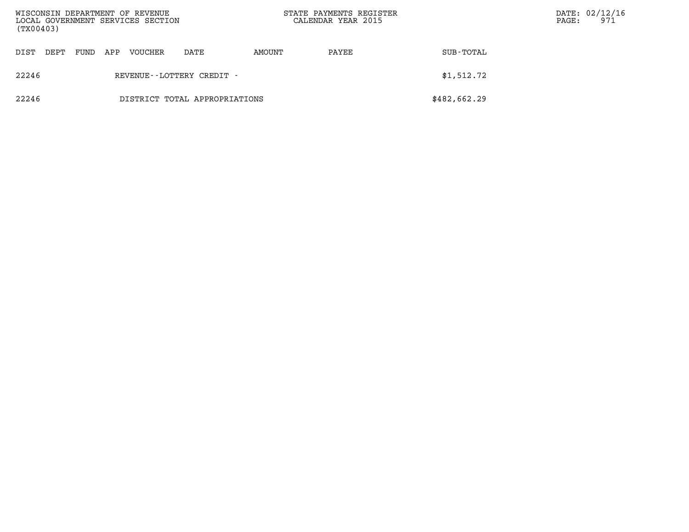| WISCONSIN DEPARTMENT OF REVENUE<br>LOCAL GOVERNMENT SERVICES SECTION<br>(TX00403) |      |      |     |         |                               | STATE PAYMENTS REGISTER<br>CALENDAR YEAR 2015 |       | PAGE:        | DATE: 02/12/16<br>971 |  |
|-----------------------------------------------------------------------------------|------|------|-----|---------|-------------------------------|-----------------------------------------------|-------|--------------|-----------------------|--|
| DIST                                                                              | DEPT | FUND | APP | VOUCHER | DATE                          | AMOUNT                                        | PAYEE | SUB-TOTAL    |                       |  |
| 22246                                                                             |      |      |     |         | REVENUE - - LOTTERY CREDIT -  |                                               |       | \$1,512.72   |                       |  |
| 22246                                                                             |      |      |     |         | DISTRICT TOTAL APPROPRIATIONS |                                               |       | \$482,662.29 |                       |  |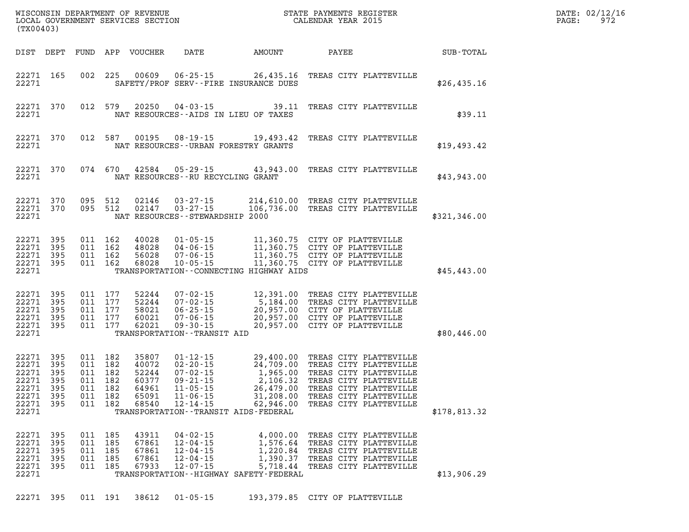| WISCONSIN DEPARTMENT OF REVENUE<br>LOCAL GOVERNMENT SERVICES SECTION<br>(TX00403)                                                                                |                                                                                                                                                                                                                                                           |                                                 | STATE PAYMENTS REGISTER<br>CALENDAR YEAR 2015                                                                                                                                                                   |              | DATE: 02/12/16<br>PAGE:<br>972 |
|------------------------------------------------------------------------------------------------------------------------------------------------------------------|-----------------------------------------------------------------------------------------------------------------------------------------------------------------------------------------------------------------------------------------------------------|-------------------------------------------------|-----------------------------------------------------------------------------------------------------------------------------------------------------------------------------------------------------------------|--------------|--------------------------------|
| DIST DEPT                                                                                                                                                        | FUND APP VOUCHER<br>DATE                                                                                                                                                                                                                                  | AMOUNT                                          | PAYEE                                                                                                                                                                                                           | SUB-TOTAL    |                                |
| 22271 165<br>002<br>22271                                                                                                                                        | 00609<br>$06 - 25 - 15$<br>- 225<br>SAFETY/PROF SERV--FIRE INSURANCE DUES                                                                                                                                                                                 | 26,435.16                                       | TREAS CITY PLATTEVILLE                                                                                                                                                                                          | \$26,435.16  |                                |
| 22271 370<br>012 579<br>22271                                                                                                                                    | 20250<br>04-03-15<br>NAT RESOURCES -- AIDS IN LIEU OF TAXES                                                                                                                                                                                               | 39.11                                           | TREAS CITY PLATTEVILLE                                                                                                                                                                                          | \$39.11      |                                |
| 22271 370<br>012 587<br>22271                                                                                                                                    | 00195<br>$08 - 19 - 15$<br>NAT RESOURCES--URBAN FORESTRY GRANTS                                                                                                                                                                                           | 19,493.42                                       | TREAS CITY PLATTEVILLE                                                                                                                                                                                          | \$19,493.42  |                                |
| 22271 370<br>074 670<br>22271                                                                                                                                    | 42584<br>$05 - 29 - 15$<br>NAT RESOURCES - - RU RECYCLING GRANT                                                                                                                                                                                           | 43,943.00                                       | TREAS CITY PLATTEVILLE                                                                                                                                                                                          | \$43,943.00  |                                |
| 095 512<br>22271 370<br>22271 370<br>095 512<br>22271                                                                                                            | 02146<br>$03 - 27 - 15$<br>02147<br>$03 - 27 - 15$<br>NAT RESOURCES - - STEWARDSHIP 2000                                                                                                                                                                  |                                                 | 214,610.00 TREAS CITY PLATTEVILLE<br>106,736.00 TREAS CITY PLATTEVILLE                                                                                                                                          | \$321,346.00 |                                |
| 22271 395<br>011 162<br>22271 395<br>011 162<br>22271 395<br>011<br>22271 395<br>011<br>22271                                                                    | 40028<br>$01 - 05 - 15$<br>48028<br>$04 - 06 - 15$<br>162<br>56028<br>$07 - 06 - 15$<br>162<br>68028<br>$10 - 05 - 15$<br>TRANSPORTATION--CONNECTING HIGHWAY AIDS                                                                                         |                                                 | 11,360.75 CITY OF PLATTEVILLE<br>11,360.75 CITY OF PLATTEVILLE<br>11,360.75 CITY OF PLATTEVILLE<br>11,360.75 CITY OF PLATTEVILLE                                                                                | \$45,443.00  |                                |
| 22271 395<br>011 177<br>22271 395<br>011<br>22271 395<br>011<br>22271 395<br>011<br>22271 395<br>011<br>22271                                                    | 52244<br>$07 - 02 - 15$<br>177<br>$07 - 02 - 15$<br>52244<br>177<br>58021<br>$06 - 25 - 15$<br>177<br>60021<br>$07 - 06 - 15$<br>177<br>62021<br>$09 - 30 - 15$<br>TRANSPORTATION - - TRANSIT AID                                                         |                                                 | 12,391.00 TREAS CITY PLATTEVILLE<br>5,184.00 TREAS CITY PLATTEVILLE<br>20,957.00 CITY OF PLATTEVILLE<br>20,957.00 CITY OF PLATTEVILLE<br>20,957.00 CITY OF PLATTEVILLE                                          | \$80,446.00  |                                |
| 22271 395<br>011 182<br>22271 395<br>011<br>22271 395<br>011<br>22271 395<br>011<br>395<br>22271<br>011<br>22271 395<br>011 182<br>22271 395<br>011 182<br>22271 | 35807<br>$01 - 12 - 15$<br>182<br>$02 - 20 - 15$<br>40072<br>182<br>52244<br>$07 - 02 - 15$<br>182<br>60377<br>$09 - 21 - 15$<br>182<br>64961<br>$11 - 05 - 15$<br>65091<br>$11 - 06 - 15$<br>68540 12-14-15<br>TRANSPORTATION - - TRANSIT AIDS - FEDERAL | 1,965.00<br>26,479.00<br>31,208.00<br>62,946.00 | 29,400.00 TREAS CITY PLATTEVILLE<br>24,709.00 TREAS CITY PLATTEVILLE<br>TREAS CITY PLATTEVILLE<br>2,106.32 TREAS CITY PLATTEVILLE<br>TREAS CITY PLATTEVILLE<br>TREAS CITY PLATTEVILLE<br>TREAS CITY PLATTEVILLE | \$178,813.32 |                                |
| 22271 395<br>011 185<br>22271 395<br>011<br>22271 395<br>011<br>22271 395<br>011<br>22271 395<br>011<br>22271                                                    | 43911<br>04-02-15<br>$12 - 04 - 15$<br>185<br>67861<br>$12 - 04 - 15$<br>185<br>67861<br>185<br>67861<br>$12 - 04 - 15$<br>185<br>67933<br>$12 - 07 - 15$<br>TRANSPORTATION - - HIGHWAY SAFETY - FEDERAL                                                  |                                                 | 4,000.00 TREAS CITY PLATTEVILLE<br>1,576.64 TREAS CITY PLATTEVILLE<br>1,220.84 TREAS CITY PLATTEVILLE<br>1,390.37 TREAS CITY PLATTEVILLE<br>5,718.44 TREAS CITY PLATTEVILLE                                     | \$13,906.29  |                                |
| 22271 395                                                                                                                                                        | 011 191<br>38612<br>$01 - 05 - 15$                                                                                                                                                                                                                        |                                                 | 193,379.85 CITY OF PLATTEVILLE                                                                                                                                                                                  |              |                                |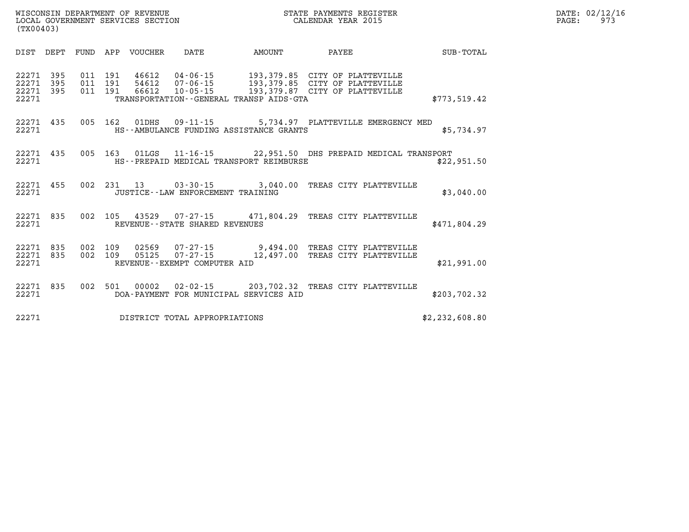| (TX00403)                        |                   |                   |                   | LOCAL GOVERNMENT SERVICES SECTION |                                   |                                              | CALENDAR YEAR 2015                                                                                                                                       |                |
|----------------------------------|-------------------|-------------------|-------------------|-----------------------------------|-----------------------------------|----------------------------------------------|----------------------------------------------------------------------------------------------------------------------------------------------------------|----------------|
| DIST                             | DEPT              | FUND APP          |                   | VOUCHER                           | DATE                              |                                              | AMOUNT PAYEE                                                                                                                                             | SUB-TOTAL      |
| 22271<br>22271<br>22271<br>22271 | 395<br>395<br>395 | 011<br>011<br>011 | 191<br>191<br>191 |                                   |                                   | TRANSPORTATION - - GENERAL TRANSP AIDS - GTA | 46612  04-06-15  193,379.85  CITY OF PLATTEVILLE<br>54612  07-06-15  193,379.85  CITY OF PLATTEVILLE<br>66612  10-05-15  193,379.87  CITY OF PLATTEVILLE | \$773,519.42   |
| 22271 435<br>22271               |                   |                   |                   |                                   |                                   | HS--AMBULANCE FUNDING ASSISTANCE GRANTS      | 005 162 01DHS 09-11-15 5,734.97 PLATTEVILLE EMERGENCY MED                                                                                                | \$5,734.97     |
| 22271                            | 22271 435         |                   |                   |                                   |                                   | HS--PREPAID MEDICAL TRANSPORT REIMBURSE      | 005 163 01LGS 11-16-15 22,951.50 DHS PREPAID MEDICAL TRANSPORT                                                                                           | \$22,951.50    |
| 22271<br>22271                   | 455               |                   |                   |                                   |                                   | JUSTICE - - LAW ENFORCEMENT TRAINING         | 002 231 13 03-30-15 3,040.00 TREAS CITY PLATTEVILLE                                                                                                      | \$3,040.00     |
| 22271<br>22271                   | 835               | 002               |                   |                                   | REVENUE - - STATE SHARED REVENUES |                                              | 105  43529  07-27-15  471,804.29  TREAS CITY PLATTEVILLE                                                                                                 | \$471,804.29   |
| 22271 835<br>22271<br>22271      | 835               | 002<br>002        | 109               | 05125                             | REVENUE--EXEMPT COMPUTER AID      |                                              | 109  02569  07-27-15  9,494.00  TREAS CITY PLATTEVILLE<br>07-27-15 12,497.00 TREAS CITY PLATTEVILLE                                                      | \$21,991.00    |
| 22271 835<br>22271               |                   | 002               |                   |                                   |                                   | DOA-PAYMENT FOR MUNICIPAL SERVICES AID       | 501  00002  02-02-15  203,702.32  TREAS CITY PLATTEVILLE                                                                                                 | \$203,702.32   |
| 22271                            |                   |                   |                   |                                   | DISTRICT TOTAL APPROPRIATIONS     |                                              |                                                                                                                                                          | \$2,232,608.80 |

**DATE: 02/12/16<br>PAGE: 973** 

WISCONSIN DEPARTMENT OF REVENUE **STATE PAYMENTS REGISTER**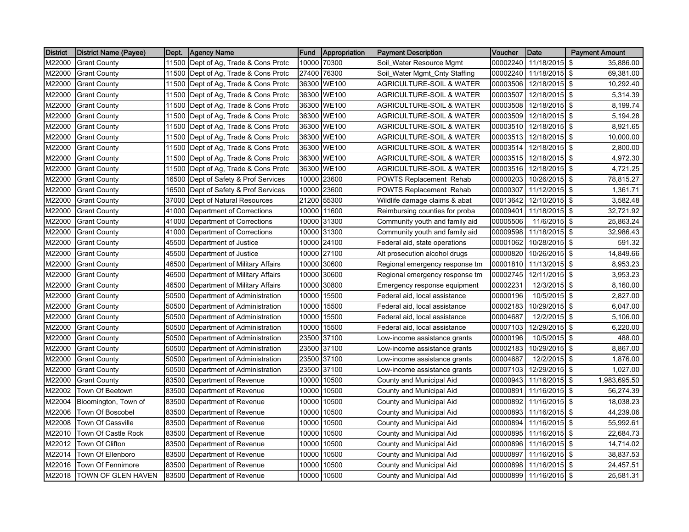| <b>District</b> | <b>District Name (Payee)</b> | Dept. | Agency Name                          | <b>Fund</b> | Appropriation | <b>Payment Description</b>          | Voucher  | <b>Date</b>            | <b>Payment Amount</b>   |  |
|-----------------|------------------------------|-------|--------------------------------------|-------------|---------------|-------------------------------------|----------|------------------------|-------------------------|--|
| M22000          | <b>Grant County</b>          | 11500 | Dept of Ag, Trade & Cons Protc       | 10000       | 70300         | Soil Water Resource Mgmt            | 00002240 | 11/18/2015             | \$<br>35,886.00         |  |
| M22000          | <b>Grant County</b>          | 11500 | Dept of Ag, Trade & Cons Protc       | 27400       | 76300         | Soil_Water Mgmt_Cnty Staffing       | 00002240 | 11/18/2015             | \$<br>69,381.00         |  |
| M22000          | <b>Grant County</b>          | 11500 | Dept of Ag, Trade & Cons Protc       | 36300       | <b>WE100</b>  | <b>AGRICULTURE-SOIL &amp; WATER</b> | 00003506 | 12/18/2015             | \$<br>10,292.40         |  |
| M22000          | <b>Grant County</b>          | 11500 | Dept of Ag, Trade & Cons Protc       | 36300       | <b>WE100</b>  | <b>AGRICULTURE-SOIL &amp; WATER</b> | 00003507 | 12/18/2015             | \$<br>5,314.39          |  |
| M22000          | <b>Grant County</b>          |       | 11500 Dept of Ag, Trade & Cons Protc |             | 36300 WE100   | <b>AGRICULTURE-SOIL &amp; WATER</b> | 00003508 | 12/18/2015 \$          | 8,199.74                |  |
| M22000          | <b>Grant County</b>          | 11500 | Dept of Ag, Trade & Cons Protc       | 36300       | <b>WE100</b>  | <b>AGRICULTURE-SOIL &amp; WATER</b> | 00003509 | 12/18/2015 \$          | 5,194.28                |  |
| M22000          | <b>Grant County</b>          | 11500 | Dept of Ag, Trade & Cons Protc       | 36300       | <b>WE100</b>  | AGRICULTURE-SOIL & WATER            | 00003510 | 12/18/2015             | $\sqrt{3}$<br>8,921.65  |  |
| M22000          | <b>Grant County</b>          | 11500 | Dept of Ag, Trade & Cons Protc       |             | 36300 WE100   | <b>AGRICULTURE-SOIL &amp; WATER</b> | 00003513 | 12/18/2015 \$          | 10,000.00               |  |
| M22000          | <b>Grant County</b>          | 11500 | Dept of Ag, Trade & Cons Protc       | 36300       | <b>WE100</b>  | AGRICULTURE-SOIL & WATER            | 00003514 | 12/18/2015             | -\$<br>2,800.00         |  |
| M22000          | <b>Grant County</b>          | 11500 | Dept of Ag, Trade & Cons Protc       | 36300       | <b>WE100</b>  | <b>AGRICULTURE-SOIL &amp; WATER</b> | 00003515 | 12/18/2015 \$          | 4,972.30                |  |
| M22000          | <b>Grant County</b>          |       | 11500 Dept of Ag, Trade & Cons Protc |             | 36300 WE100   | <b>AGRICULTURE-SOIL &amp; WATER</b> | 00003516 | 12/18/2015             | $\sqrt{3}$<br>4,721.25  |  |
| M22000          | <b>Grant County</b>          |       | 16500 Dept of Safety & Prof Services | 10000       | 23600         | <b>POWTS Replacement Rehab</b>      | 00000203 | 10/26/2015             | \$<br>78,815.27         |  |
| M22000          | <b>Grant County</b>          | 16500 | Dept of Safety & Prof Services       | 10000       | 23600         | POWTS Replacement Rehab             | 00000307 | 11/12/2015             | <b>S</b><br>1,361.71    |  |
| M22000          | <b>Grant County</b>          | 37000 | Dept of Natural Resources            | 21200       | 55300         | Wildlife damage claims & abat       | 00013642 | 12/10/2015 \$          | 3,582.48                |  |
| M22000          | <b>Grant County</b>          | 41000 | Department of Corrections            | 10000       | 11600         | Reimbursing counties for proba      | 00009401 | 11/18/2015             | \$<br>32,721.92         |  |
| M22000          | <b>Grant County</b>          | 41000 | Department of Corrections            |             | 10000 31300   | Community youth and family aid      | 00005506 | 11/6/2015 \$           | 25,863.24               |  |
| M22000          | <b>Grant County</b>          | 41000 | Department of Corrections            |             | 10000 31300   | Community youth and family aid      | 00009598 | 11/18/2015             | \$<br>32,986.43         |  |
| M22000          | <b>Grant County</b>          | 45500 | Department of Justice                | 10000       | 24100         | Federal aid, state operations       | 00001062 | 10/28/2015             | \$<br>591.32            |  |
| M22000          | <b>Grant County</b>          | 45500 | Department of Justice                | 10000       | 27100         | Alt prosecution alcohol drugs       | 00000820 | 10/26/2015             | \$<br>14,849.66         |  |
| M22000          | <b>Grant County</b>          | 46500 | Department of Military Affairs       | 10000       | 30600         | Regional emergency response tm      | 00001810 | 11/13/2015 \$          | 8,953.23                |  |
| M22000          | <b>Grant County</b>          | 46500 | Department of Military Affairs       | 10000       | 30600         | Regional emergency response tm      | 00002745 | 12/11/2015             | \$<br>3,953.23          |  |
| M22000          | <b>Grant County</b>          | 46500 | Department of Military Affairs       | 10000       | 30800         | Emergency response equipment        | 00002231 | 12/3/2015 \$           | 8,160.00                |  |
| M22000          | <b>Grant County</b>          | 50500 | Department of Administration         | 10000       | 15500         | Federal aid, local assistance       | 00000196 | 10/5/2015              | \$<br>2,827.00          |  |
| M22000          | <b>Grant County</b>          | 50500 | Department of Administration         | 10000       | 15500         | Federal aid, local assistance       | 00002183 | 10/29/2015             | \$<br>6,047.00          |  |
| M22000          | <b>Grant County</b>          | 50500 | Department of Administration         | 10000       | 15500         | Federal aid, local assistance       | 00004687 | 12/2/2015              | \$<br>5,106.00          |  |
| M22000          | <b>Grant County</b>          | 50500 | Department of Administration         | 10000       | 15500         | Federal aid, local assistance       | 00007103 | 12/29/2015             | \$<br>6,220.00          |  |
| M22000          | <b>Grant County</b>          | 50500 | Department of Administration         | 23500       | 37100         | Low-income assistance grants        | 00000196 | 10/5/2015              | \$<br>488.00            |  |
| M22000          | <b>Grant County</b>          | 50500 | Department of Administration         | 23500       | 37100         | Low-income assistance grants        | 00002183 | 10/29/2015             | \$<br>8,867.00          |  |
| M22000          | <b>Grant County</b>          | 50500 | Department of Administration         | 23500       | 37100         | Low-income assistance grants        | 00004687 | 12/2/2015 \$           | 1,876.00                |  |
| M22000          | <b>Grant County</b>          | 50500 | Department of Administration         | 23500       | 37100         | Low-income assistance grants        | 00007103 | 12/29/2015 \$          | 1,027.00                |  |
| M22000          | <b>Grant County</b>          | 83500 | Department of Revenue                | 10000       | 10500         | County and Municipal Aid            | 00000943 | 11/16/2015             | \$<br>1,983,695.50      |  |
| M22002          | Town Of Beetown              | 83500 | Department of Revenue                | 10000       | 10500         | County and Municipal Aid            | 00000891 | 11/16/2015             | \$<br>56,274.39         |  |
| M22004          | Bloomington, Town of         | 83500 | Department of Revenue                | 10000       | 10500         | County and Municipal Aid            | 00000892 | 11/16/2015             | $\sqrt{3}$<br>18,038.23 |  |
| M22006          | Town Of Boscobel             | 83500 | Department of Revenue                | 10000       | 10500         | County and Municipal Aid            | 00000893 | 11/16/2015             | $\sqrt{3}$<br>44,239.06 |  |
| M22008          | <b>Town Of Cassville</b>     | 83500 | Department of Revenue                | 10000       | 10500         | County and Municipal Aid            | 00000894 | 11/16/2015             | \$<br>55,992.61         |  |
| M22010          | Town Of Castle Rock          | 83500 | Department of Revenue                | 10000       | 10500         | County and Municipal Aid            | 00000895 | 11/16/2015             | \$<br>22,684.73         |  |
| M22012          | Town Of Clifton              | 83500 | Department of Revenue                | 10000       | 10500         | County and Municipal Aid            | 00000896 | 11/16/2015 \$          | 14,714.02               |  |
| M22014          | Town Of Ellenboro            | 83500 | Department of Revenue                | 10000       | 10500         | County and Municipal Aid            | 00000897 | 11/16/2015             | \$<br>38,837.53         |  |
| M22016          | Town Of Fennimore            | 83500 | Department of Revenue                | 10000       | 10500         | County and Municipal Aid            | 00000898 | 11/16/2015 \$          | 24,457.51               |  |
| M22018          | <b>TOWN OF GLEN HAVEN</b>    |       | 83500 Department of Revenue          |             | 10000 10500   | County and Municipal Aid            |          | 00000899 11/16/2015 \$ | 25,581.31               |  |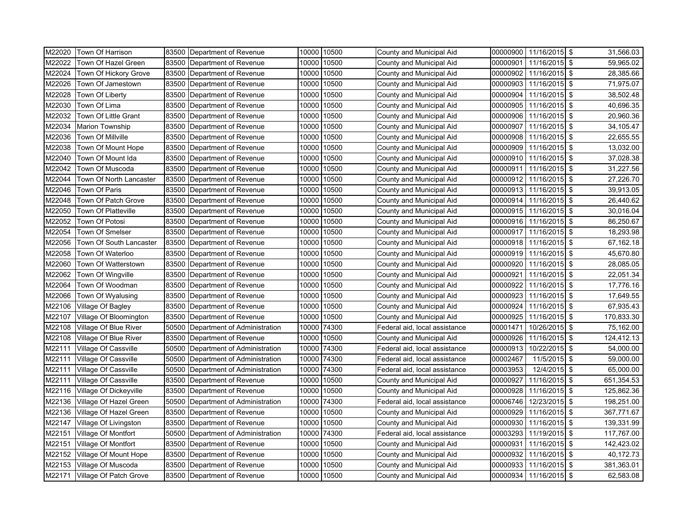| M22020 | Town Of Harrison              | 83500 | Department of Revenue        |       | 10000 10500 | County and Municipal Aid      |          | 00000900 11/16/2015 \$ |      | 31,566.03  |
|--------|-------------------------------|-------|------------------------------|-------|-------------|-------------------------------|----------|------------------------|------|------------|
| M22022 | Town Of Hazel Green           | 83500 | Department of Revenue        | 10000 | 10500       | County and Municipal Aid      | 00000901 | 11/16/2015             | l \$ | 59,965.02  |
| M22024 | Town Of Hickory Grove         | 83500 | Department of Revenue        | 10000 | 10500       | County and Municipal Aid      | 00000902 | 11/16/2015 \$          |      | 28,385.66  |
| M22026 | Town Of Jamestown             | 83500 | Department of Revenue        | 10000 | 10500       | County and Municipal Aid      | 00000903 | 11/16/2015             | l \$ | 71,975.07  |
| M22028 | Town Of Liberty               | 83500 | Department of Revenue        | 10000 | 10500       | County and Municipal Aid      | 00000904 | 11/16/2015             | -\$  | 38,502.48  |
| M22030 | Town Of Lima                  | 83500 | Department of Revenue        | 10000 | 10500       | County and Municipal Aid      | 00000905 | 11/16/2015 \$          |      | 40,696.35  |
| M22032 | Town Of Little Grant          | 83500 | Department of Revenue        | 10000 | 10500       | County and Municipal Aid      | 00000906 | 11/16/2015             | \$   | 20,960.36  |
| M22034 | <b>Marion Township</b>        | 83500 | Department of Revenue        | 10000 | 10500       | County and Municipal Aid      | 00000907 | 11/16/2015             | -\$  | 34,105.47  |
| M22036 | Town Of Millville             | 83500 | Department of Revenue        | 10000 | 10500       | County and Municipal Aid      | 00000908 | 11/16/2015             | \$   | 22,655.55  |
| M22038 | <b>Town Of Mount Hope</b>     | 83500 | Department of Revenue        | 10000 | 10500       | County and Municipal Aid      | 00000909 | 11/16/2015 \$          |      | 13,032.00  |
| M22040 | Town Of Mount Ida             | 83500 | Department of Revenue        | 10000 | 10500       | County and Municipal Aid      | 00000910 | 11/16/2015 \$          |      | 37,028.38  |
| M22042 | Town Of Muscoda               | 83500 | Department of Revenue        | 10000 | 10500       | County and Municipal Aid      | 00000911 | 11/16/2015 \$          |      | 31,227.56  |
| M22044 | Town Of North Lancaster       | 83500 | Department of Revenue        | 10000 | 10500       | County and Municipal Aid      | 00000912 | 11/16/2015 \$          |      | 27,226.70  |
| M22046 | Town Of Paris                 | 83500 | Department of Revenue        | 10000 | 10500       | County and Municipal Aid      | 00000913 | 11/16/2015             | \$   | 39,913.05  |
| M22048 | Town Of Patch Grove           | 83500 | Department of Revenue        | 10000 | 10500       | County and Municipal Aid      | 00000914 | 11/16/2015 \$          |      | 26,440.62  |
| M22050 | Town Of Platteville           | 83500 | Department of Revenue        | 10000 | 10500       | County and Municipal Aid      | 00000915 | 11/16/2015 \$          |      | 30,016.04  |
| M22052 | Town Of Potosi                | 83500 | Department of Revenue        | 10000 | 10500       | County and Municipal Aid      | 00000916 | 11/16/2015             | l \$ | 86,250.67  |
| M22054 | <b>Town Of Smelser</b>        | 83500 | Department of Revenue        | 10000 | 10500       | County and Municipal Aid      | 00000917 | 11/16/2015 \$          |      | 18,293.98  |
| M22056 | Town Of South Lancaster       | 83500 | Department of Revenue        | 10000 | 10500       | County and Municipal Aid      | 00000918 | 11/16/2015             | \$   | 67,162.18  |
| M22058 | Town Of Waterloo              | 83500 | Department of Revenue        | 10000 | 10500       | County and Municipal Aid      | 00000919 | 11/16/2015             | l \$ | 45,670.80  |
| M22060 | Town Of Watterstown           | 83500 | Department of Revenue        | 10000 | 10500       | County and Municipal Aid      | 00000920 | 11/16/2015 \$          |      | 28,085.05  |
| M22062 | Town Of Wingville             | 83500 | Department of Revenue        | 10000 | 10500       | County and Municipal Aid      | 00000921 | 11/16/2015             | \$   | 22,051.34  |
| M22064 | Town Of Woodman               | 83500 | Department of Revenue        | 10000 | 10500       | County and Municipal Aid      | 00000922 | 11/16/2015 \$          |      | 17,776.16  |
| M22066 | Town Of Wyalusing             | 83500 | Department of Revenue        | 10000 | 10500       | County and Municipal Aid      | 00000923 | 11/16/2015             | \$   | 17,649.55  |
| M22106 | Village Of Bagley             | 83500 | Department of Revenue        | 10000 | 10500       | County and Municipal Aid      | 00000924 | 11/16/2015             | \$   | 67,935.43  |
| M22107 | Village Of Bloomington        | 83500 | Department of Revenue        | 10000 | 10500       | County and Municipal Aid      | 00000925 | 11/16/2015             | -\$  | 170,833.30 |
| M22108 | Village Of Blue River         | 50500 | Department of Administration | 10000 | 74300       | Federal aid, local assistance | 00001471 | 10/26/2015             | l \$ | 75,162.00  |
| M22108 | Village Of Blue River         | 83500 | Department of Revenue        | 10000 | 10500       | County and Municipal Aid      | 00000926 | 11/16/2015             | \$   | 124,412.13 |
| M22111 | Village Of Cassville          | 50500 | Department of Administration | 10000 | 74300       | Federal aid, local assistance | 00000913 | 10/22/2015             | -\$  | 54,000.00  |
| M22111 | Village Of Cassville          | 50500 | Department of Administration | 10000 | 74300       | Federal aid, local assistance | 00002467 | 11/5/2015 \$           |      | 59,000.00  |
| M22111 | Village Of Cassville          | 50500 | Department of Administration | 10000 | 74300       | Federal aid, local assistance | 00003953 | 12/4/2015              | \$   | 65,000.00  |
| M22111 | Village Of Cassville          | 83500 | Department of Revenue        | 10000 | 10500       | County and Municipal Aid      | 00000927 | 11/16/2015             | -\$  | 651,354.53 |
| M22116 | Village Of Dickeyville        | 83500 | Department of Revenue        | 10000 | 10500       | County and Municipal Aid      | 00000928 | 11/16/2015 \$          |      | 125,862.36 |
| M22136 | Village Of Hazel Green        | 50500 | Department of Administration | 10000 | 74300       | Federal aid, local assistance | 00006746 | 12/23/2015 \$          |      | 198,251.00 |
| M22136 | Village Of Hazel Green        | 83500 | Department of Revenue        | 10000 | 10500       | County and Municipal Aid      | 00000929 | 11/16/2015             | l \$ | 367,771.67 |
| M22147 | Village Of Livingston         | 83500 | Department of Revenue        | 10000 | 10500       | County and Municipal Aid      | 00000930 | 11/16/2015             | \$   | 139,331.99 |
| M22151 | Village Of Montfort           | 50500 | Department of Administration | 10000 | 74300       | Federal aid, local assistance | 00003293 | 11/19/2015             | \$   | 117,767.00 |
| M22151 | Village Of Montfort           | 83500 | Department of Revenue        | 10000 | 10500       | County and Municipal Aid      | 00000931 | 11/16/2015 \$          |      | 142,423.02 |
| M22152 | Village Of Mount Hope         | 83500 | Department of Revenue        | 10000 | 10500       | County and Municipal Aid      | 00000932 | 11/16/2015             | \$   | 40,172.73  |
| M22153 | Village Of Muscoda            | 83500 | Department of Revenue        | 10000 | 10500       | County and Municipal Aid      | 00000933 | 11/16/2015 \$          |      | 381,363.01 |
|        | M22171 Village Of Patch Grove |       | 83500 Department of Revenue  |       | 10000 10500 | County and Municipal Aid      |          | 00000934 11/16/2015 \$ |      | 62,583.08  |